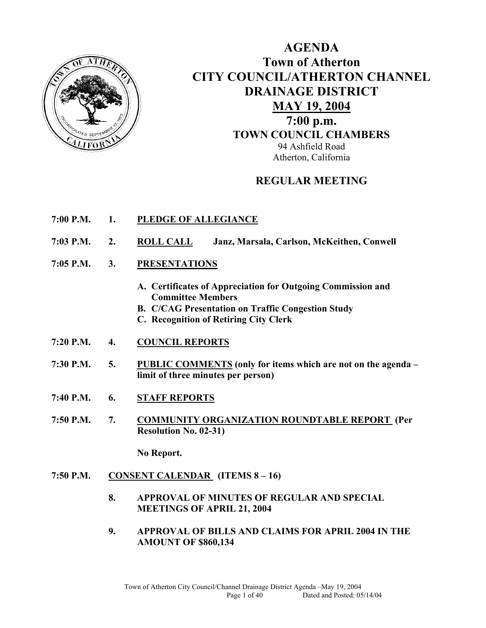

# **AGENDA Town of Atherton CITY COUNCIL/ATHERTON CHANNEL DRAINAGE DISTRICT MAY 19, 2004 7:00 p.m. TOWN COUNCIL CHAMBERS** 94 Ashfield Road Atherton, California

# **REGULAR MEETING**

- **7:00 P.M. 1. PLEDGE OF ALLEGIANCE**
- **7:03 P.M. 2. ROLL CALL Janz, Marsala, Carlson, McKeithen, Conwell**
- **7:05 P.M. 3. PRESENTATIONS** 
	- **A. Certificates of Appreciation for Outgoing Commission and Committee Members**
	- **B. C/CAG Presentation on Traffic Congestion Study**
	- **C. Recognition of Retiring City Clerk**
- **7:20 P.M. 4. COUNCIL REPORTS**
- **7:30 P.M. 5. PUBLIC COMMENTS (only for items which are not on the agenda limit of three minutes per person)**
- **7:40 P.M. 6. STAFF REPORTS**
- **7:50 P.M. 7. COMMUNITY ORGANIZATION ROUNDTABLE REPORT (Per Resolution No. 02-31)**

 **No Report.** 

- **7:50 P.M. CONSENT CALENDAR (ITEMS 8 16)** 
	- **8. APPROVAL OF MINUTES OF REGULAR AND SPECIAL MEETINGS OF APRIL 21, 2004**
	- **9. APPROVAL OF BILLS AND CLAIMS FOR APRIL 2004 IN THE AMOUNT OF \$860,134**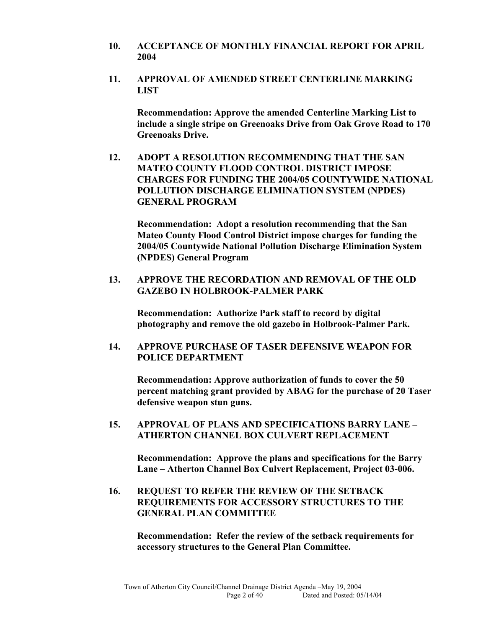- **10. ACCEPTANCE OF MONTHLY FINANCIAL REPORT FOR APRIL 2004**
- **11. APPROVAL OF AMENDED STREET CENTERLINE MARKING LIST**

**Recommendation: Approve the amended Centerline Marking List to include a single stripe on Greenoaks Drive from Oak Grove Road to 170 Greenoaks Drive.** 

**12. ADOPT A RESOLUTION RECOMMENDING THAT THE SAN MATEO COUNTY FLOOD CONTROL DISTRICT IMPOSE CHARGES FOR FUNDING THE 2004/05 COUNTYWIDE NATIONAL POLLUTION DISCHARGE ELIMINATION SYSTEM (NPDES) GENERAL PROGRAM** 

**Recommendation: Adopt a resolution recommending that the San Mateo County Flood Control District impose charges for funding the 2004/05 Countywide National Pollution Discharge Elimination System (NPDES) General Program** 

**13. APPROVE THE RECORDATION AND REMOVAL OF THE OLD GAZEBO IN HOLBROOK-PALMER PARK** 

**Recommendation: Authorize Park staff to record by digital photography and remove the old gazebo in Holbrook-Palmer Park.** 

**14. APPROVE PURCHASE OF TASER DEFENSIVE WEAPON FOR POLICE DEPARTMENT** 

**Recommendation: Approve authorization of funds to cover the 50 percent matching grant provided by ABAG for the purchase of 20 Taser defensive weapon stun guns.** 

**15. APPROVAL OF PLANS AND SPECIFICATIONS BARRY LANE – ATHERTON CHANNEL BOX CULVERT REPLACEMENT** 

**Recommendation: Approve the plans and specifications for the Barry Lane – Atherton Channel Box Culvert Replacement, Project 03-006.** 

**16. REQUEST TO REFER THE REVIEW OF THE SETBACK REQUIREMENTS FOR ACCESSORY STRUCTURES TO THE GENERAL PLAN COMMITTEE** 

**Recommendation: Refer the review of the setback requirements for accessory structures to the General Plan Committee.**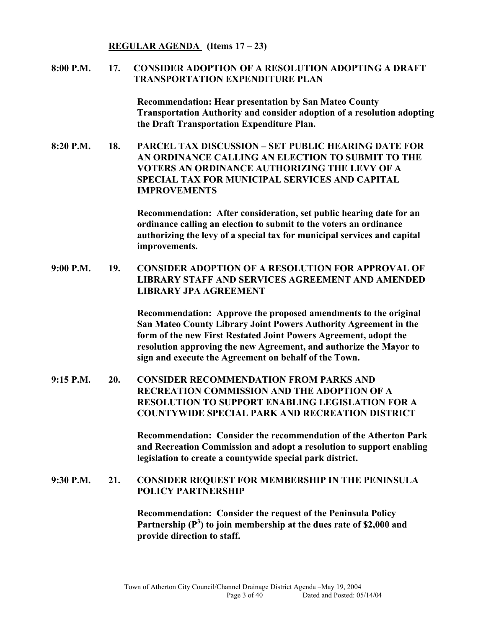**REGULAR AGENDA (Items 17 – 23)** 

### **8:00 P.M. 17. CONSIDER ADOPTION OF A RESOLUTION ADOPTING A DRAFT TRANSPORTATION EXPENDITURE PLAN**

**Recommendation: Hear presentation by San Mateo County Transportation Authority and consider adoption of a resolution adopting the Draft Transportation Expenditure Plan.** 

**8:20 P.M. 18. PARCEL TAX DISCUSSION – SET PUBLIC HEARING DATE FOR AN ORDINANCE CALLING AN ELECTION TO SUBMIT TO THE VOTERS AN ORDINANCE AUTHORIZING THE LEVY OF A SPECIAL TAX FOR MUNICIPAL SERVICES AND CAPITAL IMPROVEMENTS** 

> **Recommendation: After consideration, set public hearing date for an ordinance calling an election to submit to the voters an ordinance authorizing the levy of a special tax for municipal services and capital improvements.**

**9:00 P.M. 19. CONSIDER ADOPTION OF A RESOLUTION FOR APPROVAL OF LIBRARY STAFF AND SERVICES AGREEMENT AND AMENDED LIBRARY JPA AGREEMENT** 

> **Recommendation: Approve the proposed amendments to the original San Mateo County Library Joint Powers Authority Agreement in the form of the new First Restated Joint Powers Agreement, adopt the resolution approving the new Agreement, and authorize the Mayor to sign and execute the Agreement on behalf of the Town.**

**9:15 P.M. 20. CONSIDER RECOMMENDATION FROM PARKS AND RECREATION COMMISSION AND THE ADOPTION OF A RESOLUTION TO SUPPORT ENABLING LEGISLATION FOR A COUNTYWIDE SPECIAL PARK AND RECREATION DISTRICT** 

> **Recommendation: Consider the recommendation of the Atherton Park and Recreation Commission and adopt a resolution to support enabling legislation to create a countywide special park district.**

#### **9:30 P.M. 21. CONSIDER REQUEST FOR MEMBERSHIP IN THE PENINSULA POLICY PARTNERSHIP**

**Recommendation: Consider the request of the Peninsula Policy**  Partnership (P<sup>3</sup>) to join membership at the dues rate of \$2,000 and **provide direction to staff.**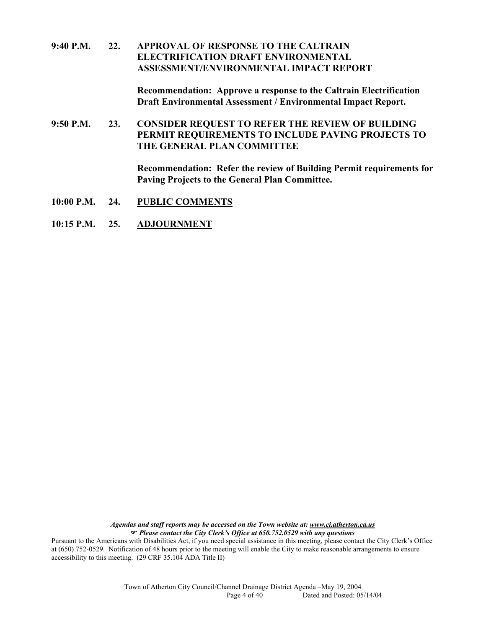### **9:40 P.M. 22. APPROVAL OF RESPONSE TO THE CALTRAIN ELECTRIFICATION DRAFT ENVIRONMENTAL ASSESSMENT/ENVIRONMENTAL IMPACT REPORT**

**Recommendation: Approve a response to the Caltrain Electrification Draft Environmental Assessment / Environmental Impact Report.** 

**9:50 P.M. 23. CONSIDER REQUEST TO REFER THE REVIEW OF BUILDING PERMIT REQUIREMENTS TO INCLUDE PAVING PROJECTS TO THE GENERAL PLAN COMMITTEE** 

> **Recommendation: Refer the review of Building Permit requirements for Paving Projects to the General Plan Committee.**

- **10:00 P.M. 24. PUBLIC COMMENTS**
- **10:15 P.M. 25. ADJOURNMENT**

*Agendas and staff reports may be accessed on the Town website at: www.ci.atherton.ca.us* ) *Please contact the City Clerk's Office at 650.752.0529 with any questions* 

Pursuant to the Americans with Disabilities Act, if you need special assistance in this meeting, please contact the City Clerk's Office at (650) 752-0529. Notification of 48 hours prior to the meeting will enable the City to make reasonable arrangements to ensure accessibility to this meeting. (29 CRF 35.104 ADA Title II)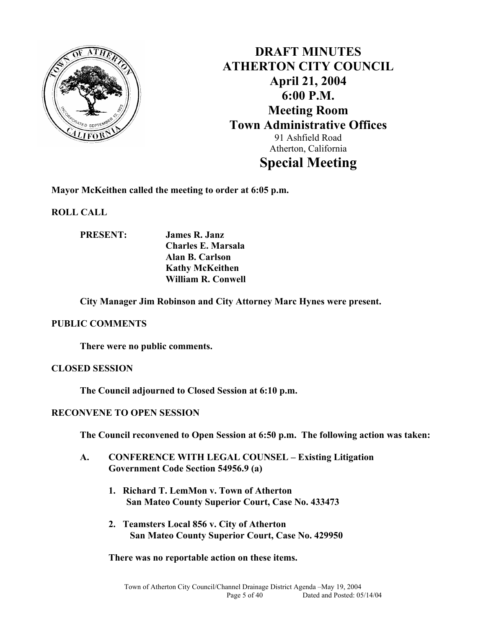

**DRAFT MINUTES ATHERTON CITY COUNCIL April 21, 2004 6:00 P.M. Meeting Room Town Administrative Offices**  91 Ashfield Road Atherton, California **Special Meeting** 

**Mayor McKeithen called the meeting to order at 6:05 p.m.** 

**ROLL CALL** 

**PRESENT: James R. Janz Charles E. Marsala Alan B. Carlson Kathy McKeithen William R. Conwell** 

**City Manager Jim Robinson and City Attorney Marc Hynes were present.** 

#### **PUBLIC COMMENTS**

**There were no public comments.** 

#### **CLOSED SESSION**

**The Council adjourned to Closed Session at 6:10 p.m.** 

#### **RECONVENE TO OPEN SESSION**

**The Council reconvened to Open Session at 6:50 p.m. The following action was taken:** 

- **A. CONFERENCE WITH LEGAL COUNSEL Existing Litigation Government Code Section 54956.9 (a)** 
	- **1. Richard T. LemMon v. Town of Atherton San Mateo County Superior Court, Case No. 433473**
	- **2. Teamsters Local 856 v. City of Atherton San Mateo County Superior Court, Case No. 429950**

**There was no reportable action on these items.**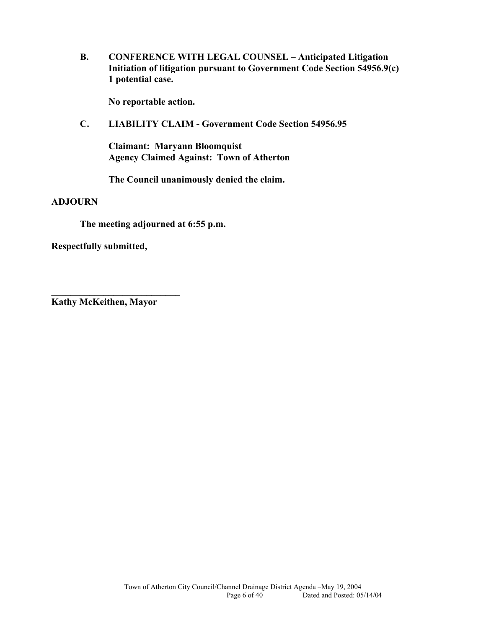**B. CONFERENCE WITH LEGAL COUNSEL – Anticipated Litigation Initiation of litigation pursuant to Government Code Section 54956.9(c) 1 potential case.** 

**No reportable action.** 

**C. LIABILITY CLAIM - Government Code Section 54956.95** 

**Claimant: Maryann Bloomquist Agency Claimed Against: Town of Atherton** 

**The Council unanimously denied the claim.** 

#### **ADJOURN**

**The meeting adjourned at 6:55 p.m.** 

**Respectfully submitted,** 

**Kathy McKeithen, Mayor** 

**\_\_\_\_\_\_\_\_\_\_\_\_\_\_\_\_\_\_\_\_\_\_\_\_\_\_\_**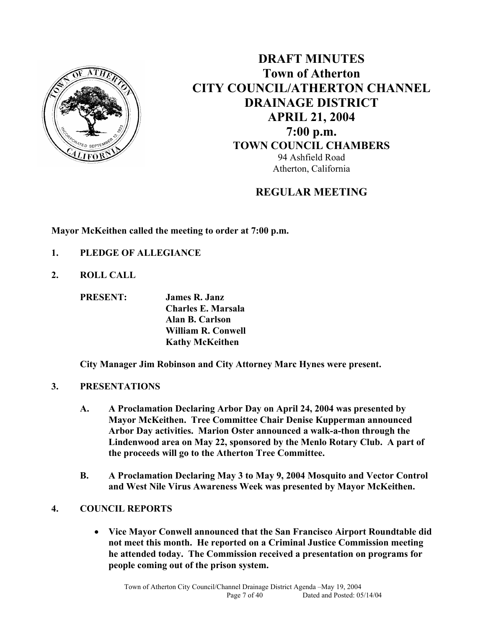

**DRAFT MINUTES Town of Atherton CITY COUNCIL/ATHERTON CHANNEL DRAINAGE DISTRICT APRIL 21, 2004 7:00 p.m. TOWN COUNCIL CHAMBERS** 94 Ashfield Road Atherton, California

# **REGULAR MEETING**

**Mayor McKeithen called the meeting to order at 7:00 p.m.** 

- **1. PLEDGE OF ALLEGIANCE**
- **2. ROLL CALL**

**PRESENT: James R. Janz Charles E. Marsala Alan B. Carlson William R. Conwell Kathy McKeithen** 

**City Manager Jim Robinson and City Attorney Marc Hynes were present.** 

## **3. PRESENTATIONS**

- **A. A Proclamation Declaring Arbor Day on April 24, 2004 was presented by Mayor McKeithen. Tree Committee Chair Denise Kupperman announced Arbor Day activities. Marion Oster announced a walk-a-thon through the Lindenwood area on May 22, sponsored by the Menlo Rotary Club. A part of the proceeds will go to the Atherton Tree Committee.**
- **B. A Proclamation Declaring May 3 to May 9, 2004 Mosquito and Vector Control and West Nile Virus Awareness Week was presented by Mayor McKeithen.**

# **4. COUNCIL REPORTS**

• **Vice Mayor Conwell announced that the San Francisco Airport Roundtable did not meet this month. He reported on a Criminal Justice Commission meeting he attended today. The Commission received a presentation on programs for people coming out of the prison system.**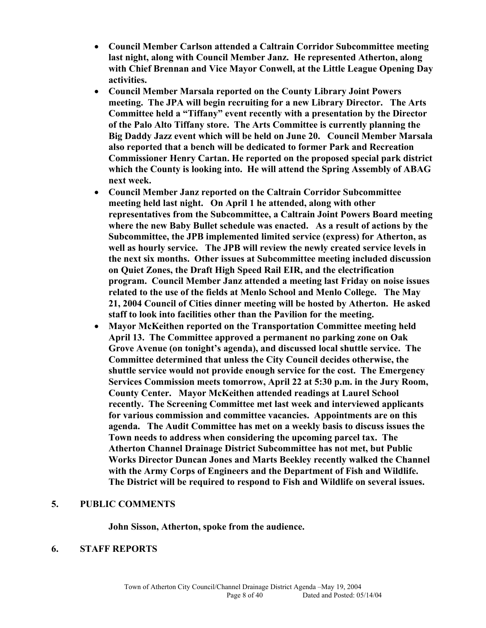- **Council Member Carlson attended a Caltrain Corridor Subcommittee meeting last night, along with Council Member Janz. He represented Atherton, along with Chief Brennan and Vice Mayor Conwell, at the Little League Opening Day activities.**
- **Council Member Marsala reported on the County Library Joint Powers meeting. The JPA will begin recruiting for a new Library Director. The Arts Committee held a "Tiffany" event recently with a presentation by the Director of the Palo Alto Tiffany store. The Arts Committee is currently planning the Big Daddy Jazz event which will be held on June 20. Council Member Marsala also reported that a bench will be dedicated to former Park and Recreation Commissioner Henry Cartan. He reported on the proposed special park district which the County is looking into. He will attend the Spring Assembly of ABAG next week.**
- **Council Member Janz reported on the Caltrain Corridor Subcommittee meeting held last night. On April 1 he attended, along with other representatives from the Subcommittee, a Caltrain Joint Powers Board meeting where the new Baby Bullet schedule was enacted. As a result of actions by the Subcommittee, the JPB implemented limited service (express) for Atherton, as well as hourly service. The JPB will review the newly created service levels in the next six months. Other issues at Subcommittee meeting included discussion on Quiet Zones, the Draft High Speed Rail EIR, and the electrification program. Council Member Janz attended a meeting last Friday on noise issues related to the use of the fields at Menlo School and Menlo College. The May 21, 2004 Council of Cities dinner meeting will be hosted by Atherton. He asked staff to look into facilities other than the Pavilion for the meeting.**
- **Mayor McKeithen reported on the Transportation Committee meeting held April 13. The Committee approved a permanent no parking zone on Oak Grove Avenue (on tonight's agenda), and discussed local shuttle service. The Committee determined that unless the City Council decides otherwise, the shuttle service would not provide enough service for the cost. The Emergency Services Commission meets tomorrow, April 22 at 5:30 p.m. in the Jury Room, County Center. Mayor McKeithen attended readings at Laurel School recently. The Screening Committee met last week and interviewed applicants for various commission and committee vacancies. Appointments are on this agenda. The Audit Committee has met on a weekly basis to discuss issues the Town needs to address when considering the upcoming parcel tax. The Atherton Channel Drainage District Subcommittee has not met, but Public Works Director Duncan Jones and Marts Beekley recently walked the Channel with the Army Corps of Engineers and the Department of Fish and Wildlife. The District will be required to respond to Fish and Wildlife on several issues.**

#### **5. PUBLIC COMMENTS**

**John Sisson, Atherton, spoke from the audience.** 

#### **6. STAFF REPORTS**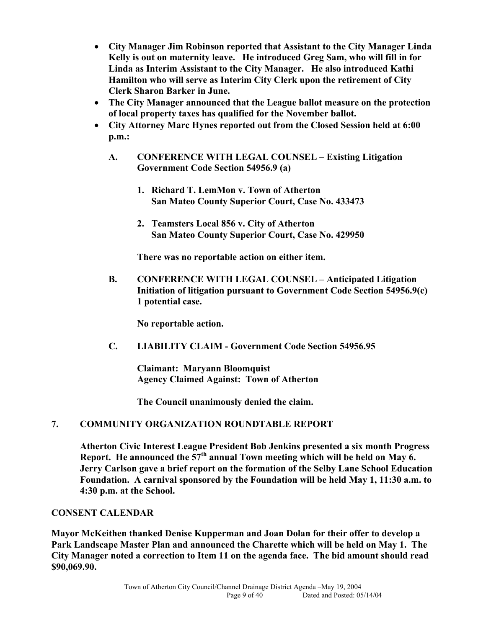- **City Manager Jim Robinson reported that Assistant to the City Manager Linda Kelly is out on maternity leave. He introduced Greg Sam, who will fill in for Linda as Interim Assistant to the City Manager. He also introduced Kathi Hamilton who will serve as Interim City Clerk upon the retirement of City Clerk Sharon Barker in June.**
- **The City Manager announced that the League ballot measure on the protection of local property taxes has qualified for the November ballot.**
- **City Attorney Marc Hynes reported out from the Closed Session held at 6:00 p.m.:** 
	- **A. CONFERENCE WITH LEGAL COUNSEL Existing Litigation Government Code Section 54956.9 (a)** 
		- **1. Richard T. LemMon v. Town of Atherton San Mateo County Superior Court, Case No. 433473**
		- **2. Teamsters Local 856 v. City of Atherton San Mateo County Superior Court, Case No. 429950**

**There was no reportable action on either item.** 

**B. CONFERENCE WITH LEGAL COUNSEL – Anticipated Litigation Initiation of litigation pursuant to Government Code Section 54956.9(c) 1 potential case.** 

**No reportable action.** 

**C. LIABILITY CLAIM - Government Code Section 54956.95** 

**Claimant: Maryann Bloomquist Agency Claimed Against: Town of Atherton** 

**The Council unanimously denied the claim.** 

# **7. COMMUNITY ORGANIZATION ROUNDTABLE REPORT**

**Atherton Civic Interest League President Bob Jenkins presented a six month Progress Report. He announced the 57th annual Town meeting which will be held on May 6. Jerry Carlson gave a brief report on the formation of the Selby Lane School Education Foundation. A carnival sponsored by the Foundation will be held May 1, 11:30 a.m. to 4:30 p.m. at the School.** 

## **CONSENT CALENDAR**

**Mayor McKeithen thanked Denise Kupperman and Joan Dolan for their offer to develop a Park Landscape Master Plan and announced the Charette which will be held on May 1. The City Manager noted a correction to Item 11 on the agenda face. The bid amount should read \$90,069.90.**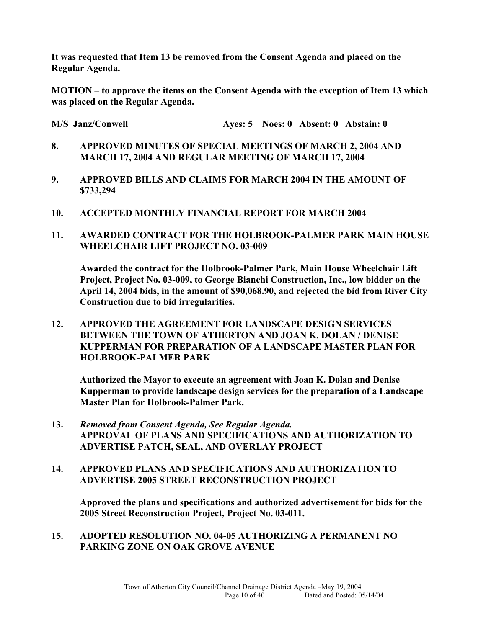**It was requested that Item 13 be removed from the Consent Agenda and placed on the Regular Agenda.** 

**MOTION – to approve the items on the Consent Agenda with the exception of Item 13 which was placed on the Regular Agenda.** 

**M/S Janz/Conwell Ayes: 5 Noes: 0 Absent: 0 Abstain: 0** 

- **8. APPROVED MINUTES OF SPECIAL MEETINGS OF MARCH 2, 2004 AND MARCH 17, 2004 AND REGULAR MEETING OF MARCH 17, 2004**
- **9. APPROVED BILLS AND CLAIMS FOR MARCH 2004 IN THE AMOUNT OF \$733,294**
- **10. ACCEPTED MONTHLY FINANCIAL REPORT FOR MARCH 2004**
- **11. AWARDED CONTRACT FOR THE HOLBROOK-PALMER PARK MAIN HOUSE WHEELCHAIR LIFT PROJECT NO. 03-009**

**Awarded the contract for the Holbrook-Palmer Park, Main House Wheelchair Lift Project, Project No. 03-009, to George Bianchi Construction, Inc., low bidder on the April 14, 2004 bids, in the amount of \$90,068.90, and rejected the bid from River City Construction due to bid irregularities.** 

**12. APPROVED THE AGREEMENT FOR LANDSCAPE DESIGN SERVICES BETWEEN THE TOWN OF ATHERTON AND JOAN K. DOLAN / DENISE KUPPERMAN FOR PREPARATION OF A LANDSCAPE MASTER PLAN FOR HOLBROOK-PALMER PARK** 

**Authorized the Mayor to execute an agreement with Joan K. Dolan and Denise Kupperman to provide landscape design services for the preparation of a Landscape Master Plan for Holbrook-Palmer Park.** 

- **13.** *Removed from Consent Agenda, See Regular Agenda.*  **APPROVAL OF PLANS AND SPECIFICATIONS AND AUTHORIZATION TO ADVERTISE PATCH, SEAL, AND OVERLAY PROJECT**
- **14. APPROVED PLANS AND SPECIFICATIONS AND AUTHORIZATION TO ADVERTISE 2005 STREET RECONSTRUCTION PROJECT**

**Approved the plans and specifications and authorized advertisement for bids for the 2005 Street Reconstruction Project, Project No. 03-011.** 

**15. ADOPTED RESOLUTION NO. 04-05 AUTHORIZING A PERMANENT NO PARKING ZONE ON OAK GROVE AVENUE**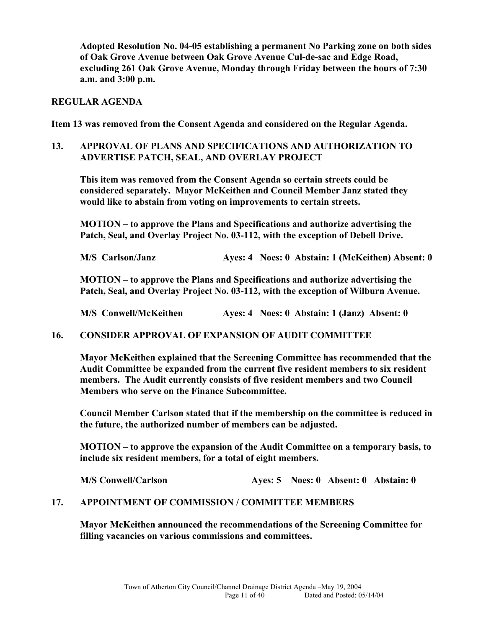**Adopted Resolution No. 04-05 establishing a permanent No Parking zone on both sides of Oak Grove Avenue between Oak Grove Avenue Cul-de-sac and Edge Road, excluding 261 Oak Grove Avenue, Monday through Friday between the hours of 7:30 a.m. and 3:00 p.m.** 

### **REGULAR AGENDA**

**Item 13 was removed from the Consent Agenda and considered on the Regular Agenda.** 

## **13. APPROVAL OF PLANS AND SPECIFICATIONS AND AUTHORIZATION TO ADVERTISE PATCH, SEAL, AND OVERLAY PROJECT**

**This item was removed from the Consent Agenda so certain streets could be considered separately. Mayor McKeithen and Council Member Janz stated they would like to abstain from voting on improvements to certain streets.** 

**MOTION – to approve the Plans and Specifications and authorize advertising the Patch, Seal, and Overlay Project No. 03-112, with the exception of Debell Drive.** 

**M/S Carlson/Janz Ayes: 4 Noes: 0 Abstain: 1 (McKeithen) Absent: 0** 

**MOTION – to approve the Plans and Specifications and authorize advertising the Patch, Seal, and Overlay Project No. 03-112, with the exception of Wilburn Avenue.** 

**M/S Conwell/McKeithen Ayes: 4 Noes: 0 Abstain: 1 (Janz) Absent: 0** 

**16. CONSIDER APPROVAL OF EXPANSION OF AUDIT COMMITTEE** 

**Mayor McKeithen explained that the Screening Committee has recommended that the Audit Committee be expanded from the current five resident members to six resident members. The Audit currently consists of five resident members and two Council Members who serve on the Finance Subcommittee.** 

**Council Member Carlson stated that if the membership on the committee is reduced in the future, the authorized number of members can be adjusted.** 

**MOTION – to approve the expansion of the Audit Committee on a temporary basis, to include six resident members, for a total of eight members.** 

**M/S Conwell/Carlson Ayes: 5 Noes: 0 Absent: 0 Abstain: 0** 

### **17. APPOINTMENT OF COMMISSION / COMMITTEE MEMBERS**

**Mayor McKeithen announced the recommendations of the Screening Committee for filling vacancies on various commissions and committees.**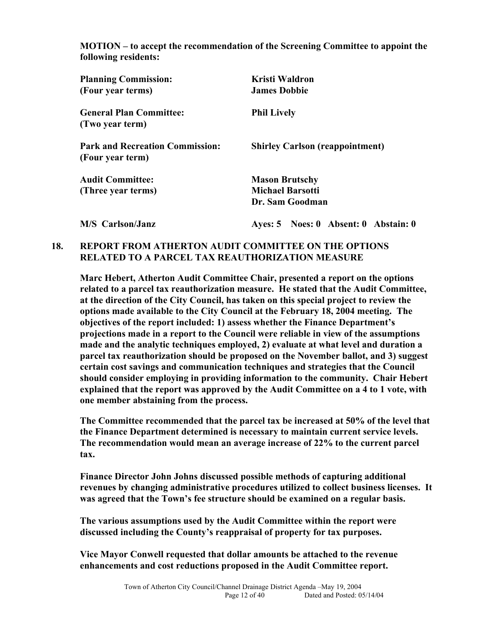**MOTION – to accept the recommendation of the Screening Committee to appoint the following residents:** 

| <b>Planning Commission:</b><br>(Four year terms)           | Kristi Waldron<br><b>James Dobbie</b>                               |
|------------------------------------------------------------|---------------------------------------------------------------------|
| <b>General Plan Committee:</b><br>(Two year term)          | <b>Phil Lively</b>                                                  |
| <b>Park and Recreation Commission:</b><br>(Four year term) | <b>Shirley Carlson (reappointment)</b>                              |
| <b>Audit Committee:</b><br>(Three year terms)              | <b>Mason Brutschy</b><br><b>Michael Barsotti</b><br>Dr. Sam Goodman |
| M/S Carlson/Janz                                           | Ayes: 5 Noes: 0 Absent: 0 Abstain: 0                                |

## **18. REPORT FROM ATHERTON AUDIT COMMITTEE ON THE OPTIONS RELATED TO A PARCEL TAX REAUTHORIZATION MEASURE**

**Marc Hebert, Atherton Audit Committee Chair, presented a report on the options related to a parcel tax reauthorization measure. He stated that the Audit Committee, at the direction of the City Council, has taken on this special project to review the options made available to the City Council at the February 18, 2004 meeting. The objectives of the report included: 1) assess whether the Finance Department's projections made in a report to the Council were reliable in view of the assumptions made and the analytic techniques employed, 2) evaluate at what level and duration a parcel tax reauthorization should be proposed on the November ballot, and 3) suggest certain cost savings and communication techniques and strategies that the Council should consider employing in providing information to the community. Chair Hebert explained that the report was approved by the Audit Committee on a 4 to 1 vote, with one member abstaining from the process.** 

**The Committee recommended that the parcel tax be increased at 50% of the level that the Finance Department determined is necessary to maintain current service levels. The recommendation would mean an average increase of 22% to the current parcel tax.** 

**Finance Director John Johns discussed possible methods of capturing additional revenues by changing administrative procedures utilized to collect business licenses. It was agreed that the Town's fee structure should be examined on a regular basis.** 

**The various assumptions used by the Audit Committee within the report were discussed including the County's reappraisal of property for tax purposes.** 

**Vice Mayor Conwell requested that dollar amounts be attached to the revenue enhancements and cost reductions proposed in the Audit Committee report.**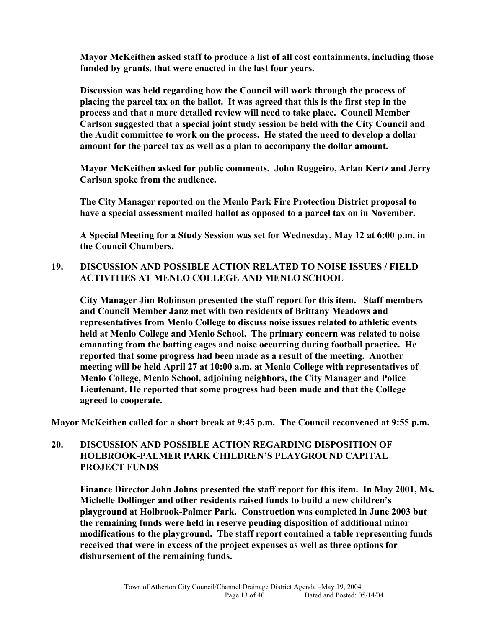**Mayor McKeithen asked staff to produce a list of all cost containments, including those funded by grants, that were enacted in the last four years.** 

**Discussion was held regarding how the Council will work through the process of placing the parcel tax on the ballot. It was agreed that this is the first step in the process and that a more detailed review will need to take place. Council Member Carlson suggested that a special joint study session be held with the City Council and the Audit committee to work on the process. He stated the need to develop a dollar amount for the parcel tax as well as a plan to accompany the dollar amount.** 

**Mayor McKeithen asked for public comments. John Ruggeiro, Arlan Kertz and Jerry Carlson spoke from the audience.** 

**The City Manager reported on the Menlo Park Fire Protection District proposal to have a special assessment mailed ballot as opposed to a parcel tax on in November.** 

**A Special Meeting for a Study Session was set for Wednesday, May 12 at 6:00 p.m. in the Council Chambers.** 

## **19. DISCUSSION AND POSSIBLE ACTION RELATED TO NOISE ISSUES / FIELD ACTIVITIES AT MENLO COLLEGE AND MENLO SCHOOL**

**City Manager Jim Robinson presented the staff report for this item. Staff members and Council Member Janz met with two residents of Brittany Meadows and representatives from Menlo College to discuss noise issues related to athletic events held at Menlo College and Menlo School. The primary concern was related to noise emanating from the batting cages and noise occurring during football practice. He reported that some progress had been made as a result of the meeting. Another meeting will be held April 27 at 10:00 a.m. at Menlo College with representatives of Menlo College, Menlo School, adjoining neighbors, the City Manager and Police Lieutenant. He reported that some progress had been made and that the College agreed to cooperate.** 

**Mayor McKeithen called for a short break at 9:45 p.m. The Council reconvened at 9:55 p.m.** 

## **20. DISCUSSION AND POSSIBLE ACTION REGARDING DISPOSITION OF HOLBROOK-PALMER PARK CHILDREN'S PLAYGROUND CAPITAL PROJECT FUNDS**

**Finance Director John Johns presented the staff report for this item. In May 2001, Ms. Michelle Dollinger and other residents raised funds to build a new children's playground at Holbrook-Palmer Park. Construction was completed in June 2003 but the remaining funds were held in reserve pending disposition of additional minor modifications to the playground. The staff report contained a table representing funds received that were in excess of the project expenses as well as three options for disbursement of the remaining funds.**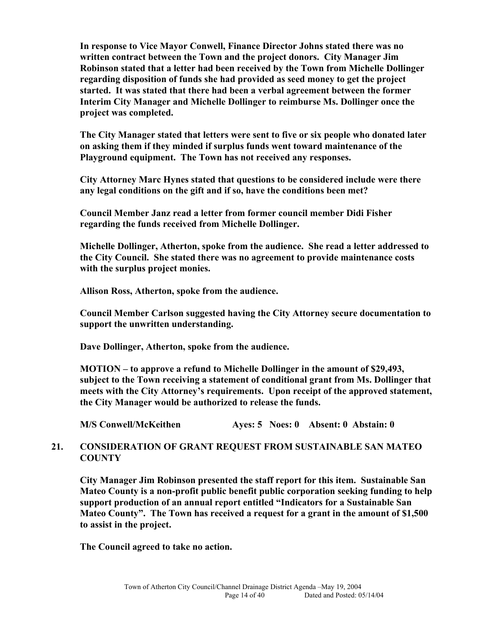**In response to Vice Mayor Conwell, Finance Director Johns stated there was no written contract between the Town and the project donors. City Manager Jim Robinson stated that a letter had been received by the Town from Michelle Dollinger regarding disposition of funds she had provided as seed money to get the project started. It was stated that there had been a verbal agreement between the former Interim City Manager and Michelle Dollinger to reimburse Ms. Dollinger once the project was completed.** 

**The City Manager stated that letters were sent to five or six people who donated later on asking them if they minded if surplus funds went toward maintenance of the Playground equipment. The Town has not received any responses.** 

**City Attorney Marc Hynes stated that questions to be considered include were there any legal conditions on the gift and if so, have the conditions been met?** 

**Council Member Janz read a letter from former council member Didi Fisher regarding the funds received from Michelle Dollinger.** 

**Michelle Dollinger, Atherton, spoke from the audience. She read a letter addressed to the City Council. She stated there was no agreement to provide maintenance costs with the surplus project monies.** 

**Allison Ross, Atherton, spoke from the audience.** 

**Council Member Carlson suggested having the City Attorney secure documentation to support the unwritten understanding.** 

**Dave Dollinger, Atherton, spoke from the audience.** 

**MOTION – to approve a refund to Michelle Dollinger in the amount of \$29,493, subject to the Town receiving a statement of conditional grant from Ms. Dollinger that meets with the City Attorney's requirements. Upon receipt of the approved statement, the City Manager would be authorized to release the funds.** 

**M/S Conwell/McKeithen Ayes: 5 Noes: 0 Absent: 0 Abstain: 0** 

## **21. CONSIDERATION OF GRANT REQUEST FROM SUSTAINABLE SAN MATEO COUNTY**

**City Manager Jim Robinson presented the staff report for this item. Sustainable San Mateo County is a non-profit public benefit public corporation seeking funding to help support production of an annual report entitled "Indicators for a Sustainable San Mateo County". The Town has received a request for a grant in the amount of \$1,500 to assist in the project.** 

**The Council agreed to take no action.**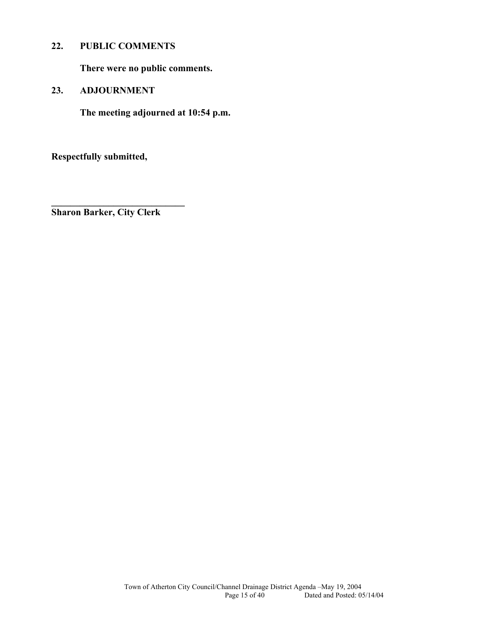## **22. PUBLIC COMMENTS**

**There were no public comments.** 

### **23. ADJOURNMENT**

**The meeting adjourned at 10:54 p.m.** 

**Respectfully submitted,** 

**Sharon Barker, City Clerk** 

**\_\_\_\_\_\_\_\_\_\_\_\_\_\_\_\_\_\_\_\_\_\_\_\_\_\_\_\_**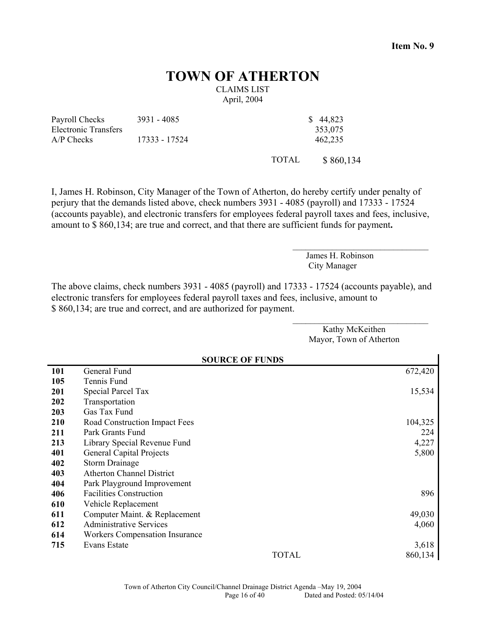**Item No. 9**

# **TOWN OF ATHERTON**

CLAIMS LIST April, 2004

Payroll Checks Electronic Transfers 3931 - 4085 \$ 44,823 A/P Checks 17333 - 17524 462,235

353,075

TOTAL \$ 860,134

I, James H. Robinson, City Manager of the Town of Atherton, do hereby certify under penalty of perjury that the demands listed above, check numbers 3931 - 4085 (payroll) and 17333 - 17524 (accounts payable), and electronic transfers for employees federal payroll taxes and fees, inclusive, amount to \$ 860,134; are true and correct, and that there are sufficient funds for payment**.** 

> James H. Robinson City Manager

 $\mathcal{L}_\text{max}$ 

The above claims, check numbers 3931 - 4085 (payroll) and 17333 - 17524 (accounts payable), and electronic transfers for employees federal payroll taxes and fees, inclusive, amount to \$ 860,134; are true and correct, and are authorized for payment.

\_\_\_\_\_\_\_\_\_\_\_\_\_\_\_\_\_\_\_\_\_\_\_\_\_\_\_\_\_\_\_ Kathy McKeithen Mayor, Town of Atherton **SOURCE OF FUNDS 101 105 201**  General Fund Tennis Fund Special Parcel Tax 672,420 15,534 **202** Transportation **203** Gas Tax Fund **210** Road Construction Impact Fees 104,325 **211** Park Grants Fund 224 **213** Library Special Revenue Fund 4,227 **401** General Capital Projects 5,800 **402** Storm Drainage **403** Atherton Channel District **404 406 610**  Park Playground Improvement Facilities Construction Vehicle Replacement 896 **611** Computer Maint. & Replacement 49,030 **612** Administrative Services 4,060 **614** Workers Compensation Insurance **715** Evans Estate 3,618 TOTAL 860,134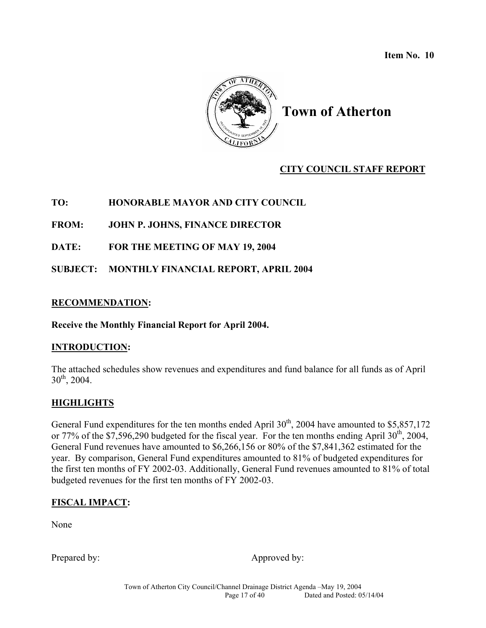**Item No. 10** 



# **Town of Atherton**

# **CITY COUNCIL STAFF REPORT**

# **TO: HONORABLE MAYOR AND CITY COUNCIL**

**FROM: JOHN P. JOHNS, FINANCE DIRECTOR** 

**DATE: FOR THE MEETING OF MAY 19, 2004** 

**SUBJECT: MONTHLY FINANCIAL REPORT, APRIL 2004** 

## **RECOMMENDATION:**

**Receive the Monthly Financial Report for April 2004.** 

## **INTRODUCTION:**

The attached schedules show revenues and expenditures and fund balance for all funds as of April  $30^{th}$ , 2004.

# **HIGHLIGHTS**

General Fund expenditures for the ten months ended April  $30<sup>th</sup>$ , 2004 have amounted to \$5,857,172 or 77% of the \$7,596,290 budgeted for the fiscal year. For the ten months ending April  $30<sup>th</sup>$ , 2004, General Fund revenues have amounted to \$6,266,156 or 80% of the \$7,841,362 estimated for the year. By comparison, General Fund expenditures amounted to 81% of budgeted expenditures for the first ten months of FY 2002-03. Additionally, General Fund revenues amounted to 81% of total budgeted revenues for the first ten months of FY 2002-03.

# **FISCAL IMPACT:**

None

Prepared by: Approved by: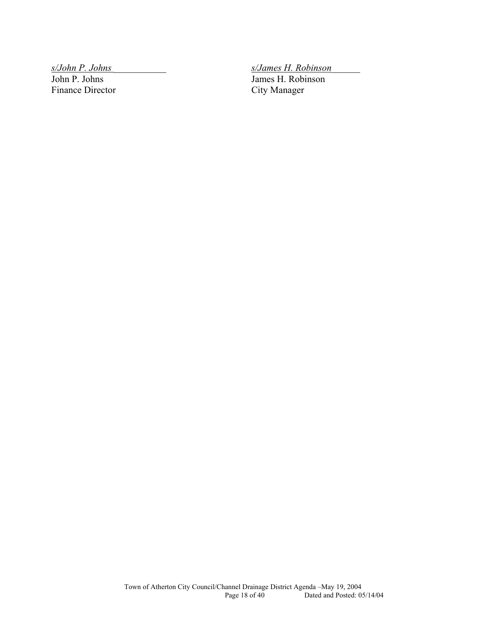*s/John P. Johns* \_\_\_\_\_\_\_\_\_\_\_ *s/James H. Robinson*\_\_\_\_\_\_ Finance Director

James H. Robinson<br>City Manager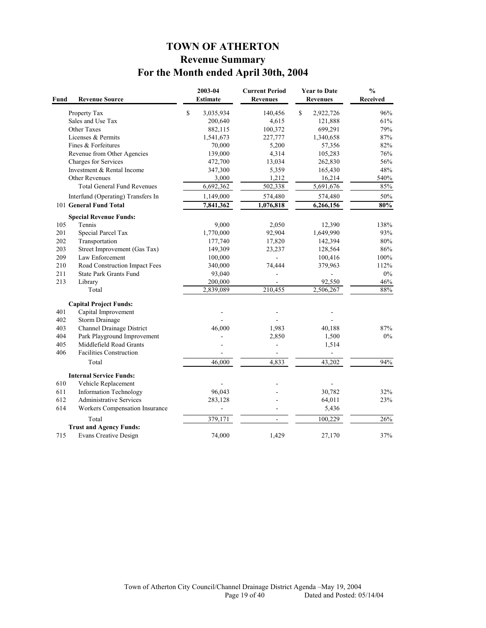# **TOWN OF ATHERTON Revenue Summary For the Month ended April 30th, 2004**

| Fund | <b>Revenue Source</b>              | 2003-04<br>Estimate    | <b>Current Period</b><br><b>Revenues</b> | <b>Year to Date</b><br><b>Revenues</b> | $\frac{0}{0}$<br><b>Received</b> |
|------|------------------------------------|------------------------|------------------------------------------|----------------------------------------|----------------------------------|
|      | Property Tax                       | \$<br>3,035,934        | 140,456                                  | \$<br>2,922,726                        | 96%                              |
|      | Sales and Use Tax                  | 200,640                | 4,615                                    | 121,888                                | 61%                              |
|      | Other Taxes                        | 882,115                | 100,372                                  | 699,291                                | 79%                              |
|      | Licenses & Permits                 | 1,541,673              | 227,777                                  | 1,340,658                              | 87%                              |
|      | Fines & Forfeitures                | 70,000                 | 5,200                                    | 57,356                                 | 82%                              |
|      | Revenue from Other Agencies        | 139,000                | 4,314                                    | 105,283                                | 76%                              |
|      | Charges for Services               | 472,700                | 13,034                                   | 262,830                                | 56%                              |
|      | Investment & Rental Income         | 347,300                | 5,359                                    | 165,430                                | 48%                              |
|      | Other Revenues                     | 3,000                  | 1,212                                    | 16,214                                 | 540%                             |
|      | <b>Total General Fund Revenues</b> | $\overline{6,692,362}$ | 502,338                                  | 5,691,676                              | 85%                              |
|      | Interfund (Operating) Transfers In | 1,149,000              | 574,480                                  | 574,480                                | 50%                              |
|      | 101 General Fund Total             | 7,841,362              | 1,076,818                                | 6,266,156                              | 80%                              |
|      | <b>Special Revenue Funds:</b>      |                        |                                          |                                        |                                  |
| 105  | Tennis                             | 9,000                  | 2,050                                    | 12,390                                 | 138%                             |
| 201  | Special Parcel Tax                 | 1,770,000              | 92,904                                   | 1,649,990                              | 93%                              |
| 202  | Transportation                     | 177,740                | 17,820                                   | 142,394                                | 80%                              |
| 203  | Street Improvement (Gas Tax)       | 149,309                | 23,237                                   | 128,564                                | 86%                              |
| 209  | Law Enforcement                    | 100,000                | ä,                                       | 100,416                                | 100%                             |
| 210  | Road Construction Impact Fees      | 340,000                | 74,444                                   | 379,963                                | 112%                             |
| 211  | <b>State Park Grants Fund</b>      | 93,040                 |                                          |                                        | $0\%$                            |
| 213  | Library                            | 200,000                |                                          | 92,550                                 | 46%                              |
|      | Total                              | 2,839,089              | 210,455                                  | 2,506,267                              | 88%                              |
|      | <b>Capital Project Funds:</b>      |                        |                                          |                                        |                                  |
| 401  | Capital Improvement                |                        |                                          |                                        |                                  |
| 402  | Storm Drainage                     |                        |                                          |                                        |                                  |
| 403  | Channel Drainage District          | 46,000                 | 1,983                                    | 40,188                                 | 87%                              |
| 404  | Park Playground Improvement        |                        | 2,850                                    | 1,500                                  | $0\%$                            |
| 405  | Middlefield Road Grants            |                        |                                          | 1,514                                  |                                  |
| 406  | <b>Facilities Construction</b>     |                        |                                          |                                        |                                  |
|      | Total                              | 46,000                 | 4,833                                    | 43,202                                 | 94%                              |
|      | <b>Internal Service Funds:</b>     |                        |                                          |                                        |                                  |
| 610  | Vehicle Replacement                |                        |                                          |                                        |                                  |
| 611  | <b>Information Technology</b>      | 96,043                 |                                          | 30,782                                 | 32%                              |
| 612  | <b>Administrative Services</b>     | 283,128                |                                          | 64,011                                 | 23%                              |
| 614  | Workers Compensation Insurance     |                        |                                          | 5,436                                  |                                  |
|      | Total                              | 379,171                | ÷,                                       | 100,229                                | 26%                              |
|      | <b>Trust and Agency Funds:</b>     |                        |                                          |                                        |                                  |
| 715  | <b>Evans Creative Design</b>       | 74,000                 | 1,429                                    | 27,170                                 | 37%                              |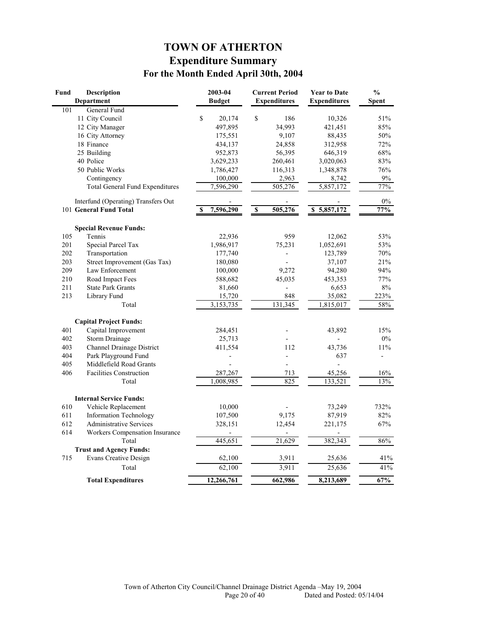# **TOWN OF ATHERTON Expenditure Summary For the Month Ended April 30th, 2004**

| Fund | <b>Description</b>                     | 2003-04          | <b>Current Period</b>              | <b>Year to Date</b>    | $\frac{0}{0}$            |
|------|----------------------------------------|------------------|------------------------------------|------------------------|--------------------------|
|      | <b>Department</b>                      | <b>Budget</b>    | <b>Expenditures</b>                | <b>Expenditures</b>    | <b>Spent</b>             |
| 101  | General Fund                           |                  |                                    |                        |                          |
|      | 11 City Council                        | \$<br>20,174     | \$<br>186                          | 10,326                 | 51%                      |
|      | 12 City Manager                        | 497,895          | 34,993                             | 421,451                | 85%                      |
|      | 16 City Attorney                       | 175,551          | 9,107                              | 88,435                 | 50%                      |
|      | 18 Finance                             | 434,137          | 24,858                             | 312,958                | 72%                      |
|      | 25 Building                            | 952,873          | 56,395                             | 646,319                | 68%                      |
|      | 40 Police                              | 3,629,233        | 260,461                            | 3,020,063              | 83%                      |
|      | 50 Public Works                        | 1,786,427        | 116,313                            | 1,348,878              | $76\%$                   |
|      | Contingency                            | 100,000          | 2,963                              | 8,742                  | $9\%$                    |
|      | <b>Total General Fund Expenditures</b> | 7,596,290        | 505,276                            | 5,857,172              | 77%                      |
|      | Interfund (Operating) Transfers Out    |                  |                                    |                        | $0\%$                    |
|      | 101 General Fund Total                 | 7,596,290        | 505,276<br>$\overline{\mathbf{s}}$ | 5,857,172<br>\$        | 77%                      |
|      | <b>Special Revenue Funds:</b>          |                  |                                    |                        |                          |
| 105  | Tennis                                 | 22,936           | 959                                | 12,062                 | 53%                      |
| 201  | Special Parcel Tax                     | 1,986,917        | 75,231                             | 1,052,691              | 53%                      |
| 202  | Transportation                         | 177,740          |                                    | 123,789                | 70%                      |
| 203  | Street Improvement (Gas Tax)           | 180,080          |                                    | 37,107                 | 21%                      |
| 209  | Law Enforcement                        | 100,000          | 9,272                              | 94,280                 | 94%                      |
| 210  | Road Impact Fees                       | 588,682          | 45,035                             | 453,353                | 77%                      |
| 211  | <b>State Park Grants</b>               | 81,660           |                                    | 6,653                  | $8\%$                    |
| 213  | Library Fund                           | 15,720           | 848                                | 35,082                 | 223%                     |
|      | Total                                  | 3,153,735        | 131,345                            | $\overline{1,815,017}$ | 58%                      |
|      | <b>Capital Project Funds:</b>          |                  |                                    |                        |                          |
| 401  | Capital Improvement                    | 284,451          |                                    | 43,892                 | 15%                      |
| 402  | <b>Storm Drainage</b>                  | 25,713           |                                    |                        | $0\%$                    |
| 403  | Channel Drainage District              | 411,554          | 112                                | 43,736                 | 11%                      |
| 404  | Park Playground Fund                   |                  | $\overline{a}$                     | 637                    | $\overline{\phantom{0}}$ |
| 405  | Middlefield Road Grants                |                  | $\overline{a}$                     | $\overline{a}$         |                          |
| 406  | <b>Facilities Construction</b>         | 287,267          | 713                                | 45,256                 | 16%                      |
|      | Total                                  | 1,008,985        | 825                                | 133,521                | 13%                      |
|      |                                        |                  |                                    |                        |                          |
|      | <b>Internal Service Funds:</b>         |                  |                                    |                        |                          |
| 610  | Vehicle Replacement                    | 10,000           |                                    | 73,249                 | 732%                     |
| 611  | <b>Information Technology</b>          | 107,500          | 9,175                              | 87,919                 | 82%                      |
| 612  | <b>Administrative Services</b>         | 328,151          | 12,454                             | 221,175                | 67%                      |
| 614  | Workers Compensation Insurance         |                  |                                    |                        |                          |
|      | Total                                  | 445,651          | 21,629                             | 382,343                | 86%                      |
|      | <b>Trust and Agency Funds:</b>         |                  |                                    |                        |                          |
| 715  | <b>Evans Creative Design</b><br>Total  | 62,100<br>62,100 | 3,911<br>3,911                     | 25,636                 | 41%<br>41%               |
|      |                                        |                  |                                    | 25,636                 |                          |
|      | <b>Total Expenditures</b>              | 12,266,761       | 662,986                            | 8,213,689              | 67%                      |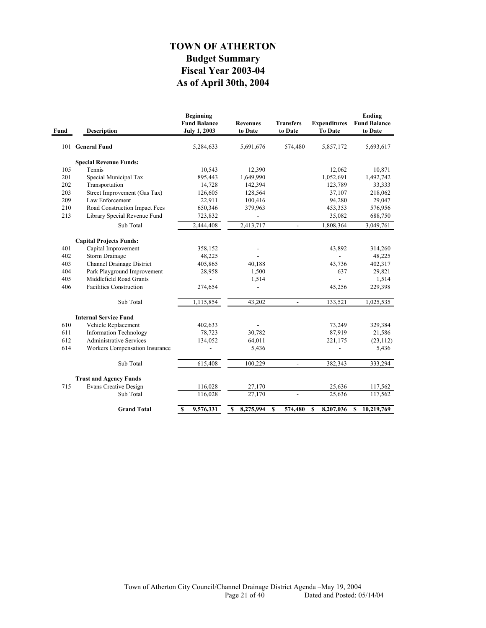# **As of April 30th, 2004 Fiscal Year 2003-04 Budget Summary TOWN OF ATHERTON**

| Fund | <b>Description</b>             | <b>Beginning</b><br><b>Fund Balance</b><br><b>July 1, 2003</b> | <b>Revenues</b><br>to Date | <b>Transfers</b><br>to Date  | <b>Expenditures</b><br><b>To Date</b> | Ending<br><b>Fund Balance</b><br>to Date |
|------|--------------------------------|----------------------------------------------------------------|----------------------------|------------------------------|---------------------------------------|------------------------------------------|
|      | 101 General Fund               | 5,284,633                                                      | 5,691,676                  | 574,480                      | 5,857,172                             | 5,693,617                                |
|      | <b>Special Revenue Funds:</b>  |                                                                |                            |                              |                                       |                                          |
| 105  | Tennis                         | 10,543                                                         | 12,390                     |                              | 12,062                                | 10,871                                   |
| 201  | Special Municipal Tax          | 895,443                                                        | 1,649,990                  |                              | 1,052,691                             | 1,492,742                                |
| 202  | Transportation                 | 14,728                                                         | 142,394                    |                              | 123,789                               | 33,333                                   |
| 203  | Street Improvement (Gas Tax)   | 126,605                                                        | 128,564                    |                              | 37,107                                | 218,062                                  |
| 209  | Law Enforcement                | 22,911                                                         | 100,416                    |                              | 94,280                                | 29,047                                   |
| 210  | Road Construction Impact Fees  | 650,346                                                        | 379,963                    |                              | 453,353                               | 576,956                                  |
| 213  | Library Special Revenue Fund   | 723,832                                                        |                            |                              | 35,082                                | 688,750                                  |
|      | Sub Total                      | 2,444,408                                                      | 2,413,717                  | $\overline{\phantom{a}}$     | 1,808,364                             | 3,049,761                                |
|      | <b>Capital Projects Funds:</b> |                                                                |                            |                              |                                       |                                          |
| 401  | Capital Improvement            | 358,152                                                        |                            |                              | 43,892                                | 314,260                                  |
| 402  | <b>Storm Drainage</b>          | 48,225                                                         |                            |                              |                                       | 48,225                                   |
| 403  | Channel Drainage District      | 405,865                                                        | 40,188                     |                              | 43,736                                | 402,317                                  |
| 404  | Park Playground Improvement    | 28,958                                                         | 1,500                      |                              | 637                                   | 29,821                                   |
| 405  | Middlefield Road Grants        |                                                                | 1,514                      |                              |                                       | 1,514                                    |
| 406  | <b>Facilities Construction</b> | 274,654                                                        |                            |                              | 45,256                                | 229,398                                  |
|      | Sub Total                      | 1,115,854                                                      | 43,202                     | $\overline{a}$               | 133,521                               | 1,025,535                                |
|      | <b>Internal Service Fund</b>   |                                                                |                            |                              |                                       |                                          |
| 610  | Vehicle Replacement            | 402,633                                                        |                            |                              | 73,249                                | 329,384                                  |
| 611  | <b>Information Technology</b>  | 78,723                                                         | 30,782                     |                              | 87,919                                | 21,586                                   |
| 612  | <b>Administrative Services</b> | 134,052                                                        | 64,011                     |                              | 221,175                               | (23, 112)                                |
| 614  | Workers Compensation Insurance |                                                                | 5,436                      |                              |                                       | 5,436                                    |
|      | Sub Total                      | 615,408                                                        | 100,229                    | $\qquad \qquad \blacksquare$ | 382,343                               | 333,294                                  |
|      | <b>Trust and Agency Funds</b>  |                                                                |                            |                              |                                       |                                          |
| 715  | <b>Evans Creative Design</b>   | 116,028                                                        | 27,170                     |                              | 25,636                                | 117,562                                  |
|      | Sub Total                      | 116,028                                                        | 27,170                     | $\frac{1}{2}$                | 25,636                                | 117,562                                  |
|      | <b>Grand Total</b>             | 9,576,331<br>$\mathbf{s}$                                      | \$<br>8,275,994            | \$<br>574,480                | 8,207,036<br>S                        | 10,219,769<br>\$                         |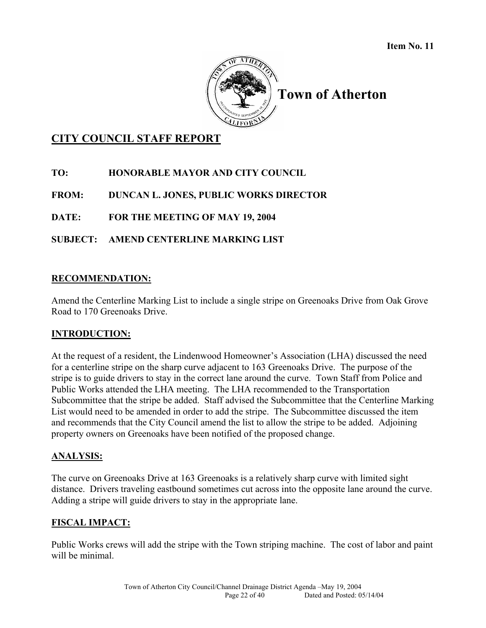

**Town of Atherton** 

# **CITY COUNCIL STAFF REPORT**

**TO: HONORABLE MAYOR AND CITY COUNCIL** 

**FROM: DUNCAN L. JONES, PUBLIC WORKS DIRECTOR** 

**DATE: FOR THE MEETING OF MAY 19, 2004** 

# **SUBJECT: AMEND CENTERLINE MARKING LIST**

## **RECOMMENDATION:**

Amend the Centerline Marking List to include a single stripe on Greenoaks Drive from Oak Grove Road to 170 Greenoaks Drive.

# **INTRODUCTION:**

At the request of a resident, the Lindenwood Homeowner's Association (LHA) discussed the need for a centerline stripe on the sharp curve adjacent to 163 Greenoaks Drive. The purpose of the stripe is to guide drivers to stay in the correct lane around the curve. Town Staff from Police and Public Works attended the LHA meeting. The LHA recommended to the Transportation Subcommittee that the stripe be added. Staff advised the Subcommittee that the Centerline Marking List would need to be amended in order to add the stripe. The Subcommittee discussed the item and recommends that the City Council amend the list to allow the stripe to be added. Adjoining property owners on Greenoaks have been notified of the proposed change.

## **ANALYSIS:**

The curve on Greenoaks Drive at 163 Greenoaks is a relatively sharp curve with limited sight distance. Drivers traveling eastbound sometimes cut across into the opposite lane around the curve. Adding a stripe will guide drivers to stay in the appropriate lane.

## **FISCAL IMPACT:**

Public Works crews will add the stripe with the Town striping machine. The cost of labor and paint will be minimal.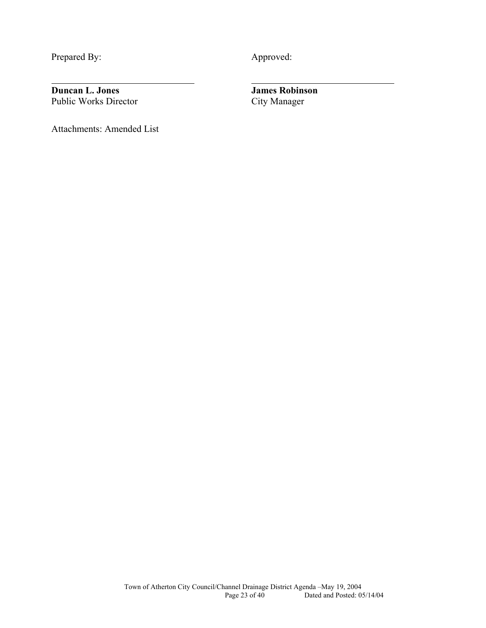Prepared By: Approved:

l

**Duncan L. Jones**<br>
Public Works Director<br>
City Manager Public Works Director

Attachments: Amended List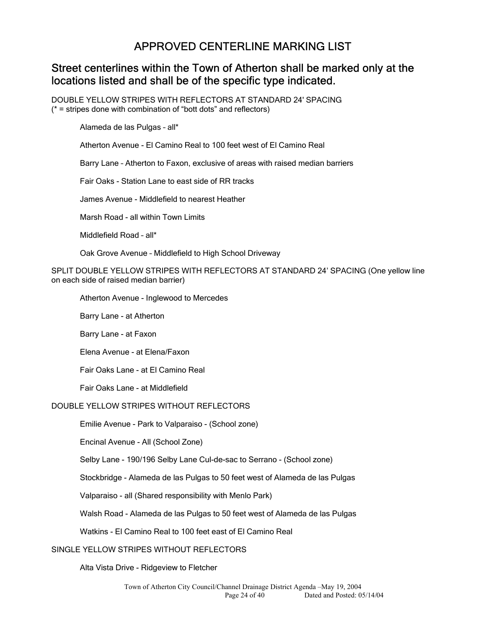# APPROVED CENTERLINE MARKING LIST

# Street centerlines within the Town of Atherton shall be marked only at the locations listed and shall be of the specific type indicated.

DOUBLE YELLOW STRIPES WITH REFLECTORS AT STANDARD 24' SPACING (\* = stripes done with combination of "bott dots" and reflectors)

Alameda de las Pulgas – all\*

Atherton Avenue - El Camino Real to 100 feet west of El Camino Real

Barry Lane – Atherton to Faxon, exclusive of areas with raised median barriers

Fair Oaks - Station Lane to east side of RR tracks

James Avenue - Middlefield to nearest Heather

Marsh Road - all within Town Limits

Middlefield Road – all\*

Oak Grove Avenue – Middlefield to High School Driveway

SPLIT DOUBLE YELLOW STRIPES WITH REFLECTORS AT STANDARD 24' SPACING (One yellow line on each side of raised median barrier)

Atherton Avenue - Inglewood to Mercedes

Barry Lane - at Atherton

Barry Lane - at Faxon

Elena Avenue - at Elena/Faxon

Fair Oaks Lane - at El Camino Real

Fair Oaks Lane - at Middlefield

#### DOUBLE YELLOW STRIPES WITHOUT REFLECTORS

Emilie Avenue - Park to Valparaiso - (School zone)

Encinal Avenue - All (School Zone)

Selby Lane - 190/196 Selby Lane Cul-de-sac to Serrano - (School zone)

Stockbridge - Alameda de las Pulgas to 50 feet west of Alameda de las Pulgas

Valparaiso - all (Shared responsibility with Menlo Park)

Walsh Road - Alameda de las Pulgas to 50 feet west of Alameda de las Pulgas

Watkins - El Camino Real to 100 feet east of El Camino Real

#### SINGLE YELLOW STRIPES WITHOUT REFLECTORS

Alta Vista Drive - Ridgeview to Fletcher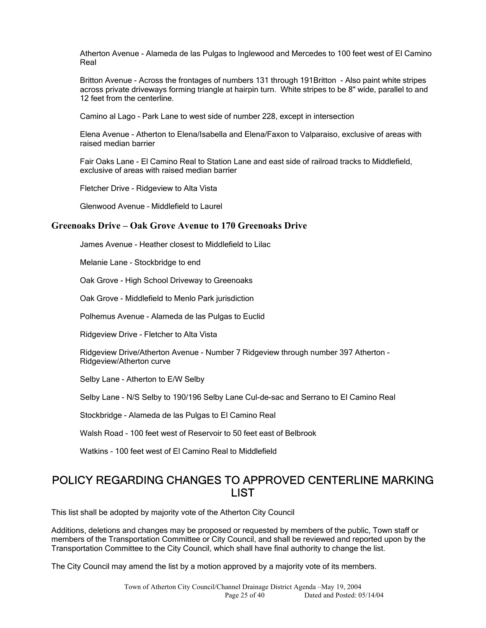Atherton Avenue - Alameda de las Pulgas to Inglewood and Mercedes to 100 feet west of El Camino Real

Britton Avenue - Across the frontages of numbers 131 through 191Britton - Also paint white stripes across private driveways forming triangle at hairpin turn. White stripes to be 8" wide, parallel to and 12 feet from the centerline.

Camino al Lago - Park Lane to west side of number 228, except in intersection

Elena Avenue - Atherton to Elena/Isabella and Elena/Faxon to Valparaiso, exclusive of areas with raised median barrier

Fair Oaks Lane - El Camino Real to Station Lane and east side of railroad tracks to Middlefield, exclusive of areas with raised median barrier

Fletcher Drive - Ridgeview to Alta Vista

Glenwood Avenue – Middlefield to Laurel

#### **Greenoaks Drive – Oak Grove Avenue to 170 Greenoaks Drive**

James Avenue - Heather closest to Middlefield to Lilac

Melanie Lane - Stockbridge to end

Oak Grove - High School Driveway to Greenoaks

Oak Grove - Middlefield to Menlo Park jurisdiction

Polhemus Avenue - Alameda de las Pulgas to Euclid

Ridgeview Drive - Fletcher to Alta Vista

Ridgeview Drive/Atherton Avenue - Number 7 Ridgeview through number 397 Atherton - Ridgeview/Atherton curve

Selby Lane - Atherton to E/W Selby

Selby Lane - N/S Selby to 190/196 Selby Lane Cul-de-sac and Serrano to El Camino Real

Stockbridge - Alameda de las Pulgas to El Camino Real

Walsh Road - 100 feet west of Reservoir to 50 feet east of Belbrook

Watkins - 100 feet west of El Camino Real to Middlefield

# POLICY REGARDING CHANGES TO APPROVED CENTERLINE MARKING LIST

This list shall be adopted by majority vote of the Atherton City Council

Additions, deletions and changes may be proposed or requested by members of the public, Town staff or members of the Transportation Committee or City Council, and shall be reviewed and reported upon by the Transportation Committee to the City Council, which shall have final authority to change the list.

The City Council may amend the list by a motion approved by a majority vote of its members.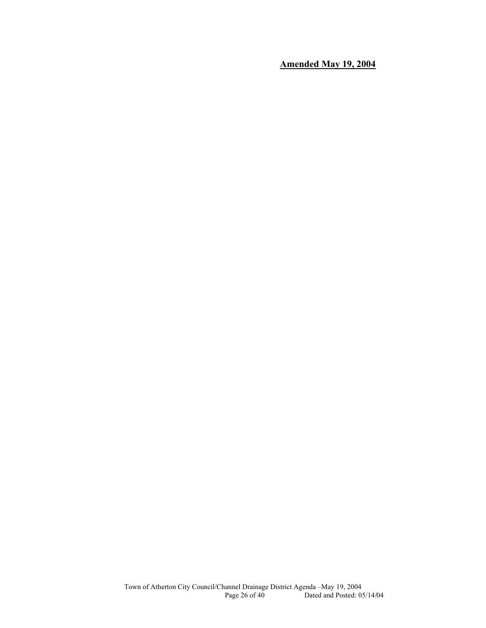**Amended May 19, 2004**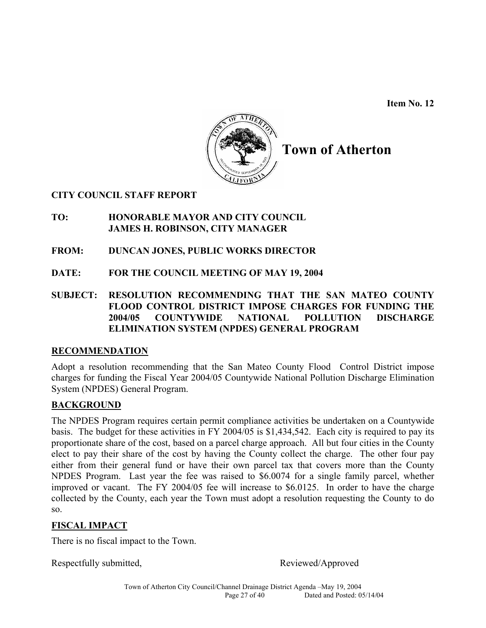**Item No. 12**



**Town of Atherton**

## **CITY COUNCIL STAFF REPORT**

## **TO: HONORABLE MAYOR AND CITY COUNCIL JAMES H. ROBINSON, CITY MANAGER**

- **FROM: DUNCAN JONES, PUBLIC WORKS DIRECTOR**
- **DATE: FOR THE COUNCIL MEETING OF MAY 19, 2004**
- **SUBJECT: RESOLUTION RECOMMENDING THAT THE SAN MATEO COUNTY FLOOD CONTROL DISTRICT IMPOSE CHARGES FOR FUNDING THE 2004/05 COUNTYWIDE NATIONAL POLLUTION DISCHARGE ELIMINATION SYSTEM (NPDES) GENERAL PROGRAM**

## **RECOMMENDATION**

Adopt a resolution recommending that the San Mateo County Flood Control District impose charges for funding the Fiscal Year 2004/05 Countywide National Pollution Discharge Elimination System (NPDES) General Program.

# **BACKGROUND**

The NPDES Program requires certain permit compliance activities be undertaken on a Countywide basis. The budget for these activities in FY 2004/05 is \$1,434,542. Each city is required to pay its proportionate share of the cost, based on a parcel charge approach. All but four cities in the County elect to pay their share of the cost by having the County collect the charge. The other four pay either from their general fund or have their own parcel tax that covers more than the County NPDES Program. Last year the fee was raised to \$6.0074 for a single family parcel, whether improved or vacant. The FY 2004/05 fee will increase to \$6.0125. In order to have the charge collected by the County, each year the Town must adopt a resolution requesting the County to do so.

# **FISCAL IMPACT**

There is no fiscal impact to the Town.

Respectfully submitted, Reviewed/Approved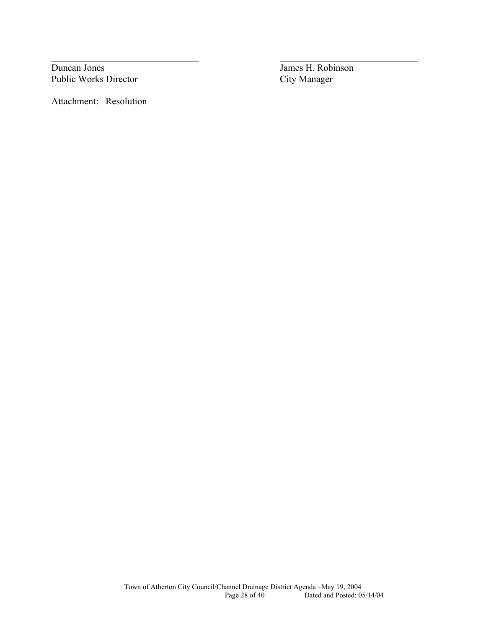**Duncan Jones** James H. Robinson Public Works Director City Manager

Attachment: Resolution

 $\_$  , and the contribution of the contribution of  $\mathcal{L}_\mathcal{A}$  , and the contribution of  $\mathcal{L}_\mathcal{A}$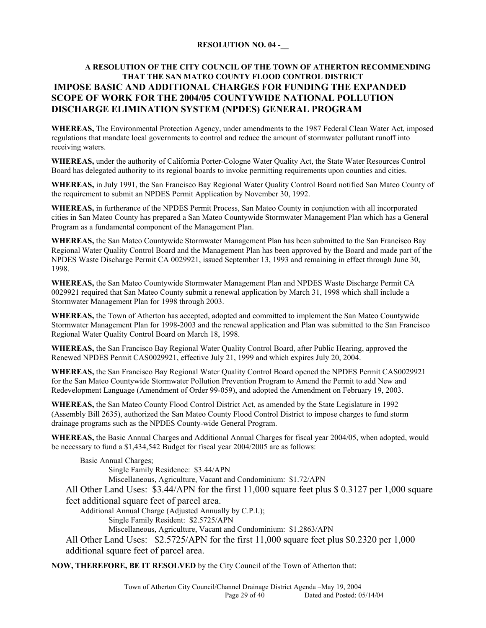#### **RESOLUTION NO. 04 -\_\_**

### **A RESOLUTION OF THE CITY COUNCIL OF THE TOWN OF ATHERTON RECOMMENDING THAT THE SAN MATEO COUNTY FLOOD CONTROL DISTRICT IMPOSE BASIC AND ADDITIONAL CHARGES FOR FUNDING THE EXPANDED SCOPE OF WORK FOR THE 2004/05 COUNTYWIDE NATIONAL POLLUTION DISCHARGE ELIMINATION SYSTEM (NPDES) GENERAL PROGRAM**

**WHEREAS,** The Environmental Protection Agency, under amendments to the 1987 Federal Clean Water Act, imposed regulations that mandate local governments to control and reduce the amount of stormwater pollutant runoff into receiving waters.

**WHEREAS,** under the authority of California Porter-Cologne Water Quality Act, the State Water Resources Control Board has delegated authority to its regional boards to invoke permitting requirements upon counties and cities.

**WHEREAS,** in July 1991, the San Francisco Bay Regional Water Quality Control Board notified San Mateo County of the requirement to submit an NPDES Permit Application by November 30, 1992.

**WHEREAS,** in furtherance of the NPDES Permit Process, San Mateo County in conjunction with all incorporated cities in San Mateo County has prepared a San Mateo Countywide Stormwater Management Plan which has a General Program as a fundamental component of the Management Plan.

**WHEREAS,** the San Mateo Countywide Stormwater Management Plan has been submitted to the San Francisco Bay Regional Water Quality Control Board and the Management Plan has been approved by the Board and made part of the NPDES Waste Discharge Permit CA 0029921, issued September 13, 1993 and remaining in effect through June 30, 1998.

**WHEREAS,** the San Mateo Countywide Stormwater Management Plan and NPDES Waste Discharge Permit CA 0029921 required that San Mateo County submit a renewal application by March 31, 1998 which shall include a Stormwater Management Plan for 1998 through 2003.

**WHEREAS,** the Town of Atherton has accepted, adopted and committed to implement the San Mateo Countywide Stormwater Management Plan for 1998-2003 and the renewal application and Plan was submitted to the San Francisco Regional Water Quality Control Board on March 18, 1998.

**WHEREAS,** the San Francisco Bay Regional Water Quality Control Board, after Public Hearing, approved the Renewed NPDES Permit CAS0029921, effective July 21, 1999 and which expires July 20, 2004.

**WHEREAS,** the San Francisco Bay Regional Water Quality Control Board opened the NPDES Permit CAS0029921 for the San Mateo Countywide Stormwater Pollution Prevention Program to Amend the Permit to add New and Redevelopment Language (Amendment of Order 99-059), and adopted the Amendment on February 19, 2003.

**WHEREAS,** the San Mateo County Flood Control District Act, as amended by the State Legislature in 1992 (Assembly Bill 2635), authorized the San Mateo County Flood Control District to impose charges to fund storm drainage programs such as the NPDES County-wide General Program.

**WHEREAS,** the Basic Annual Charges and Additional Annual Charges for fiscal year 2004/05, when adopted, would be necessary to fund a \$1,434,542 Budget for fiscal year 2004/2005 are as follows:

Basic Annual Charges; Single Family Residence: \$3.44/APN Miscellaneous, Agriculture, Vacant and Condominium: \$1.72/APN All Other Land Uses: \$3.44/APN for the first 11,000 square feet plus \$ 0.3127 per 1,000 square feet additional square feet of parcel area. Additional Annual Charge (Adjusted Annually by C.P.I.); Single Family Resident: \$2.5725/APN Miscellaneous, Agriculture, Vacant and Condominium: \$1.2863/APN All Other Land Uses: \$2.5725/APN for the first 11,000 square feet plus \$0.2320 per 1,000 additional square feet of parcel area.

**NOW, THEREFORE, BE IT RESOLVED** by the City Council of the Town of Atherton that: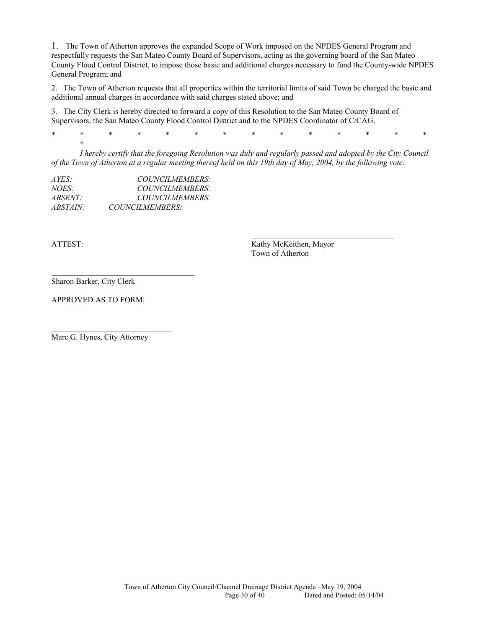1. The Town of Atherton approves the expanded Scope of Work imposed on the NPDES General Program and respectfully requests the San Mateo County Board of Supervisors, acting as the governing board of the San Mateo County Flood Control District, to impose those basic and additional charges necessary to fund the County-wide NPDES General Program; and

2. The Town of Atherton requests that all properties within the territorial limits of said Town be charged the basic and additional annual charges in accordance with said charges stated above; and

3. The City Clerk is hereby directed to forward a copy of this Resolution to the San Mateo County Board of Supervisors, the San Mateo County Flood Control District and to the NPDES Coordinator of C/CAG.

\* \* \* \* \* \* \* \* \* \* \* \* \* \*

*I hereby certify that the foregoing Resolution was duly and regularly passed and adopted by the City Council of the Town of Atherton at a regular meeting thereof held on this 19th day of May, 2004, by the following vote:* 

| AYES:           | <b>COUNCILMEMBERS:</b> |
|-----------------|------------------------|
| NOES:           | COUNCILMEMBERS:        |
| <i>ABSENT:</i>  | <b>COUNCILMEMBERS</b>  |
| <i>ABSTAIN:</i> | COUNCILMEMBERS:        |

 $\star$ 

ATTEST: Kathy McKeithen, Mayor Town of Atherton

Sharon Barker, City Clerk

APPROVED AS TO FORM:

Marc G. Hynes, City Attorney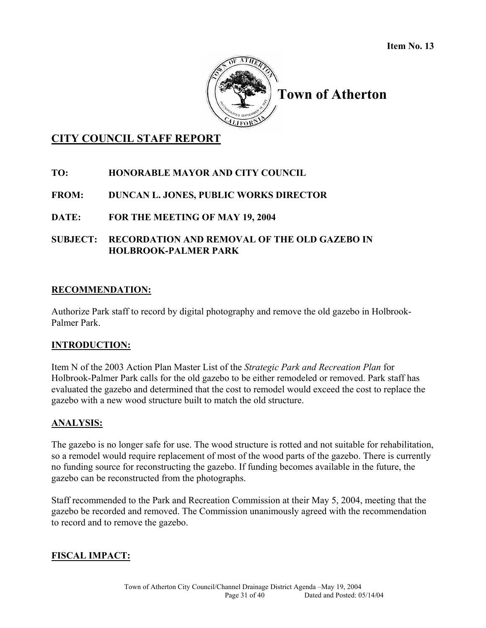

# **Town of Atherton**

# **CITY COUNCIL STAFF REPORT**

# **TO: HONORABLE MAYOR AND CITY COUNCIL**

## **FROM: DUNCAN L. JONES, PUBLIC WORKS DIRECTOR**

## **DATE: FOR THE MEETING OF MAY 19, 2004**

## **SUBJECT: RECORDATION AND REMOVAL OF THE OLD GAZEBO IN HOLBROOK-PALMER PARK**

### **RECOMMENDATION:**

Authorize Park staff to record by digital photography and remove the old gazebo in Holbrook-Palmer Park.

## **INTRODUCTION:**

Item N of the 2003 Action Plan Master List of the *Strategic Park and Recreation Plan* for Holbrook-Palmer Park calls for the old gazebo to be either remodeled or removed. Park staff has evaluated the gazebo and determined that the cost to remodel would exceed the cost to replace the gazebo with a new wood structure built to match the old structure.

## **ANALYSIS:**

The gazebo is no longer safe for use. The wood structure is rotted and not suitable for rehabilitation, so a remodel would require replacement of most of the wood parts of the gazebo. There is currently no funding source for reconstructing the gazebo. If funding becomes available in the future, the gazebo can be reconstructed from the photographs.

Staff recommended to the Park and Recreation Commission at their May 5, 2004, meeting that the gazebo be recorded and removed. The Commission unanimously agreed with the recommendation to record and to remove the gazebo.

# **FISCAL IMPACT:**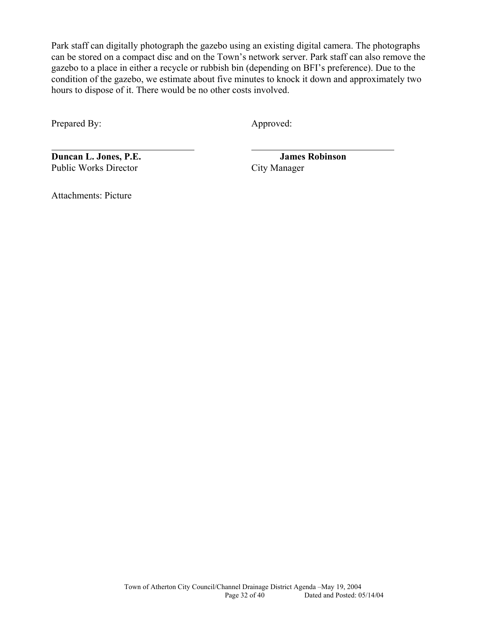Park staff can digitally photograph the gazebo using an existing digital camera. The photographs can be stored on a compact disc and on the Town's network server. Park staff can also remove the gazebo to a place in either a recycle or rubbish bin (depending on BFI's preference). Due to the condition of the gazebo, we estimate about five minutes to knock it down and approximately two hours to dispose of it. There would be no other costs involved.

Prepared By: Approved:

 $\overline{a}$ 

**Duncan L. Jones, P.E.** James Robinson Public Works Director City Manager

Attachments: Picture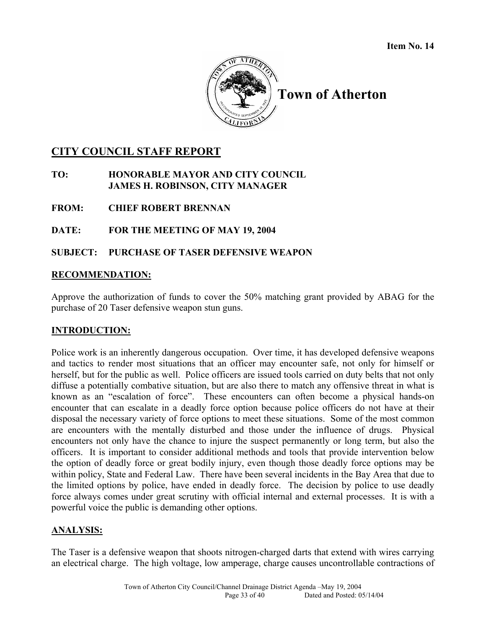

**Town of Atherton** 

# **CITY COUNCIL STAFF REPORT**

**TO: HONORABLE MAYOR AND CITY COUNCIL JAMES H. ROBINSON, CITY MANAGER** 

**FROM: CHIEF ROBERT BRENNAN** 

**DATE: FOR THE MEETING OF MAY 19, 2004** 

## **SUBJECT: PURCHASE OF TASER DEFENSIVE WEAPON**

## **RECOMMENDATION:**

Approve the authorization of funds to cover the 50% matching grant provided by ABAG for the purchase of 20 Taser defensive weapon stun guns.

## **INTRODUCTION:**

Police work is an inherently dangerous occupation. Over time, it has developed defensive weapons and tactics to render most situations that an officer may encounter safe, not only for himself or herself, but for the public as well. Police officers are issued tools carried on duty belts that not only diffuse a potentially combative situation, but are also there to match any offensive threat in what is known as an "escalation of force". These encounters can often become a physical hands-on encounter that can escalate in a deadly force option because police officers do not have at their disposal the necessary variety of force options to meet these situations. Some of the most common are encounters with the mentally disturbed and those under the influence of drugs. Physical encounters not only have the chance to injure the suspect permanently or long term, but also the officers. It is important to consider additional methods and tools that provide intervention below the option of deadly force or great bodily injury, even though those deadly force options may be within policy, State and Federal Law. There have been several incidents in the Bay Area that due to the limited options by police, have ended in deadly force. The decision by police to use deadly force always comes under great scrutiny with official internal and external processes. It is with a powerful voice the public is demanding other options.

## **ANALYSIS:**

The Taser is a defensive weapon that shoots nitrogen-charged darts that extend with wires carrying an electrical charge. The high voltage, low amperage, charge causes uncontrollable contractions of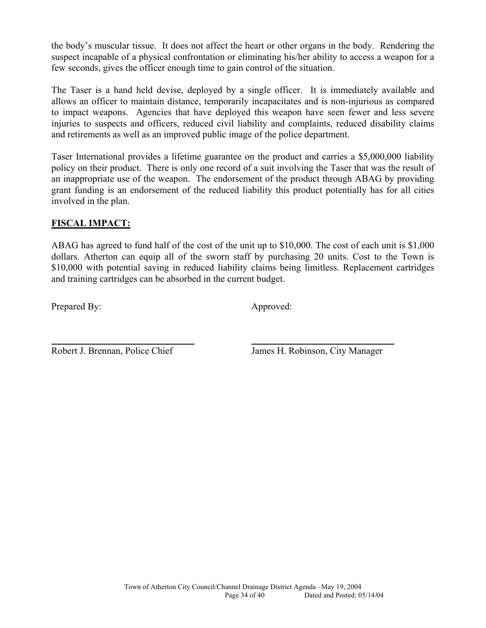the body's muscular tissue. It does not affect the heart or other organs in the body. Rendering the suspect incapable of a physical confrontation or eliminating his/her ability to access a weapon for a few seconds, gives the officer enough time to gain control of the situation.

The Taser is a hand held devise, deployed by a single officer. It is immediately available and allows an officer to maintain distance, temporarily incapacitates and is non-injurious as compared to impact weapons. Agencies that have deployed this weapon have seen fewer and less severe injuries to suspects and officers, reduced civil liability and complaints, reduced disability claims and retirements as well as an improved public image of the police department.

Taser International provides a lifetime guarantee on the product and carries a \$5,000,000 liability policy on their product. There is only one record of a suit involving the Taser that was the result of an inappropriate use of the weapon. The endorsement of the product through ABAG by providing grant funding is an endorsement of the reduced liability this product potentially has for all cities involved in the plan.

# **FISCAL IMPACT:**

ABAG has agreed to fund half of the cost of the unit up to \$10,000. The cost of each unit is \$1,000 dollars. Atherton can equip all of the sworn staff by purchasing 20 units. Cost to the Town is \$10,000 with potential saving in reduced liability claims being limitless. Replacement cartridges and training cartridges can be absorbed in the current budget.

Prepared By: Approved:

 $\overline{a}$ 

Robert J. Brennan, Police Chief James H. Robinson, City Manager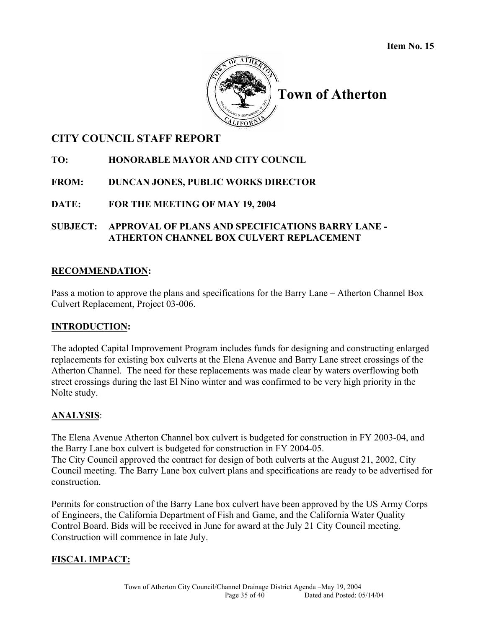

**Town of Atherton** 

# **CITY COUNCIL STAFF REPORT**

# **TO: HONORABLE MAYOR AND CITY COUNCIL**

# **FROM: DUNCAN JONES, PUBLIC WORKS DIRECTOR**

# **DATE: FOR THE MEETING OF MAY 19, 2004**

## **SUBJECT: APPROVAL OF PLANS AND SPECIFICATIONS BARRY LANE - ATHERTON CHANNEL BOX CULVERT REPLACEMENT**

# **RECOMMENDATION:**

Pass a motion to approve the plans and specifications for the Barry Lane – Atherton Channel Box Culvert Replacement, Project 03-006.

# **INTRODUCTION:**

The adopted Capital Improvement Program includes funds for designing and constructing enlarged replacements for existing box culverts at the Elena Avenue and Barry Lane street crossings of the Atherton Channel. The need for these replacements was made clear by waters overflowing both street crossings during the last El Nino winter and was confirmed to be very high priority in the Nolte study.

# **ANALYSIS**:

The Elena Avenue Atherton Channel box culvert is budgeted for construction in FY 2003-04, and the Barry Lane box culvert is budgeted for construction in FY 2004-05. The City Council approved the contract for design of both culverts at the August 21, 2002, City Council meeting. The Barry Lane box culvert plans and specifications are ready to be advertised for construction.

Permits for construction of the Barry Lane box culvert have been approved by the US Army Corps of Engineers, the California Department of Fish and Game, and the California Water Quality Control Board. Bids will be received in June for award at the July 21 City Council meeting. Construction will commence in late July.

# **FISCAL IMPACT:**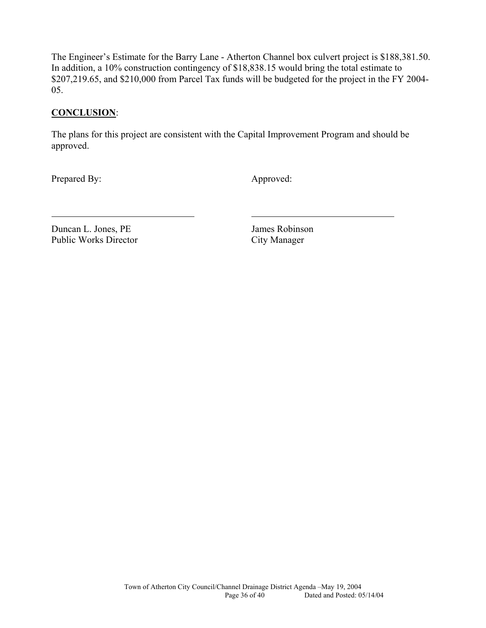The Engineer's Estimate for the Barry Lane - Atherton Channel box culvert project is \$188,381.50. In addition, a 10% construction contingency of \$18,838.15 would bring the total estimate to \$207,219.65, and \$210,000 from Parcel Tax funds will be budgeted for the project in the FY 2004- 05.

## **CONCLUSION**:

The plans for this project are consistent with the Capital Improvement Program and should be approved.

Prepared By: Approved:

l

Duncan L. Jones, PE James Robinson Public Works Director City Manager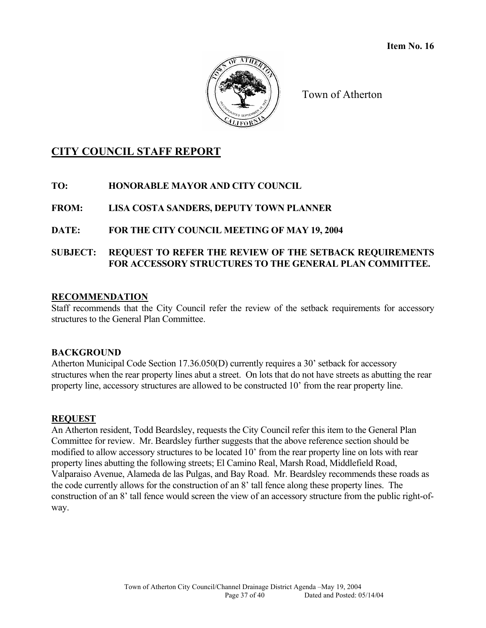

Town of Atherton

## **CITY COUNCIL STAFF REPORT**

#### **TO: HONORABLE MAYOR AND CITY COUNCIL**

#### **FROM: LISA COSTA SANDERS, DEPUTY TOWN PLANNER**

#### **DATE: FOR THE CITY COUNCIL MEETING OF MAY 19, 2004**

#### **SUBJECT: REQUEST TO REFER THE REVIEW OF THE SETBACK REQUIREMENTS FOR ACCESSORY STRUCTURES TO THE GENERAL PLAN COMMITTEE.**

#### **RECOMMENDATION**

Staff recommends that the City Council refer the review of the setback requirements for accessory structures to the General Plan Committee.

#### **BACKGROUND**

Atherton Municipal Code Section 17.36.050(D) currently requires a 30' setback for accessory structures when the rear property lines abut a street. On lots that do not have streets as abutting the rear property line, accessory structures are allowed to be constructed 10' from the rear property line.

#### **REQUEST**

An Atherton resident, Todd Beardsley, requests the City Council refer this item to the General Plan Committee for review. Mr. Beardsley further suggests that the above reference section should be modified to allow accessory structures to be located 10' from the rear property line on lots with rear property lines abutting the following streets; El Camino Real, Marsh Road, Middlefield Road, Valparaiso Avenue, Alameda de las Pulgas, and Bay Road. Mr. Beardsley recommends these roads as the code currently allows for the construction of an 8' tall fence along these property lines. The construction of an 8' tall fence would screen the view of an accessory structure from the public right-ofway.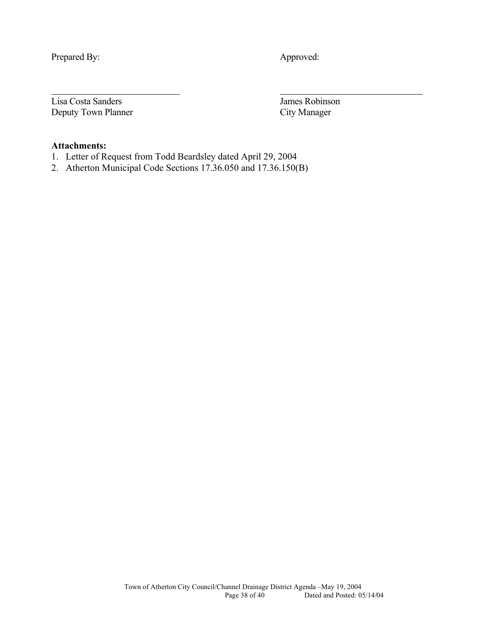Prepared By: Approved:

 $\overline{a}$ 

Lisa Costa Sanders James Robinson Deputy Town Planner City Manager

#### **Attachments:**

- 1. Letter of Request from Todd Beardsley dated April 29, 2004
- 2. Atherton Municipal Code Sections 17.36.050 and 17.36.150(B)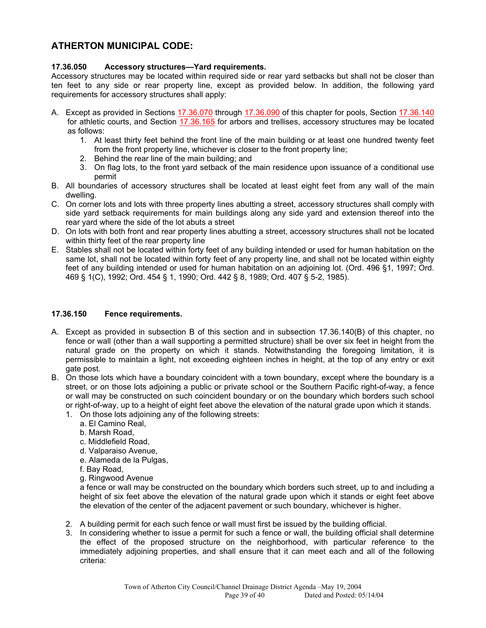#### **ATHERTON MUNICIPAL CODE:**

#### **17.36.050 Accessory structures—Yard requirements.**

Accessory structures may be located within required side or rear yard setbacks but shall not be closer than ten feet to any side or rear property line, except as provided below. In addition, the following yard requirements for accessory structures shall apply:

- A. Except as provided in Sections [17.36.070](http://nt5.scbbs.com/cgi-bin/om_isapi.dll?clientID=422411&infobase=atherton.nfo&jump=17.36.070&softpage=PL_frame) through [17.36.090](http://nt5.scbbs.com/cgi-bin/om_isapi.dll?clientID=422411&infobase=atherton.nfo&jump=17.36.090&softpage=PL_frame) of this chapter for pools, Section [17.36.140](http://nt5.scbbs.com/cgi-bin/om_isapi.dll?clientID=422411&infobase=atherton.nfo&jump=17.36.140&softpage=PL_frame) for athletic courts, and Section [17.36.165](http://nt5.scbbs.com/cgi-bin/om_isapi.dll?clientID=422411&infobase=atherton.nfo&jump=17.36.165&softpage=PL_frame) for arbors and trellises, accessory structures may be located as follows:
	- 1. At least thirty feet behind the front line of the main building or at least one hundred twenty feet from the front property line, whichever is closer to the front property line;
	- 2. Behind the rear line of the main building; and
	- 3. On flag lots, to the front yard setback of the main residence upon issuance of a conditional use permit
- B. All boundaries of accessory structures shall be located at least eight feet from any wall of the main dwelling.
- C. On corner lots and lots with three property lines abutting a street, accessory structures shall comply with side yard setback requirements for main buildings along any side yard and extension thereof into the rear yard where the side of the lot abuts a street
- D. On lots with both front and rear property lines abutting a street, accessory structures shall not be located within thirty feet of the rear property line
- E. Stables shall not be located within forty feet of any building intended or used for human habitation on the same lot, shall not be located within forty feet of any property line, and shall not be located within eighty feet of any building intended or used for human habitation on an adjoining lot. (Ord. 496 §1, 1997; Ord. 469 § 1(C), 1992; Ord. 454 § 1, 1990; Ord. 442 § 8, 1989; Ord. 407 § 5-2, 1985).

#### **17.36.150 Fence requirements.**

- A. Except as provided in subsection B of this section and in subsection 17.36.140(B) of this chapter, no fence or wall (other than a wall supporting a permitted structure) shall be over six feet in height from the natural grade on the property on which it stands. Notwithstanding the foregoing limitation, it is permissible to maintain a light, not exceeding eighteen inches in height, at the top of any entry or exit gate post.
- B. On those lots which have a boundary coincident with a town boundary, except where the boundary is a street, or on those lots adjoining a public or private school or the Southern Pacific right-of-way, a fence or wall may be constructed on such coincident boundary or on the boundary which borders such school or right-of-way, up to a height of eight feet above the elevation of the natural grade upon which it stands.
	- 1. On those lots adjoining any of the following streets:
		- a. El Camino Real,
		- b. Marsh Road,
		- c. Middlefield Road,
		- d. Valparaiso Avenue,
		- e. Alameda de la Pulgas,
		- f. Bay Road,
		- g. Ringwood Avenue

a fence or wall may be constructed on the boundary which borders such street, up to and including a height of six feet above the elevation of the natural grade upon which it stands or eight feet above the elevation of the center of the adjacent pavement or such boundary, whichever is higher.

- 2. A building permit for each such fence or wall must first be issued by the building official.
- 3. In considering whether to issue a permit for such a fence or wall, the building official shall determine the effect of the proposed structure on the neighborhood, with particular reference to the immediately adjoining properties, and shall ensure that it can meet each and all of the following criteria: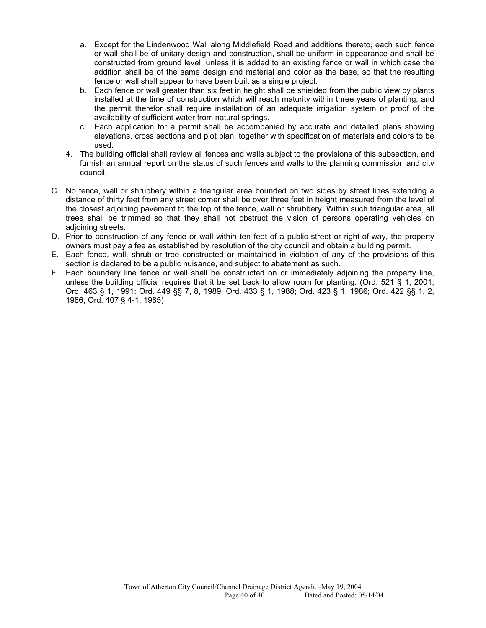- a. Except for the Lindenwood Wall along Middlefield Road and additions thereto, each such fence or wall shall be of unitary design and construction, shall be uniform in appearance and shall be constructed from ground level, unless it is added to an existing fence or wall in which case the addition shall be of the same design and material and color as the base, so that the resulting fence or wall shall appear to have been built as a single project.
- b. Each fence or wall greater than six feet in height shall be shielded from the public view by plants installed at the time of construction which will reach maturity within three years of planting, and the permit therefor shall require installation of an adequate irrigation system or proof of the availability of sufficient water from natural springs.
- c. Each application for a permit shall be accompanied by accurate and detailed plans showing elevations, cross sections and plot plan, together with specification of materials and colors to be used.
- 4. The building official shall review all fences and walls subject to the provisions of this subsection, and furnish an annual report on the status of such fences and walls to the planning commission and city council.
- C. No fence, wall or shrubbery within a triangular area bounded on two sides by street lines extending a distance of thirty feet from any street corner shall be over three feet in height measured from the level of the closest adjoining pavement to the top of the fence, wall or shrubbery. Within such triangular area, all trees shall be trimmed so that they shall not obstruct the vision of persons operating vehicles on adjoining streets.
- D. Prior to construction of any fence or wall within ten feet of a public street or right-of-way, the property owners must pay a fee as established by resolution of the city council and obtain a building permit.
- E. Each fence, wall, shrub or tree constructed or maintained in violation of any of the provisions of this section is declared to be a public nuisance, and subject to abatement as such.
- F. Each boundary line fence or wall shall be constructed on or immediately adjoining the property line, unless the building official requires that it be set back to allow room for planting. (Ord. 521 § 1, 2001; Ord. 463 § 1, 1991: Ord. 449 §§ 7, 8, 1989; Ord. 433 § 1, 1988; Ord. 423 § 1, 1986; Ord. 422 §§ 1, 2, 1986; Ord. 407 § 4-1, 1985)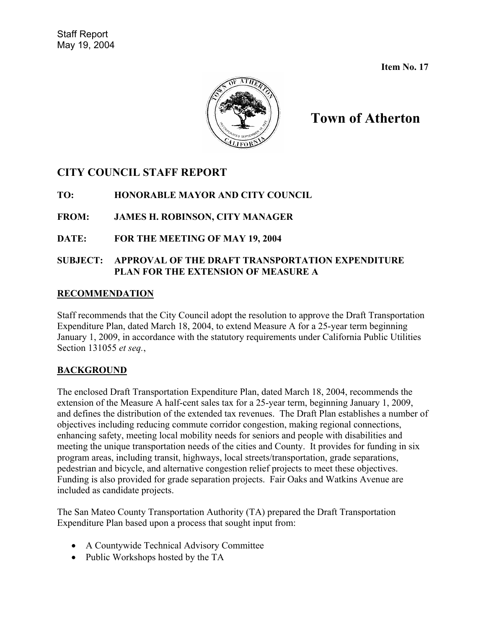**Item No. 17** 



# **Town of Atherton**

## **CITY COUNCIL STAFF REPORT**

**TO: HONORABLE MAYOR AND CITY COUNCIL** 

## **FROM: JAMES H. ROBINSON, CITY MANAGER**

## **DATE: FOR THE MEETING OF MAY 19, 2004**

#### **SUBJECT: APPROVAL OF THE DRAFT TRANSPORTATION EXPENDITURE PLAN FOR THE EXTENSION OF MEASURE A**

#### **RECOMMENDATION**

Staff recommends that the City Council adopt the resolution to approve the Draft Transportation Expenditure Plan, dated March 18, 2004, to extend Measure A for a 25-year term beginning January 1, 2009, in accordance with the statutory requirements under California Public Utilities Section 131055 *et seq.*,

## **BACKGROUND**

The enclosed Draft Transportation Expenditure Plan, dated March 18, 2004, recommends the extension of the Measure A half-cent sales tax for a 25-year term, beginning January 1, 2009, and defines the distribution of the extended tax revenues. The Draft Plan establishes a number of objectives including reducing commute corridor congestion, making regional connections, enhancing safety, meeting local mobility needs for seniors and people with disabilities and meeting the unique transportation needs of the cities and County. It provides for funding in six program areas, including transit, highways, local streets/transportation, grade separations, pedestrian and bicycle, and alternative congestion relief projects to meet these objectives. Funding is also provided for grade separation projects. Fair Oaks and Watkins Avenue are included as candidate projects.

The San Mateo County Transportation Authority (TA) prepared the Draft Transportation Expenditure Plan based upon a process that sought input from:

- A Countywide Technical Advisory Committee
- Public Workshops hosted by the TA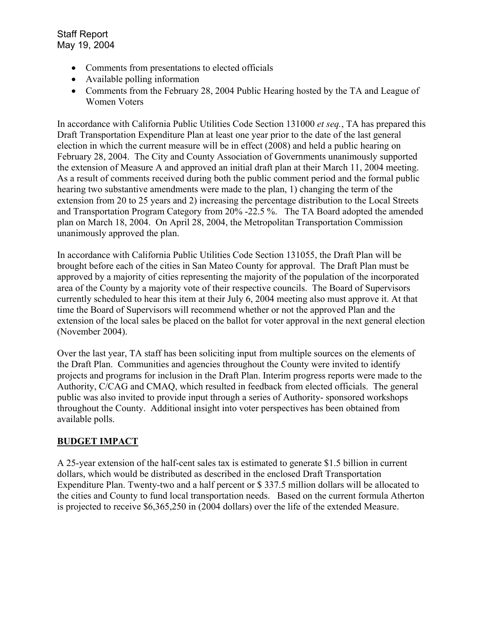- Comments from presentations to elected officials
- Available polling information
- Comments from the February 28, 2004 Public Hearing hosted by the TA and League of Women Voters

In accordance with California Public Utilities Code Section 131000 *et seq.*, TA has prepared this Draft Transportation Expenditure Plan at least one year prior to the date of the last general election in which the current measure will be in effect (2008) and held a public hearing on February 28, 2004. The City and County Association of Governments unanimously supported the extension of Measure A and approved an initial draft plan at their March 11, 2004 meeting. As a result of comments received during both the public comment period and the formal public hearing two substantive amendments were made to the plan, 1) changing the term of the extension from 20 to 25 years and 2) increasing the percentage distribution to the Local Streets and Transportation Program Category from 20% -22.5 %. The TA Board adopted the amended plan on March 18, 2004. On April 28, 2004, the Metropolitan Transportation Commission unanimously approved the plan.

In accordance with California Public Utilities Code Section 131055, the Draft Plan will be brought before each of the cities in San Mateo County for approval. The Draft Plan must be approved by a majority of cities representing the majority of the population of the incorporated area of the County by a majority vote of their respective councils. The Board of Supervisors currently scheduled to hear this item at their July 6, 2004 meeting also must approve it. At that time the Board of Supervisors will recommend whether or not the approved Plan and the extension of the local sales be placed on the ballot for voter approval in the next general election (November 2004).

Over the last year, TA staff has been soliciting input from multiple sources on the elements of the Draft Plan. Communities and agencies throughout the County were invited to identify projects and programs for inclusion in the Draft Plan. Interim progress reports were made to the Authority, C/CAG and CMAQ, which resulted in feedback from elected officials. The general public was also invited to provide input through a series of Authority- sponsored workshops throughout the County. Additional insight into voter perspectives has been obtained from available polls.

## **BUDGET IMPACT**

A 25-year extension of the half-cent sales tax is estimated to generate \$1.5 billion in current dollars, which would be distributed as described in the enclosed Draft Transportation Expenditure Plan. Twenty-two and a half percent or \$ 337.5 million dollars will be allocated to the cities and County to fund local transportation needs. Based on the current formula Atherton is projected to receive \$6,365,250 in (2004 dollars) over the life of the extended Measure.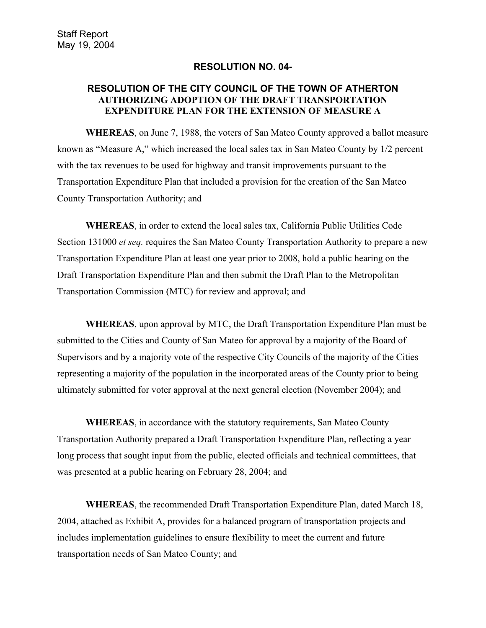#### **RESOLUTION NO. 04-**

#### **RESOLUTION OF THE CITY COUNCIL OF THE TOWN OF ATHERTON AUTHORIZING ADOPTION OF THE DRAFT TRANSPORTATION EXPENDITURE PLAN FOR THE EXTENSION OF MEASURE A**

**WHEREAS**, on June 7, 1988, the voters of San Mateo County approved a ballot measure known as "Measure A," which increased the local sales tax in San Mateo County by 1/2 percent with the tax revenues to be used for highway and transit improvements pursuant to the Transportation Expenditure Plan that included a provision for the creation of the San Mateo County Transportation Authority; and

**WHEREAS**, in order to extend the local sales tax, California Public Utilities Code Section 131000 *et seq.* requires the San Mateo County Transportation Authority to prepare a new Transportation Expenditure Plan at least one year prior to 2008, hold a public hearing on the Draft Transportation Expenditure Plan and then submit the Draft Plan to the Metropolitan Transportation Commission (MTC) for review and approval; and

**WHEREAS**, upon approval by MTC, the Draft Transportation Expenditure Plan must be submitted to the Cities and County of San Mateo for approval by a majority of the Board of Supervisors and by a majority vote of the respective City Councils of the majority of the Cities representing a majority of the population in the incorporated areas of the County prior to being ultimately submitted for voter approval at the next general election (November 2004); and

**WHEREAS**, in accordance with the statutory requirements, San Mateo County Transportation Authority prepared a Draft Transportation Expenditure Plan, reflecting a year long process that sought input from the public, elected officials and technical committees, that was presented at a public hearing on February 28, 2004; and

**WHEREAS**, the recommended Draft Transportation Expenditure Plan, dated March 18, 2004, attached as Exhibit A, provides for a balanced program of transportation projects and includes implementation guidelines to ensure flexibility to meet the current and future transportation needs of San Mateo County; and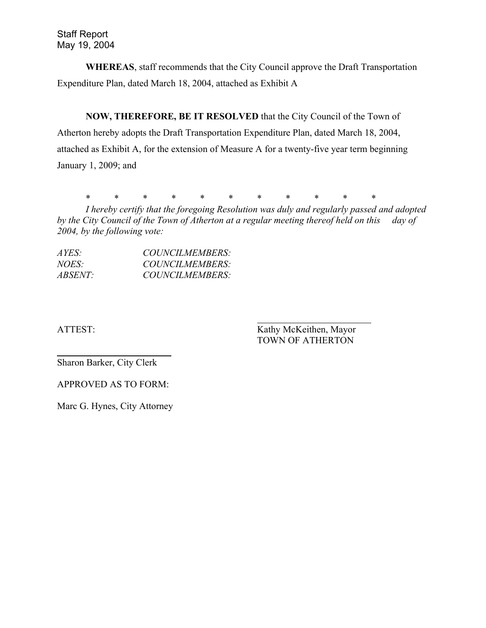**WHEREAS**, staff recommends that the City Council approve the Draft Transportation Expenditure Plan, dated March 18, 2004, attached as Exhibit A

**NOW, THEREFORE, BE IT RESOLVED** that the City Council of the Town of Atherton hereby adopts the Draft Transportation Expenditure Plan, dated March 18, 2004, attached as Exhibit A, for the extension of Measure A for a twenty-five year term beginning January 1, 2009; and

\* \* \* \* \* \* \* \* \* \* \*

*I hereby certify that the foregoing Resolution was duly and regularly passed and adopted by the City Council of the Town of Atherton at a regular meeting thereof held on this day of 2004, by the following vote:* 

| AYES:          | COUNCILMEMBERS: |
|----------------|-----------------|
| <i>NOES</i> :  | COUNCILMEMBERS: |
| <i>ABSENT:</i> | COUNCILMEMBERS: |

ATTEST: Kathy McKeithen, Mayor TOWN OF ATHERTON

Sharon Barker, City Clerk

 $\overline{a}$ 

APPROVED AS TO FORM:

Marc G. Hynes, City Attorney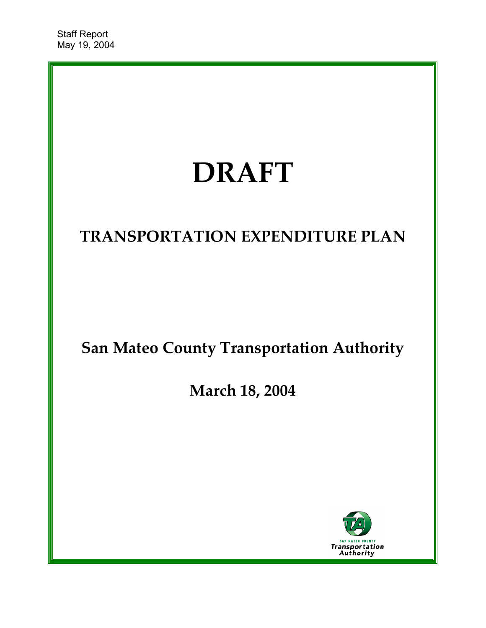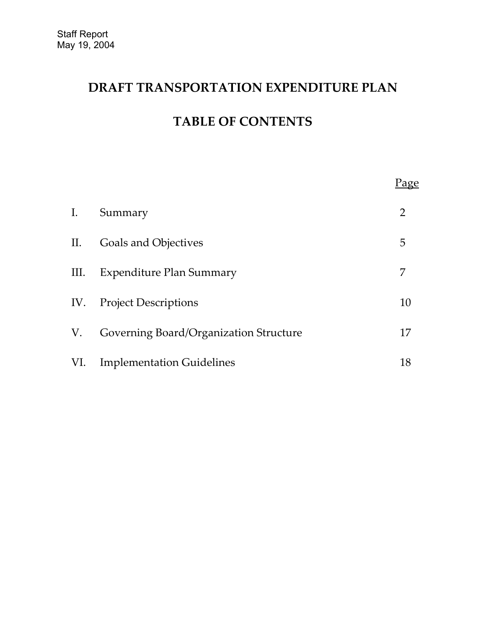# **DRAFT TRANSPORTATION EXPENDITURE PLAN**

# **TABLE OF CONTENTS**

|      |                                        | <u>Page</u> |
|------|----------------------------------------|-------------|
| I.   | Summary                                | 2           |
| П.   | Goals and Objectives                   | 5           |
| III. | Expenditure Plan Summary               | 7           |
|      | IV. Project Descriptions               | 10          |
| V.   | Governing Board/Organization Structure | 17          |
| VI.  | <b>Implementation Guidelines</b>       | 18          |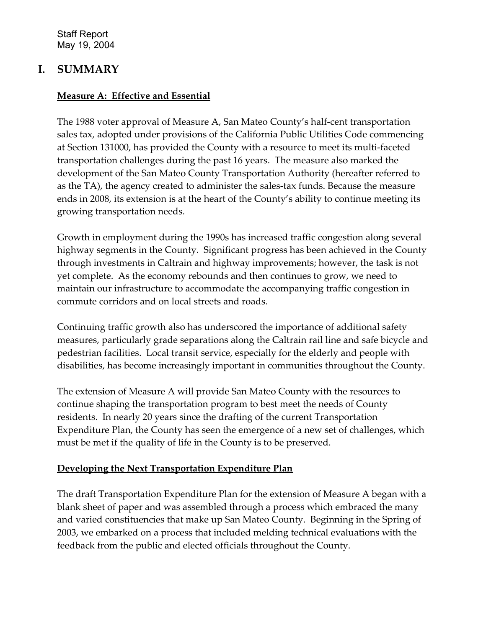## **I. SUMMARY**

## **Measure A: Effective and Essential**

The 1988 voter approval of Measure A, San Mateo County's half-cent transportation sales tax, adopted under provisions of the California Public Utilities Code commencing at Section 131000, has provided the County with a resource to meet its multi-faceted transportation challenges during the past 16 years. The measure also marked the development of the San Mateo County Transportation Authority (hereafter referred to as the TA), the agency created to administer the sales-tax funds. Because the measure ends in 2008, its extension is at the heart of the County's ability to continue meeting its growing transportation needs.

Growth in employment during the 1990s has increased traffic congestion along several highway segments in the County. Significant progress has been achieved in the County through investments in Caltrain and highway improvements; however, the task is not yet complete. As the economy rebounds and then continues to grow, we need to maintain our infrastructure to accommodate the accompanying traffic congestion in commute corridors and on local streets and roads.

Continuing traffic growth also has underscored the importance of additional safety measures, particularly grade separations along the Caltrain rail line and safe bicycle and pedestrian facilities. Local transit service, especially for the elderly and people with disabilities, has become increasingly important in communities throughout the County.

The extension of Measure A will provide San Mateo County with the resources to continue shaping the transportation program to best meet the needs of County residents. In nearly 20 years since the drafting of the current Transportation Expenditure Plan, the County has seen the emergence of a new set of challenges, which must be met if the quality of life in the County is to be preserved.

## **Developing the Next Transportation Expenditure Plan**

The draft Transportation Expenditure Plan for the extension of Measure A began with a blank sheet of paper and was assembled through a process which embraced the many and varied constituencies that make up San Mateo County. Beginning in the Spring of 2003, we embarked on a process that included melding technical evaluations with the feedback from the public and elected officials throughout the County.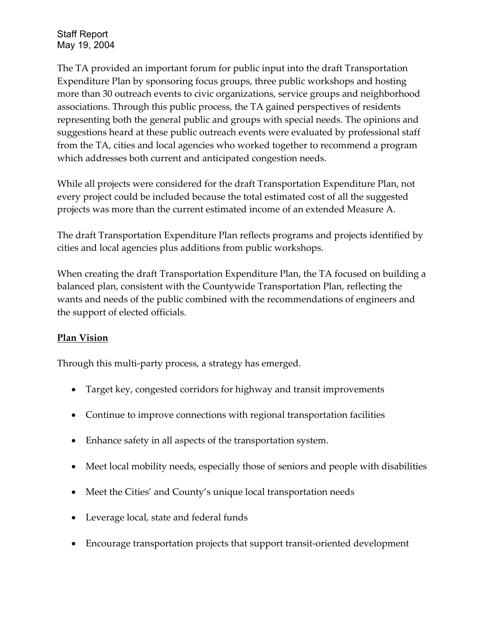The TA provided an important forum for public input into the draft Transportation Expenditure Plan by sponsoring focus groups, three public workshops and hosting more than 30 outreach events to civic organizations, service groups and neighborhood associations. Through this public process, the TA gained perspectives of residents representing both the general public and groups with special needs. The opinions and suggestions heard at these public outreach events were evaluated by professional staff from the TA, cities and local agencies who worked together to recommend a program which addresses both current and anticipated congestion needs.

While all projects were considered for the draft Transportation Expenditure Plan, not every project could be included because the total estimated cost of all the suggested projects was more than the current estimated income of an extended Measure A.

The draft Transportation Expenditure Plan reflects programs and projects identified by cities and local agencies plus additions from public workshops.

When creating the draft Transportation Expenditure Plan, the TA focused on building a balanced plan, consistent with the Countywide Transportation Plan, reflecting the wants and needs of the public combined with the recommendations of engineers and the support of elected officials.

## **Plan Vision**

Through this multi-party process, a strategy has emerged.

- Target key, congested corridors for highway and transit improvements
- Continue to improve connections with regional transportation facilities
- Enhance safety in all aspects of the transportation system.
- Meet local mobility needs, especially those of seniors and people with disabilities
- Meet the Cities' and County's unique local transportation needs
- Leverage local, state and federal funds
- Encourage transportation projects that support transit-oriented development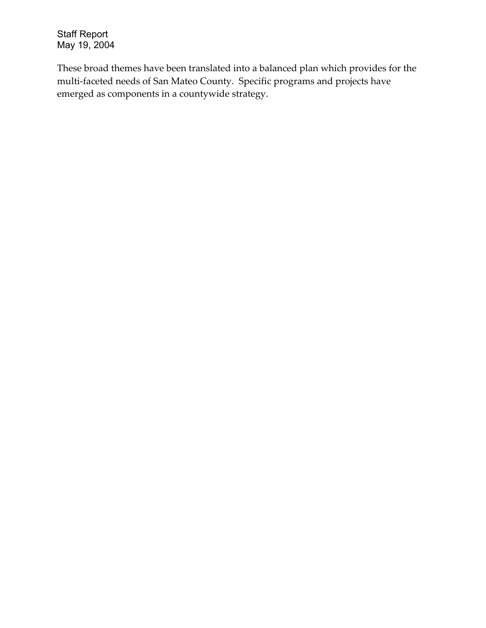These broad themes have been translated into a balanced plan which provides for the multi-faceted needs of San Mateo County. Specific programs and projects have emerged as components in a countywide strategy.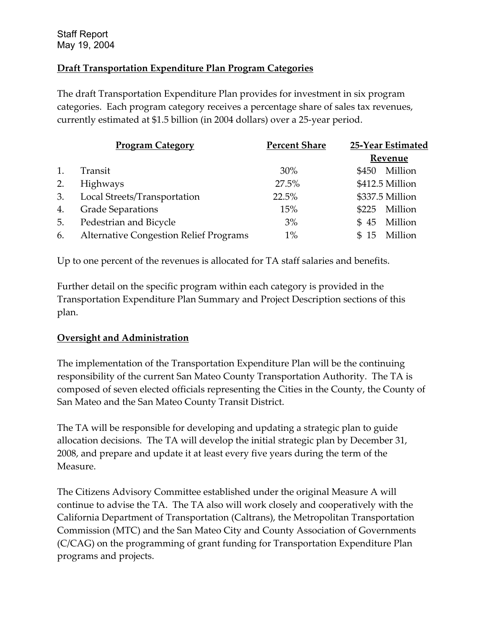## **Draft Transportation Expenditure Plan Program Categories**

The draft Transportation Expenditure Plan provides for investment in six program categories. Each program category receives a percentage share of sales tax revenues, currently estimated at \$1.5 billion (in 2004 dollars) over a 25-year period.

|    | <b>Program Category</b>                       | <b>Percent Share</b> | 25-Year Estimated     |
|----|-----------------------------------------------|----------------------|-----------------------|
|    |                                               |                      | Revenue               |
| 1. | Transit                                       | 30%                  | Million<br>\$450      |
| 2. | Highways                                      | 27.5%                | \$412.5 Million       |
| 3. | Local Streets/Transportation                  | 22.5%                | \$337.5 Million       |
| 4. | <b>Grade Separations</b>                      | 15%                  | Million<br>\$225      |
| 5. | Pedestrian and Bicycle                        | 3%                   | Million<br>45<br>\$.  |
| 6. | <b>Alternative Congestion Relief Programs</b> | $1\%$                | Million<br>\$.<br>-15 |

Up to one percent of the revenues is allocated for TA staff salaries and benefits.

Further detail on the specific program within each category is provided in the Transportation Expenditure Plan Summary and Project Description sections of this plan.

## **Oversight and Administration**

The implementation of the Transportation Expenditure Plan will be the continuing responsibility of the current San Mateo County Transportation Authority. The TA is composed of seven elected officials representing the Cities in the County, the County of San Mateo and the San Mateo County Transit District.

The TA will be responsible for developing and updating a strategic plan to guide allocation decisions. The TA will develop the initial strategic plan by December 31, 2008, and prepare and update it at least every five years during the term of the Measure.

The Citizens Advisory Committee established under the original Measure A will continue to advise the TA. The TA also will work closely and cooperatively with the California Department of Transportation (Caltrans), the Metropolitan Transportation Commission (MTC) and the San Mateo City and County Association of Governments (C/CAG) on the programming of grant funding for Transportation Expenditure Plan programs and projects.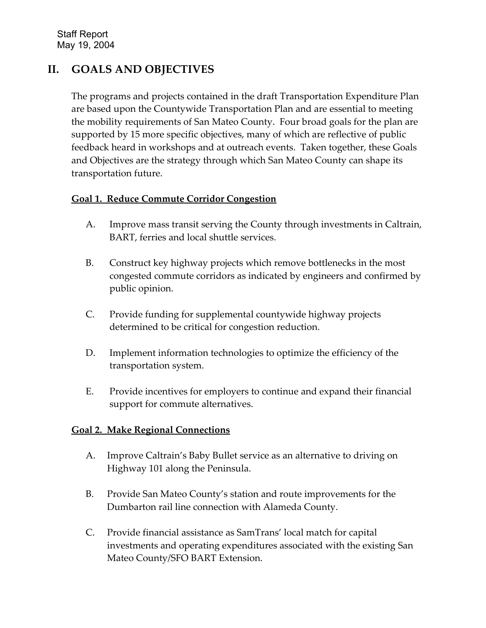# **II. GOALS AND OBJECTIVES**

The programs and projects contained in the draft Transportation Expenditure Plan are based upon the Countywide Transportation Plan and are essential to meeting the mobility requirements of San Mateo County. Four broad goals for the plan are supported by 15 more specific objectives, many of which are reflective of public feedback heard in workshops and at outreach events. Taken together, these Goals and Objectives are the strategy through which San Mateo County can shape its transportation future.

## **Goal 1. Reduce Commute Corridor Congestion**

- A. Improve mass transit serving the County through investments in Caltrain, BART, ferries and local shuttle services.
- B. Construct key highway projects which remove bottlenecks in the most congested commute corridors as indicated by engineers and confirmed by public opinion.
- C. Provide funding for supplemental countywide highway projects determined to be critical for congestion reduction.
- D. Implement information technologies to optimize the efficiency of the transportation system.
- E. Provide incentives for employers to continue and expand their financial support for commute alternatives.

## **Goal 2. Make Regional Connections**

- A. Improve Caltrain's Baby Bullet service as an alternative to driving on Highway 101 along the Peninsula.
- B. Provide San Mateo County's station and route improvements for the Dumbarton rail line connection with Alameda County.
- C. Provide financial assistance as SamTrans' local match for capital investments and operating expenditures associated with the existing San Mateo County/SFO BART Extension.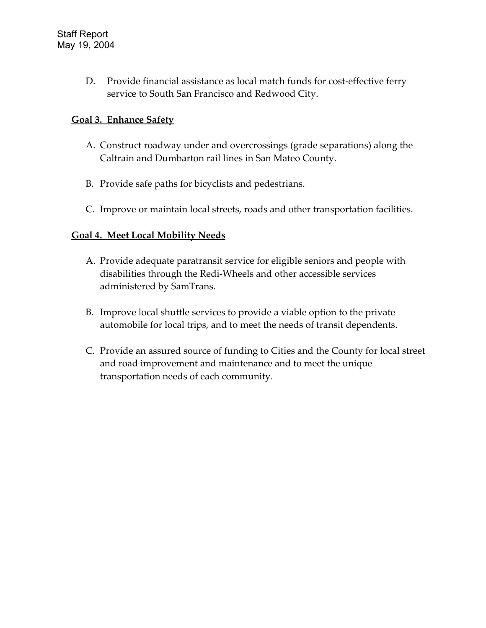D. Provide financial assistance as local match funds for cost-effective ferry service to South San Francisco and Redwood City.

## **Goal 3. Enhance Safety**

- A. Construct roadway under and overcrossings (grade separations) along the Caltrain and Dumbarton rail lines in San Mateo County.
- B. Provide safe paths for bicyclists and pedestrians.
- C. Improve or maintain local streets, roads and other transportation facilities.

## **Goal 4. Meet Local Mobility Needs**

- A. Provide adequate paratransit service for eligible seniors and people with disabilities through the Redi-Wheels and other accessible services administered by SamTrans.
- B. Improve local shuttle services to provide a viable option to the private automobile for local trips, and to meet the needs of transit dependents.
- C. Provide an assured source of funding to Cities and the County for local street and road improvement and maintenance and to meet the unique transportation needs of each community.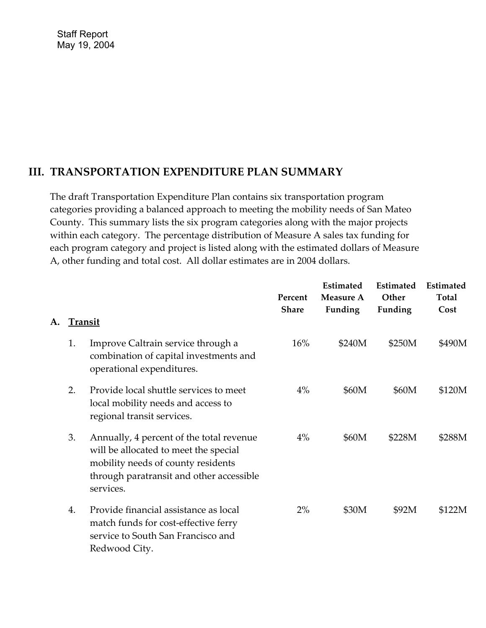## **III. TRANSPORTATION EXPENDITURE PLAN SUMMARY**

The draft Transportation Expenditure Plan contains six transportation program categories providing a balanced approach to meeting the mobility needs of San Mateo County. This summary lists the six program categories along with the major projects within each category. The percentage distribution of Measure A sales tax funding for each program category and project is listed along with the estimated dollars of Measure A, other funding and total cost. All dollar estimates are in 2004 dollars.

|    |                |                                                                                                                                                                                  | Percent<br><b>Share</b> | Estimated<br><b>Measure A</b><br>Funding | <b>Estimated</b><br>Other<br>Funding | Estimated<br><b>Total</b><br>Cost |
|----|----------------|----------------------------------------------------------------------------------------------------------------------------------------------------------------------------------|-------------------------|------------------------------------------|--------------------------------------|-----------------------------------|
| A. | <b>Transit</b> |                                                                                                                                                                                  |                         |                                          |                                      |                                   |
|    | 1.             | Improve Caltrain service through a<br>combination of capital investments and<br>operational expenditures.                                                                        | 16%                     | \$240M                                   | \$250M                               | \$490M                            |
|    | 2.             | Provide local shuttle services to meet<br>local mobility needs and access to<br>regional transit services.                                                                       | 4%                      | \$60M                                    | \$60M                                | \$120M                            |
|    | 3.             | Annually, 4 percent of the total revenue<br>will be allocated to meet the special<br>mobility needs of county residents<br>through paratransit and other accessible<br>services. | $4\%$                   | \$60M                                    | \$228M                               | \$288M                            |
|    | 4.             | Provide financial assistance as local<br>match funds for cost-effective ferry<br>service to South San Francisco and<br>Redwood City.                                             | $2\%$                   | \$30M                                    | \$92M                                | \$122M                            |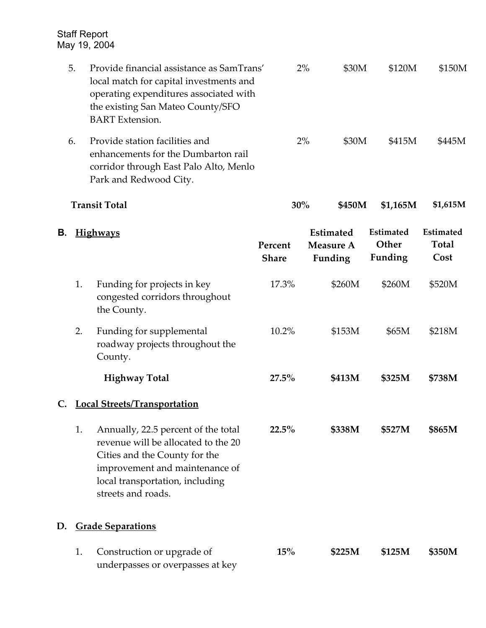|    | 5. | Provide financial assistance as SamTrans'<br>local match for capital investments and<br>operating expenditures associated with<br>the existing San Mateo County/SFO<br><b>BART</b> Extension.          |                         | 2%<br>\$30M                                     | \$120M                               | \$150M                                   |
|----|----|--------------------------------------------------------------------------------------------------------------------------------------------------------------------------------------------------------|-------------------------|-------------------------------------------------|--------------------------------------|------------------------------------------|
|    | 6. | Provide station facilities and<br>enhancements for the Dumbarton rail<br>corridor through East Palo Alto, Menlo<br>Park and Redwood City.                                                              |                         | 2%<br>\$30M                                     | \$415M                               | \$445M                                   |
|    |    | <b>Transit Total</b>                                                                                                                                                                                   |                         | 30%<br>\$450M                                   | \$1,165M                             | \$1,615M                                 |
| В. |    | <b>Highways</b>                                                                                                                                                                                        | Percent<br><b>Share</b> | <b>Estimated</b><br><b>Measure A</b><br>Funding | <b>Estimated</b><br>Other<br>Funding | <b>Estimated</b><br><b>Total</b><br>Cost |
|    | 1. | Funding for projects in key<br>congested corridors throughout<br>the County.                                                                                                                           | 17.3%                   | \$260M                                          | \$260M                               | \$520M                                   |
|    | 2. | Funding for supplemental<br>roadway projects throughout the<br>County.                                                                                                                                 | 10.2%                   | \$153M                                          | \$65M                                | \$218M                                   |
|    |    | <b>Highway Total</b>                                                                                                                                                                                   | 27.5%                   | \$413M                                          | \$325M                               | \$738M                                   |
| C. |    | <b>Local Streets/Transportation</b>                                                                                                                                                                    |                         |                                                 |                                      |                                          |
|    | 1. | Annually, 22.5 percent of the total<br>revenue will be allocated to the 20<br>Cities and the County for the<br>improvement and maintenance of<br>local transportation, including<br>streets and roads. | $22.5\%$                | \$338M                                          | \$527M                               | \$865M                                   |
| D. |    | <b>Grade Separations</b>                                                                                                                                                                               |                         |                                                 |                                      |                                          |
|    | 1. | Construction or upgrade of<br>underpasses or overpasses at key                                                                                                                                         | 15%                     | \$225M                                          | \$125M                               | \$350M                                   |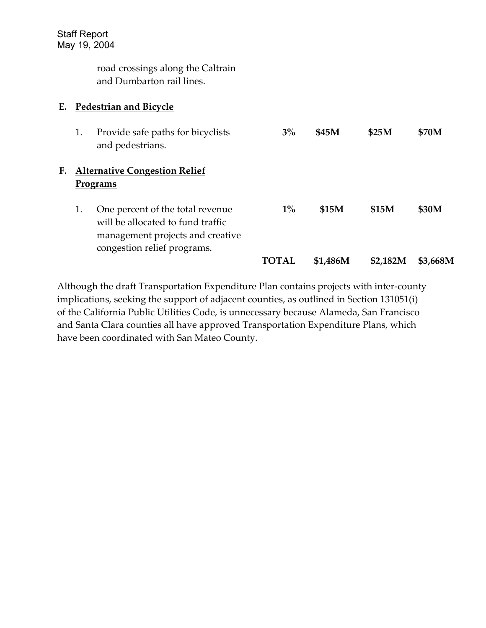road crossings along the Caltrain and Dumbarton rail lines.

#### **E. Pedestrian and Bicycle**

|    | 1. | Provide safe paths for bicyclists<br>and pedestrians.                                                                                    | $3\%$ | \$45M        | \$25M        | \$70M    |
|----|----|------------------------------------------------------------------------------------------------------------------------------------------|-------|--------------|--------------|----------|
| F. |    | <b>Alternative Congestion Relief</b><br>Programs                                                                                         |       |              |              |          |
|    | 1. | One percent of the total revenue<br>will be allocated to fund traffic<br>management projects and creative<br>congestion relief programs. | $1\%$ | <b>\$15M</b> | <b>\$15M</b> | \$30M    |
|    |    |                                                                                                                                          | ТОТАІ | \$1,486M     | \$2,182M     | \$3,668M |

Although the draft Transportation Expenditure Plan contains projects with inter-county implications, seeking the support of adjacent counties, as outlined in Section 131051(i) of the California Public Utilities Code, is unnecessary because Alameda, San Francisco and Santa Clara counties all have approved Transportation Expenditure Plans, which have been coordinated with San Mateo County.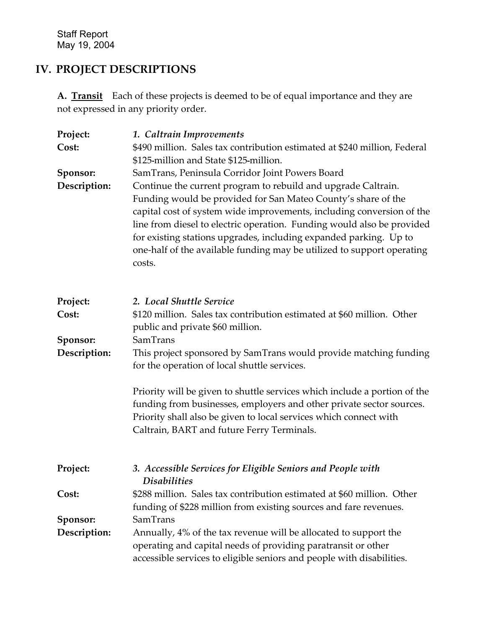# **IV. PROJECT DESCRIPTIONS**

**A. Transit** Each of these projects is deemed to be of equal importance and they are not expressed in any priority order.

| Project:     | 1. Caltrain Improvements                                                                                                                                                                                                                                                                                                                                                                                                                   |
|--------------|--------------------------------------------------------------------------------------------------------------------------------------------------------------------------------------------------------------------------------------------------------------------------------------------------------------------------------------------------------------------------------------------------------------------------------------------|
| Cost:        | \$490 million. Sales tax contribution estimated at \$240 million, Federal                                                                                                                                                                                                                                                                                                                                                                  |
|              | \$125-million and State \$125-million.                                                                                                                                                                                                                                                                                                                                                                                                     |
| Sponsor:     | SamTrans, Peninsula Corridor Joint Powers Board                                                                                                                                                                                                                                                                                                                                                                                            |
| Description: | Continue the current program to rebuild and upgrade Caltrain.<br>Funding would be provided for San Mateo County's share of the<br>capital cost of system wide improvements, including conversion of the<br>line from diesel to electric operation. Funding would also be provided<br>for existing stations upgrades, including expanded parking. Up to<br>one-half of the available funding may be utilized to support operating<br>costs. |
| Project:     | 2. Local Shuttle Service                                                                                                                                                                                                                                                                                                                                                                                                                   |
| Cost:        | \$120 million. Sales tax contribution estimated at \$60 million. Other<br>public and private \$60 million.                                                                                                                                                                                                                                                                                                                                 |
| Sponsor:     | SamTrans                                                                                                                                                                                                                                                                                                                                                                                                                                   |
| Description: | This project sponsored by SamTrans would provide matching funding<br>for the operation of local shuttle services.                                                                                                                                                                                                                                                                                                                          |
|              | Priority will be given to shuttle services which include a portion of the<br>funding from businesses, employers and other private sector sources.<br>Priority shall also be given to local services which connect with<br>Caltrain, BART and future Ferry Terminals.                                                                                                                                                                       |
| Project:     | 3. Accessible Services for Eligible Seniors and People with<br><b>Disabilities</b>                                                                                                                                                                                                                                                                                                                                                         |
| Cost:        | \$288 million. Sales tax contribution estimated at \$60 million. Other<br>funding of \$228 million from existing sources and fare revenues.                                                                                                                                                                                                                                                                                                |
| Sponsor:     | SamTrans                                                                                                                                                                                                                                                                                                                                                                                                                                   |
| Description: | Annually, 4% of the tax revenue will be allocated to support the<br>operating and capital needs of providing paratransit or other<br>accessible services to eligible seniors and people with disabilities.                                                                                                                                                                                                                                 |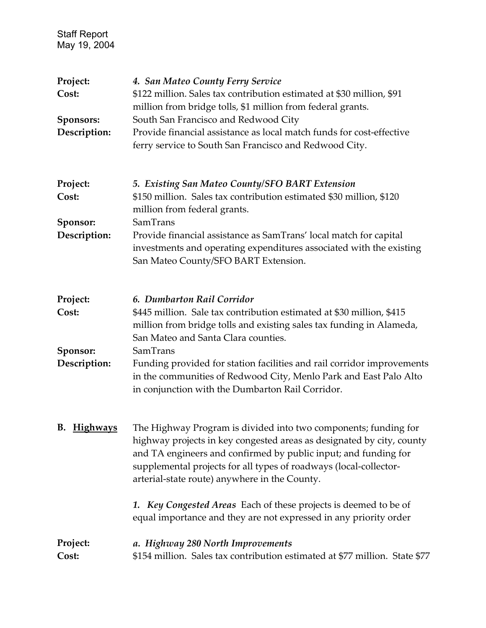| Project:                                                                       | 4. San Mateo County Ferry Service                                                                                                                                                                                                                                                                                                 |
|--------------------------------------------------------------------------------|-----------------------------------------------------------------------------------------------------------------------------------------------------------------------------------------------------------------------------------------------------------------------------------------------------------------------------------|
| Cost:<br>\$122 million. Sales tax contribution estimated at \$30 million, \$91 |                                                                                                                                                                                                                                                                                                                                   |
|                                                                                | million from bridge tolls, \$1 million from federal grants.                                                                                                                                                                                                                                                                       |
| Sponsors:                                                                      | South San Francisco and Redwood City                                                                                                                                                                                                                                                                                              |
| Description:                                                                   | Provide financial assistance as local match funds for cost-effective                                                                                                                                                                                                                                                              |
|                                                                                | ferry service to South San Francisco and Redwood City.                                                                                                                                                                                                                                                                            |
| Project:                                                                       | 5. Existing San Mateo County/SFO BART Extension                                                                                                                                                                                                                                                                                   |
| Cost:                                                                          | \$150 million. Sales tax contribution estimated \$30 million, \$120                                                                                                                                                                                                                                                               |
| Sponsor:                                                                       | million from federal grants.<br>SamTrans                                                                                                                                                                                                                                                                                          |
| Description:                                                                   | Provide financial assistance as SamTrans' local match for capital                                                                                                                                                                                                                                                                 |
|                                                                                | investments and operating expenditures associated with the existing<br>San Mateo County/SFO BART Extension.                                                                                                                                                                                                                       |
| Project:                                                                       | 6. Dumbarton Rail Corridor                                                                                                                                                                                                                                                                                                        |
| Cost:                                                                          | \$445 million. Sale tax contribution estimated at \$30 million, \$415                                                                                                                                                                                                                                                             |
|                                                                                | million from bridge tolls and existing sales tax funding in Alameda,                                                                                                                                                                                                                                                              |
|                                                                                | San Mateo and Santa Clara counties.                                                                                                                                                                                                                                                                                               |
| Sponsor:                                                                       | SamTrans                                                                                                                                                                                                                                                                                                                          |
| Description:                                                                   | Funding provided for station facilities and rail corridor improvements<br>in the communities of Redwood City, Menlo Park and East Palo Alto<br>in conjunction with the Dumbarton Rail Corridor.                                                                                                                                   |
| B. Highways                                                                    | The Highway Program is divided into two components; funding for<br>highway projects in key congested areas as designated by city, county<br>and TA engineers and confirmed by public input; and funding for<br>supplemental projects for all types of roadways (local-collector-<br>arterial-state route) anywhere in the County. |
|                                                                                | 1. Key Congested Areas Each of these projects is deemed to be of                                                                                                                                                                                                                                                                  |
| Project:                                                                       | equal importance and they are not expressed in any priority order<br>a. Highway 280 North Improvements                                                                                                                                                                                                                            |
| Cost:                                                                          | \$154 million. Sales tax contribution estimated at \$77 million. State \$77                                                                                                                                                                                                                                                       |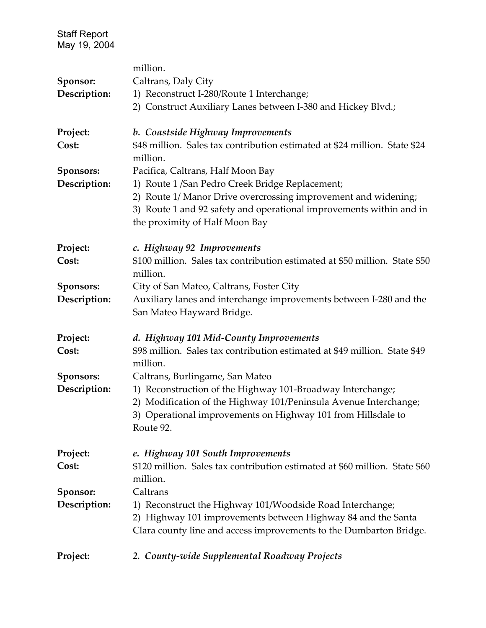|              | million.                                                                                                                                                                                                    |
|--------------|-------------------------------------------------------------------------------------------------------------------------------------------------------------------------------------------------------------|
| Sponsor:     | Caltrans, Daly City                                                                                                                                                                                         |
| Description: | 1) Reconstruct I-280/Route 1 Interchange;                                                                                                                                                                   |
|              | 2) Construct Auxiliary Lanes between I-380 and Hickey Blvd.;                                                                                                                                                |
| Project:     | b. Coastside Highway Improvements                                                                                                                                                                           |
| Cost:        | \$48 million. Sales tax contribution estimated at \$24 million. State \$24<br>million.                                                                                                                      |
| Sponsors:    | Pacifica, Caltrans, Half Moon Bay                                                                                                                                                                           |
| Description: | 1) Route 1 / San Pedro Creek Bridge Replacement;                                                                                                                                                            |
|              | 2) Route 1/ Manor Drive overcrossing improvement and widening;<br>3) Route 1 and 92 safety and operational improvements within and in<br>the proximity of Half Moon Bay                                     |
| Project:     | c. Highway 92 Improvements                                                                                                                                                                                  |
| Cost:        | \$100 million. Sales tax contribution estimated at \$50 million. State \$50<br>million.                                                                                                                     |
| Sponsors:    | City of San Mateo, Caltrans, Foster City                                                                                                                                                                    |
| Description: | Auxiliary lanes and interchange improvements between I-280 and the<br>San Mateo Hayward Bridge.                                                                                                             |
| Project:     | d. Highway 101 Mid-County Improvements                                                                                                                                                                      |
| Cost:        | \$98 million. Sales tax contribution estimated at \$49 million. State \$49<br>million.                                                                                                                      |
| Sponsors:    | Caltrans, Burlingame, San Mateo                                                                                                                                                                             |
| Description: | 1) Reconstruction of the Highway 101-Broadway Interchange;<br>2) Modification of the Highway 101/Peninsula Avenue Interchange;<br>3) Operational improvements on Highway 101 from Hillsdale to<br>Route 92. |
| Project:     | e. Highway 101 South Improvements                                                                                                                                                                           |
| Cost:        | \$120 million. Sales tax contribution estimated at \$60 million. State \$60<br>million.                                                                                                                     |
| Sponsor:     | Caltrans                                                                                                                                                                                                    |
| Description: | 1) Reconstruct the Highway 101/Woodside Road Interchange;<br>2) Highway 101 improvements between Highway 84 and the Santa<br>Clara county line and access improvements to the Dumbarton Bridge.             |
| Project:     | 2. County-wide Supplemental Roadway Projects                                                                                                                                                                |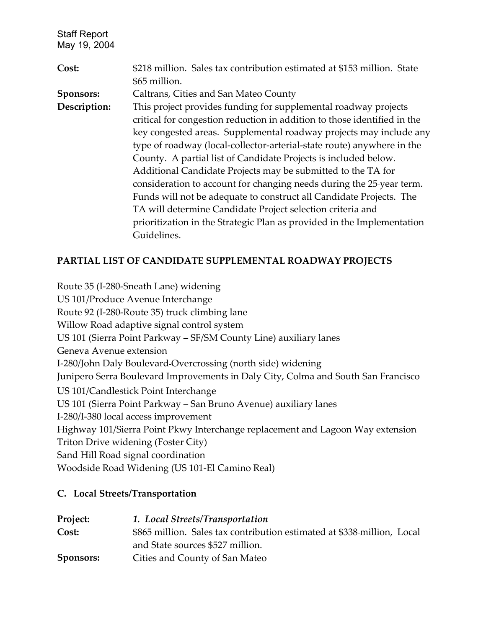| Cost:        | \$218 million. Sales tax contribution estimated at \$153 million. State  |
|--------------|--------------------------------------------------------------------------|
|              | \$65 million.                                                            |
| Sponsors:    | Caltrans, Cities and San Mateo County                                    |
| Description: | This project provides funding for supplemental roadway projects          |
|              | critical for congestion reduction in addition to those identified in the |
|              | key congested areas. Supplemental roadway projects may include any       |
|              | type of roadway (local-collector-arterial-state route) anywhere in the   |
|              | County. A partial list of Candidate Projects is included below.          |
|              | Additional Candidate Projects may be submitted to the TA for             |
|              | consideration to account for changing needs during the 25-year term.     |
|              | Funds will not be adequate to construct all Candidate Projects. The      |
|              | TA will determine Candidate Project selection criteria and               |
|              | prioritization in the Strategic Plan as provided in the Implementation   |
|              | Guidelines.                                                              |

## **PARTIAL LIST OF CANDIDATE SUPPLEMENTAL ROADWAY PROJECTS**

Route 35 (I-280-Sneath Lane) widening US 101/Produce Avenue Interchange Route 92 (I-280-Route 35) truck climbing lane Willow Road adaptive signal control system US 101 (Sierra Point Parkway – SF/SM County Line) auxiliary lanes Geneva Avenue extension I-280/John Daly Boulevard Overcrossing (north side) widening Junipero Serra Boulevard Improvements in Daly City, Colma and South San Francisco US 101/Candlestick Point Interchange US 101 (Sierra Point Parkway – San Bruno Avenue) auxiliary lanes I-280/I-380 local access improvement Highway 101/Sierra Point Pkwy Interchange replacement and Lagoon Way extension Triton Drive widening (Foster City) Sand Hill Road signal coordination Woodside Road Widening (US 101-El Camino Real)

#### **C. Local Streets/Transportation**

| Project:  | 1. Local Streets/Transportation                                         |
|-----------|-------------------------------------------------------------------------|
| Cost:     | \$865 million. Sales tax contribution estimated at \$338-million, Local |
|           | and State sources \$527 million.                                        |
| Sponsors: | Cities and County of San Mateo                                          |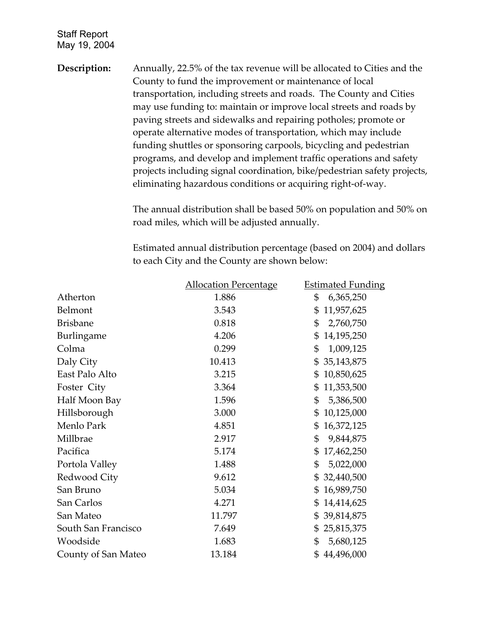**Description:** Annually, 22.5% of the tax revenue will be allocated to Cities and the County to fund the improvement or maintenance of local transportation, including streets and roads. The County and Cities may use funding to: maintain or improve local streets and roads by paving streets and sidewalks and repairing potholes; promote or operate alternative modes of transportation, which may include funding shuttles or sponsoring carpools, bicycling and pedestrian programs, and develop and implement traffic operations and safety projects including signal coordination, bike/pedestrian safety projects, eliminating hazardous conditions or acquiring right-of-way.

> The annual distribution shall be based 50% on population and 50% on road miles, which will be adjusted annually.

> Estimated annual distribution percentage (based on 2004) and dollars to each City and the County are shown below:

|                     | <b>Allocation Percentage</b> | <b>Estimated Funding</b> |
|---------------------|------------------------------|--------------------------|
| Atherton            | 1.886                        | \$<br>6,365,250          |
| Belmont             | 3.543                        | \$<br>11,957,625         |
| <b>Brisbane</b>     | 0.818                        | \$<br>2,760,750          |
| Burlingame          | 4.206                        | 14,195,250<br>\$         |
| Colma               | 0.299                        | \$<br>1,009,125          |
| Daly City           | 10.413                       | 35,143,875<br>\$         |
| East Palo Alto      | 3.215                        | 10,850,625<br>\$         |
| Foster City         | 3.364                        | 11,353,500<br>\$         |
| Half Moon Bay       | 1.596                        | \$<br>5,386,500          |
| Hillsborough        | 3.000                        | 10,125,000<br>\$         |
| Menlo Park          | 4.851                        | 16,372,125<br>\$         |
| Millbrae            | 2.917                        | \$<br>9,844,875          |
| Pacifica            | 5.174                        | 17,462,250<br>\$         |
| Portola Valley      | 1.488                        | \$<br>5,022,000          |
| Redwood City        | 9.612                        | 32,440,500<br>\$         |
| San Bruno           | 5.034                        | 16,989,750<br>\$         |
| San Carlos          | 4.271                        | 14,414,625<br>\$         |
| San Mateo           | 11.797                       | 39,814,875<br>\$         |
| South San Francisco | 7.649                        | 25,815,375<br>\$         |
| Woodside            | 1.683                        | 5,680,125<br>\$          |
| County of San Mateo | 13.184                       | 44,496,000<br>\$         |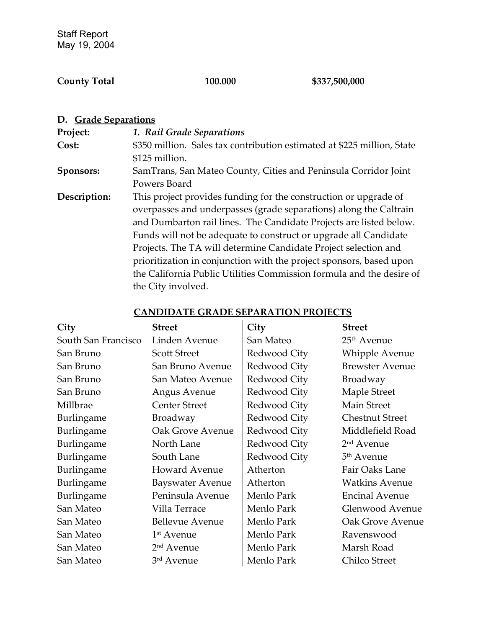## **County Total 100.000 \$337,500,000**

| D. Grade Separations |                                                                         |
|----------------------|-------------------------------------------------------------------------|
| Project:             | 1. Rail Grade Separations                                               |
| Cost:                | \$350 million. Sales tax contribution estimated at \$225 million, State |
|                      | \$125 million.                                                          |
| Sponsors:            | SamTrans, San Mateo County, Cities and Peninsula Corridor Joint         |
|                      | Powers Board                                                            |
| Description:         | This project provides funding for the construction or upgrade of        |
|                      | overpasses and underpasses (grade separations) along the Caltrain       |
|                      | and Dumbarton rail lines. The Candidate Projects are listed below.      |
|                      | Funds will not be adequate to construct or upgrade all Candidate        |
|                      | Projects. The TA will determine Candidate Project selection and         |
|                      | prioritization in conjunction with the project sponsors, based upon     |
|                      | the California Public Utilities Commission formula and the desire of    |
|                      | the City involved.                                                      |

| City                | <b>Street</b>           | City         | <b>Street</b>          |
|---------------------|-------------------------|--------------|------------------------|
| South San Francisco | Linden Avenue           | San Mateo    | $25th$ Avenue          |
| San Bruno           | <b>Scott Street</b>     | Redwood City | Whipple Avenue         |
| San Bruno           | San Bruno Avenue        | Redwood City | <b>Brewster Avenue</b> |
| San Bruno           | San Mateo Avenue        | Redwood City | <b>Broadway</b>        |
| San Bruno           | Angus Avenue            | Redwood City | Maple Street           |
| Millbrae            | <b>Center Street</b>    | Redwood City | <b>Main Street</b>     |
| Burlingame          | Broadway                | Redwood City | <b>Chestnut Street</b> |
| Burlingame          | Oak Grove Avenue        | Redwood City | Middlefield Road       |
| Burlingame          | North Lane              | Redwood City | 2 <sup>nd</sup> Avenue |
| Burlingame          | South Lane              | Redwood City | 5 <sup>th</sup> Avenue |
| Burlingame          | <b>Howard Avenue</b>    | Atherton     | Fair Oaks Lane         |
| Burlingame          | <b>Bayswater Avenue</b> | Atherton     | <b>Watkins Avenue</b>  |
| Burlingame          | Peninsula Avenue        | Menlo Park   | <b>Encinal Avenue</b>  |
| San Mateo           | Villa Terrace           | Menlo Park   | Glenwood Avenue        |
| San Mateo           | <b>Bellevue Avenue</b>  | Menlo Park   | Oak Grove Avenue       |
| San Mateo           | 1 <sup>st</sup> Avenue  | Menlo Park   | Ravenswood             |
| San Mateo           | 2 <sup>nd</sup> Avenue  | Menlo Park   | Marsh Road             |
| San Mateo           | 3 <sup>rd</sup> Avenue  | Menlo Park   | Chilco Street          |

## **CANDIDATE GRADE SEPARATION PROJECTS**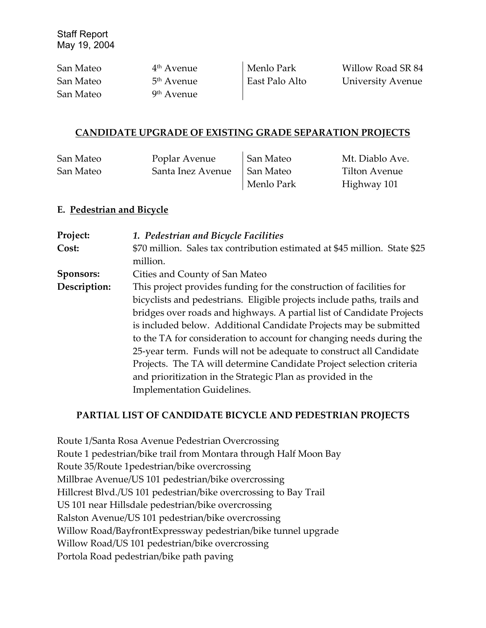| San Mateo | 4 <sup>th</sup> Avenue | Menlo Park     | Willow Road SR 84 |
|-----------|------------------------|----------------|-------------------|
| San Mateo | 5 <sup>th</sup> Avenue | East Palo Alto | University Avenue |
| San Mateo | 9 <sup>th</sup> Avenue |                |                   |

#### **CANDIDATE UPGRADE OF EXISTING GRADE SEPARATION PROJECTS**

| San Mateo | Poplar Avenue     | San Mateo  | Mt. Diablo Ave. |
|-----------|-------------------|------------|-----------------|
| San Mateo | Santa Inez Avenue | San Mateo  | Tilton Avenue   |
|           |                   | Menlo Park | Highway 101     |

#### **E. Pedestrian and Bicycle**

| Project:     | 1. Pedestrian and Bicycle Facilities                                       |
|--------------|----------------------------------------------------------------------------|
| Cost:        | \$70 million. Sales tax contribution estimated at \$45 million. State \$25 |
|              | million.                                                                   |
| Sponsors:    | Cities and County of San Mateo                                             |
| Description: | This project provides funding for the construction of facilities for       |
|              | bicyclists and pedestrians. Eligible projects include paths, trails and    |
|              | bridges over roads and highways. A partial list of Candidate Projects      |
|              | is included below. Additional Candidate Projects may be submitted          |
|              | to the TA for consideration to account for changing needs during the       |
|              | 25-year term. Funds will not be adequate to construct all Candidate        |
|              | Projects. The TA will determine Candidate Project selection criteria       |
|              | and prioritization in the Strategic Plan as provided in the                |
|              | <b>Implementation Guidelines.</b>                                          |

## **PARTIAL LIST OF CANDIDATE BICYCLE AND PEDESTRIAN PROJECTS**

Route 1/Santa Rosa Avenue Pedestrian Overcrossing Route 1 pedestrian/bike trail from Montara through Half Moon Bay Route 35/Route 1pedestrian/bike overcrossing Millbrae Avenue/US 101 pedestrian/bike overcrossing Hillcrest Blvd./US 101 pedestrian/bike overcrossing to Bay Trail US 101 near Hillsdale pedestrian/bike overcrossing Ralston Avenue/US 101 pedestrian/bike overcrossing Willow Road/BayfrontExpressway pedestrian/bike tunnel upgrade Willow Road/US 101 pedestrian/bike overcrossing Portola Road pedestrian/bike path paving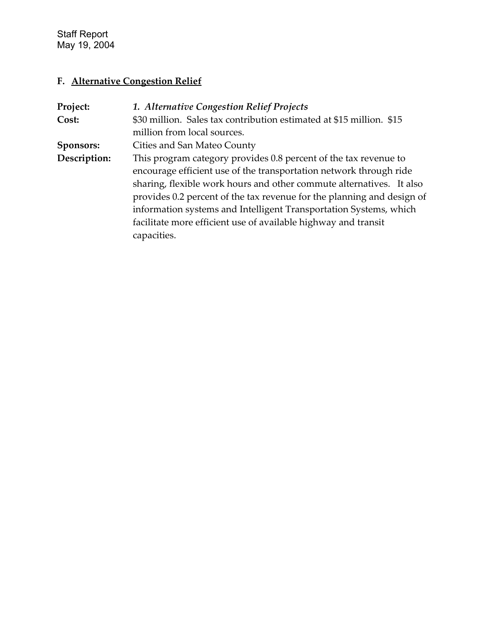# **F. Alternative Congestion Relief**

| Project:     | 1. Alternative Congestion Relief Projects                              |
|--------------|------------------------------------------------------------------------|
| Cost:        | \$30 million. Sales tax contribution estimated at \$15 million. \$15   |
|              | million from local sources.                                            |
| Sponsors:    | Cities and San Mateo County                                            |
| Description: | This program category provides 0.8 percent of the tax revenue to       |
|              | encourage efficient use of the transportation network through ride     |
|              | sharing, flexible work hours and other commute alternatives. It also   |
|              | provides 0.2 percent of the tax revenue for the planning and design of |
|              | information systems and Intelligent Transportation Systems, which      |
|              | facilitate more efficient use of available highway and transit         |
|              | capacities.                                                            |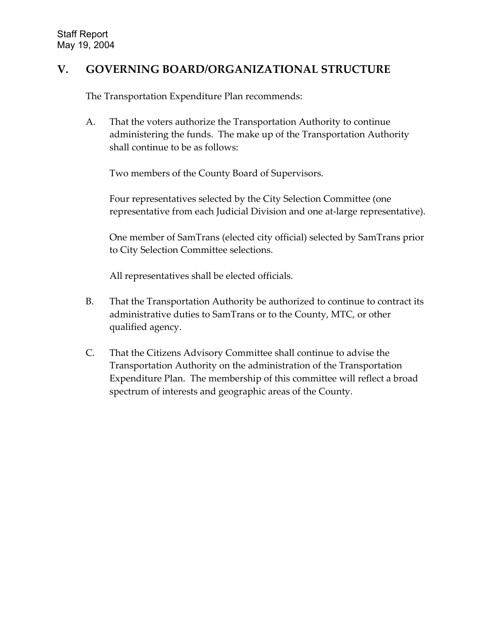## **V. GOVERNING BOARD/ORGANIZATIONAL STRUCTURE**

The Transportation Expenditure Plan recommends:

A. That the voters authorize the Transportation Authority to continue administering the funds. The make up of the Transportation Authority shall continue to be as follows:

Two members of the County Board of Supervisors.

Four representatives selected by the City Selection Committee (one representative from each Judicial Division and one at-large representative).

One member of SamTrans (elected city official) selected by SamTrans prior to City Selection Committee selections.

All representatives shall be elected officials.

- B. That the Transportation Authority be authorized to continue to contract its administrative duties to SamTrans or to the County, MTC, or other qualified agency.
- C. That the Citizens Advisory Committee shall continue to advise the Transportation Authority on the administration of the Transportation Expenditure Plan. The membership of this committee will reflect a broad spectrum of interests and geographic areas of the County.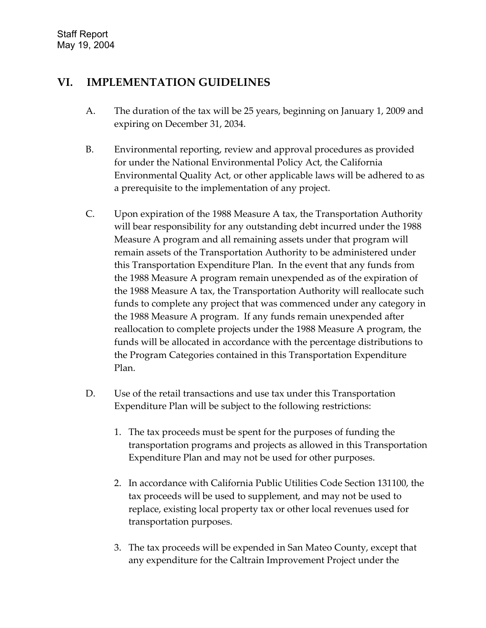## **VI. IMPLEMENTATION GUIDELINES**

- A. The duration of the tax will be 25 years, beginning on January 1, 2009 and expiring on December 31, 2034.
- B. Environmental reporting, review and approval procedures as provided for under the National Environmental Policy Act, the California Environmental Quality Act, or other applicable laws will be adhered to as a prerequisite to the implementation of any project.
- C. Upon expiration of the 1988 Measure A tax, the Transportation Authority will bear responsibility for any outstanding debt incurred under the 1988 Measure A program and all remaining assets under that program will remain assets of the Transportation Authority to be administered under this Transportation Expenditure Plan. In the event that any funds from the 1988 Measure A program remain unexpended as of the expiration of the 1988 Measure A tax, the Transportation Authority will reallocate such funds to complete any project that was commenced under any category in the 1988 Measure A program. If any funds remain unexpended after reallocation to complete projects under the 1988 Measure A program, the funds will be allocated in accordance with the percentage distributions to the Program Categories contained in this Transportation Expenditure Plan.
- D. Use of the retail transactions and use tax under this Transportation Expenditure Plan will be subject to the following restrictions:
	- 1. The tax proceeds must be spent for the purposes of funding the transportation programs and projects as allowed in this Transportation Expenditure Plan and may not be used for other purposes.
	- 2. In accordance with California Public Utilities Code Section 131100, the tax proceeds will be used to supplement, and may not be used to replace, existing local property tax or other local revenues used for transportation purposes.
	- 3. The tax proceeds will be expended in San Mateo County, except that any expenditure for the Caltrain Improvement Project under the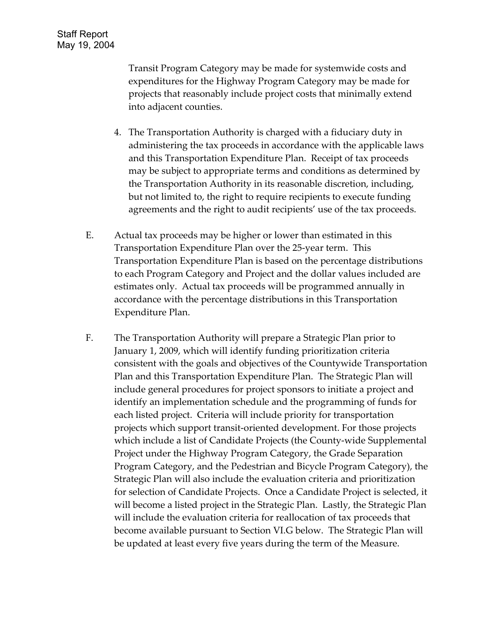Transit Program Category may be made for systemwide costs and expenditures for the Highway Program Category may be made for projects that reasonably include project costs that minimally extend into adjacent counties.

- 4. The Transportation Authority is charged with a fiduciary duty in administering the tax proceeds in accordance with the applicable laws and this Transportation Expenditure Plan. Receipt of tax proceeds may be subject to appropriate terms and conditions as determined by the Transportation Authority in its reasonable discretion, including, but not limited to, the right to require recipients to execute funding agreements and the right to audit recipients' use of the tax proceeds.
- E. Actual tax proceeds may be higher or lower than estimated in this Transportation Expenditure Plan over the 25-year term. This Transportation Expenditure Plan is based on the percentage distributions to each Program Category and Project and the dollar values included are estimates only. Actual tax proceeds will be programmed annually in accordance with the percentage distributions in this Transportation Expenditure Plan.
- F. The Transportation Authority will prepare a Strategic Plan prior to January 1, 2009, which will identify funding prioritization criteria consistent with the goals and objectives of the Countywide Transportation Plan and this Transportation Expenditure Plan. The Strategic Plan will include general procedures for project sponsors to initiate a project and identify an implementation schedule and the programming of funds for each listed project. Criteria will include priority for transportation projects which support transit-oriented development. For those projects which include a list of Candidate Projects (the County-wide Supplemental Project under the Highway Program Category, the Grade Separation Program Category, and the Pedestrian and Bicycle Program Category), the Strategic Plan will also include the evaluation criteria and prioritization for selection of Candidate Projects. Once a Candidate Project is selected, it will become a listed project in the Strategic Plan. Lastly, the Strategic Plan will include the evaluation criteria for reallocation of tax proceeds that become available pursuant to Section VI.G below. The Strategic Plan will be updated at least every five years during the term of the Measure.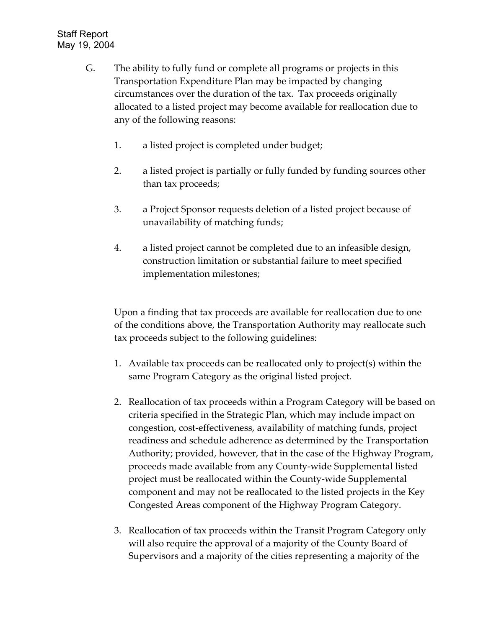- G. The ability to fully fund or complete all programs or projects in this Transportation Expenditure Plan may be impacted by changing circumstances over the duration of the tax. Tax proceeds originally allocated to a listed project may become available for reallocation due to any of the following reasons:
	- 1. a listed project is completed under budget;
	- 2. a listed project is partially or fully funded by funding sources other than tax proceeds;
	- 3. a Project Sponsor requests deletion of a listed project because of unavailability of matching funds;
	- 4. a listed project cannot be completed due to an infeasible design, construction limitation or substantial failure to meet specified implementation milestones;

Upon a finding that tax proceeds are available for reallocation due to one of the conditions above, the Transportation Authority may reallocate such tax proceeds subject to the following guidelines:

- 1. Available tax proceeds can be reallocated only to project(s) within the same Program Category as the original listed project.
- 2. Reallocation of tax proceeds within a Program Category will be based on criteria specified in the Strategic Plan, which may include impact on congestion, cost-effectiveness, availability of matching funds, project readiness and schedule adherence as determined by the Transportation Authority; provided, however, that in the case of the Highway Program, proceeds made available from any County-wide Supplemental listed project must be reallocated within the County-wide Supplemental component and may not be reallocated to the listed projects in the Key Congested Areas component of the Highway Program Category.
- 3. Reallocation of tax proceeds within the Transit Program Category only will also require the approval of a majority of the County Board of Supervisors and a majority of the cities representing a majority of the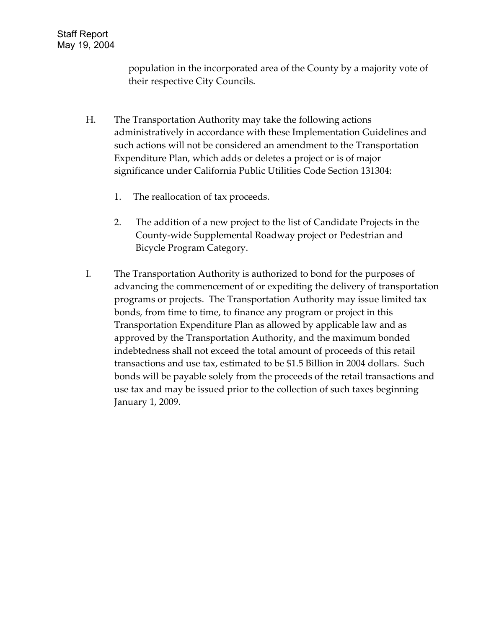population in the incorporated area of the County by a majority vote of their respective City Councils.

- H. The Transportation Authority may take the following actions administratively in accordance with these Implementation Guidelines and such actions will not be considered an amendment to the Transportation Expenditure Plan, which adds or deletes a project or is of major significance under California Public Utilities Code Section 131304:
	- 1. The reallocation of tax proceeds.
	- 2. The addition of a new project to the list of Candidate Projects in the County-wide Supplemental Roadway project or Pedestrian and Bicycle Program Category.
- I. The Transportation Authority is authorized to bond for the purposes of advancing the commencement of or expediting the delivery of transportation programs or projects. The Transportation Authority may issue limited tax bonds, from time to time, to finance any program or project in this Transportation Expenditure Plan as allowed by applicable law and as approved by the Transportation Authority, and the maximum bonded indebtedness shall not exceed the total amount of proceeds of this retail transactions and use tax, estimated to be \$1.5 Billion in 2004 dollars. Such bonds will be payable solely from the proceeds of the retail transactions and use tax and may be issued prior to the collection of such taxes beginning January 1, 2009.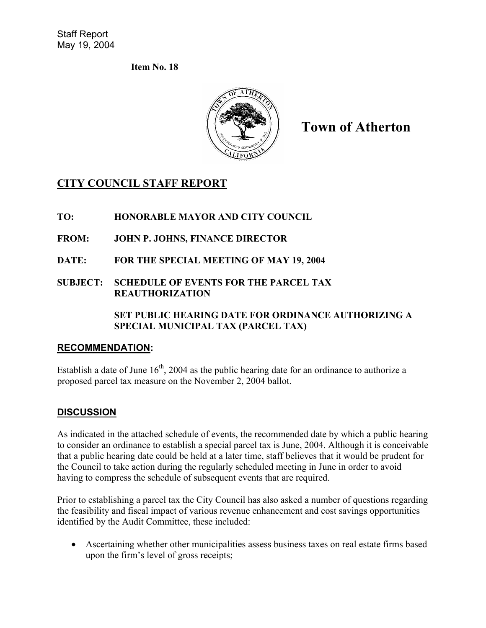**Item No. 18** 



**Town of Atherton**

## **CITY COUNCIL STAFF REPORT**

**TO: HONORABLE MAYOR AND CITY COUNCIL** 

- **FROM: JOHN P. JOHNS, FINANCE DIRECTOR**
- **DATE: FOR THE SPECIAL MEETING OF MAY 19, 2004**
- **SUBJECT: SCHEDULE OF EVENTS FOR THE PARCEL TAX REAUTHORIZATION**

**SET PUBLIC HEARING DATE FOR ORDINANCE AUTHORIZING A SPECIAL MUNICIPAL TAX (PARCEL TAX)** 

## **RECOMMENDATION:**

Establish a date of June  $16<sup>th</sup>$ , 2004 as the public hearing date for an ordinance to authorize a proposed parcel tax measure on the November 2, 2004 ballot.

## **DISCUSSION**

As indicated in the attached schedule of events, the recommended date by which a public hearing to consider an ordinance to establish a special parcel tax is June, 2004. Although it is conceivable that a public hearing date could be held at a later time, staff believes that it would be prudent for the Council to take action during the regularly scheduled meeting in June in order to avoid having to compress the schedule of subsequent events that are required.

Prior to establishing a parcel tax the City Council has also asked a number of questions regarding the feasibility and fiscal impact of various revenue enhancement and cost savings opportunities identified by the Audit Committee, these included:

• Ascertaining whether other municipalities assess business taxes on real estate firms based upon the firm's level of gross receipts;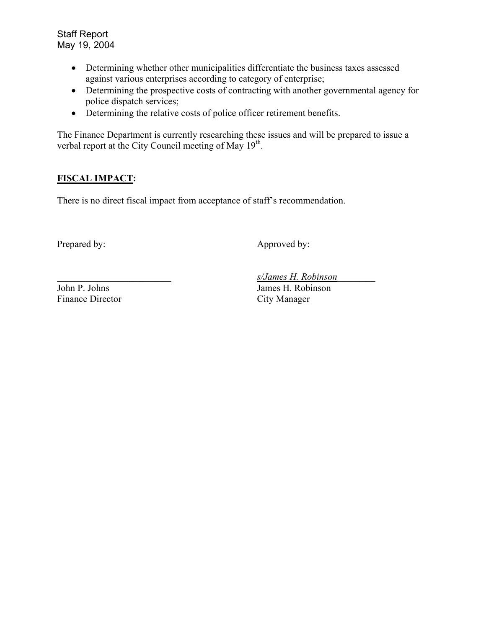- Determining whether other municipalities differentiate the business taxes assessed against various enterprises according to category of enterprise;
- Determining the prospective costs of contracting with another governmental agency for police dispatch services;
- Determining the relative costs of police officer retirement benefits.

The Finance Department is currently researching these issues and will be prepared to issue a verbal report at the City Council meeting of May 19<sup>th</sup>.

#### **FISCAL IMPACT:**

There is no direct fiscal impact from acceptance of staff's recommendation.

Prepared by: Approved by:

Finance Director City Manager

\_\_\_\_\_\_\_\_\_\_\_\_\_\_\_\_\_\_\_\_\_\_\_\_ *s/James H. Robinson*\_\_\_\_\_\_\_\_

John P. Johns James H. Robinson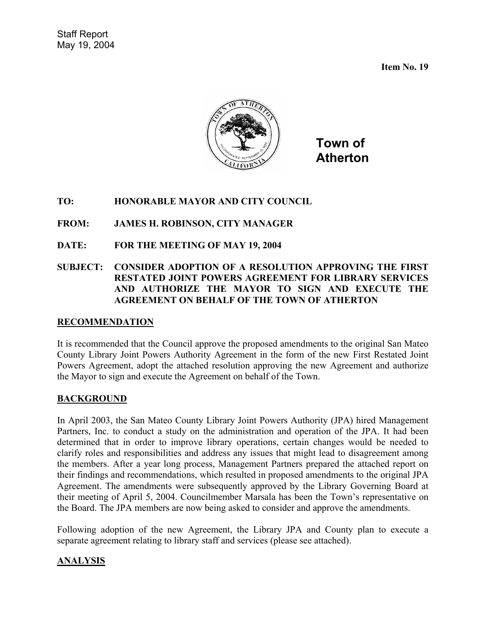**Item No. 19** 



**Town of Atherton**

#### **TO: HONORABLE MAYOR AND CITY COUNCIL**

#### **FROM: JAMES H. ROBINSON, CITY MANAGER**

**DATE: FOR THE MEETING OF MAY 19, 2004** 

#### **SUBJECT: CONSIDER ADOPTION OF A RESOLUTION APPROVING THE FIRST RESTATED JOINT POWERS AGREEMENT FOR LIBRARY SERVICES AND AUTHORIZE THE MAYOR TO SIGN AND EXECUTE THE AGREEMENT ON BEHALF OF THE TOWN OF ATHERTON**

#### **RECOMMENDATION**

It is recommended that the Council approve the proposed amendments to the original San Mateo County Library Joint Powers Authority Agreement in the form of the new First Restated Joint Powers Agreement, adopt the attached resolution approving the new Agreement and authorize the Mayor to sign and execute the Agreement on behalf of the Town.

#### **BACKGROUND**

In April 2003, the San Mateo County Library Joint Powers Authority (JPA) hired Management Partners, Inc. to conduct a study on the administration and operation of the JPA. It had been determined that in order to improve library operations, certain changes would be needed to clarify roles and responsibilities and address any issues that might lead to disagreement among the members. After a year long process, Management Partners prepared the attached report on their findings and recommendations, which resulted in proposed amendments to the original JPA Agreement. The amendments were subsequently approved by the Library Governing Board at their meeting of April 5, 2004. Councilmember Marsala has been the Town's representative on the Board. The JPA members are now being asked to consider and approve the amendments.

Following adoption of the new Agreement, the Library JPA and County plan to execute a separate agreement relating to library staff and services (please see attached).

## **ANALYSIS**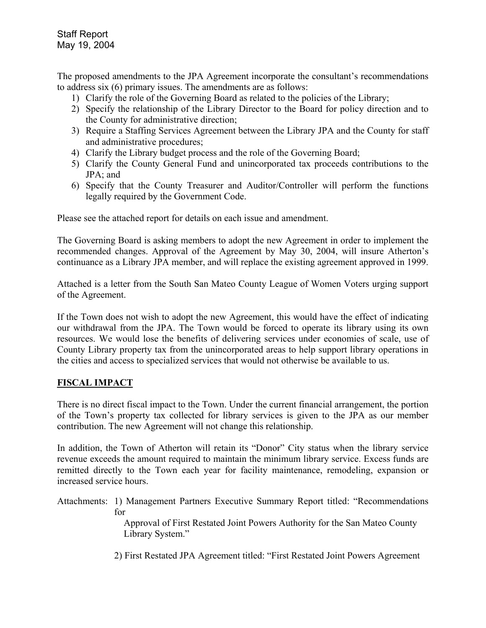The proposed amendments to the JPA Agreement incorporate the consultant's recommendations to address six (6) primary issues. The amendments are as follows:

- 1) Clarify the role of the Governing Board as related to the policies of the Library;
- 2) Specify the relationship of the Library Director to the Board for policy direction and to the County for administrative direction;
- 3) Require a Staffing Services Agreement between the Library JPA and the County for staff and administrative procedures;
- 4) Clarify the Library budget process and the role of the Governing Board;
- 5) Clarify the County General Fund and unincorporated tax proceeds contributions to the JPA; and
- 6) Specify that the County Treasurer and Auditor/Controller will perform the functions legally required by the Government Code.

Please see the attached report for details on each issue and amendment.

The Governing Board is asking members to adopt the new Agreement in order to implement the recommended changes. Approval of the Agreement by May 30, 2004, will insure Atherton's continuance as a Library JPA member, and will replace the existing agreement approved in 1999.

Attached is a letter from the South San Mateo County League of Women Voters urging support of the Agreement.

If the Town does not wish to adopt the new Agreement, this would have the effect of indicating our withdrawal from the JPA. The Town would be forced to operate its library using its own resources. We would lose the benefits of delivering services under economies of scale, use of County Library property tax from the unincorporated areas to help support library operations in the cities and access to specialized services that would not otherwise be available to us.

# **FISCAL IMPACT**

There is no direct fiscal impact to the Town. Under the current financial arrangement, the portion of the Town's property tax collected for library services is given to the JPA as our member contribution. The new Agreement will not change this relationship.

In addition, the Town of Atherton will retain its "Donor" City status when the library service revenue exceeds the amount required to maintain the minimum library service. Excess funds are remitted directly to the Town each year for facility maintenance, remodeling, expansion or increased service hours.

Attachments: 1) Management Partners Executive Summary Report titled: "Recommendations for

 Approval of First Restated Joint Powers Authority for the San Mateo County Library System."

2) First Restated JPA Agreement titled: "First Restated Joint Powers Agreement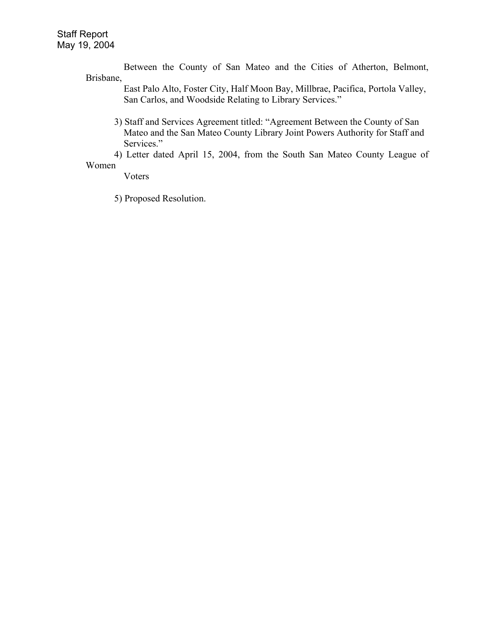Between the County of San Mateo and the Cities of Atherton, Belmont, Brisbane,

 East Palo Alto, Foster City, Half Moon Bay, Millbrae, Pacifica, Portola Valley, San Carlos, and Woodside Relating to Library Services."

3) Staff and Services Agreement titled: "Agreement Between the County of San Mateo and the San Mateo County Library Joint Powers Authority for Staff and Services."

4) Letter dated April 15, 2004, from the South San Mateo County League of Women

Voters

5) Proposed Resolution.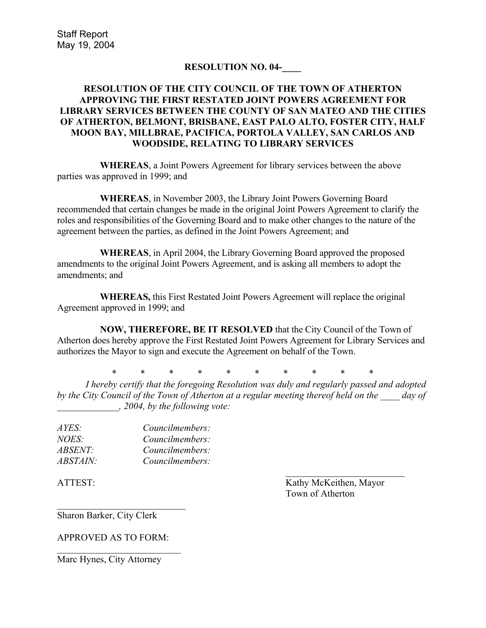### **RESOLUTION NO. 04-\_\_\_\_**

### **RESOLUTION OF THE CITY COUNCIL OF THE TOWN OF ATHERTON APPROVING THE FIRST RESTATED JOINT POWERS AGREEMENT FOR LIBRARY SERVICES BETWEEN THE COUNTY OF SAN MATEO AND THE CITIES OF ATHERTON, BELMONT, BRISBANE, EAST PALO ALTO, FOSTER CITY, HALF MOON BAY, MILLBRAE, PACIFICA, PORTOLA VALLEY, SAN CARLOS AND WOODSIDE, RELATING TO LIBRARY SERVICES**

**WHEREAS**, a Joint Powers Agreement for library services between the above parties was approved in 1999; and

**WHEREAS**, in November 2003, the Library Joint Powers Governing Board recommended that certain changes be made in the original Joint Powers Agreement to clarify the roles and responsibilities of the Governing Board and to make other changes to the nature of the agreement between the parties, as defined in the Joint Powers Agreement; and

**WHEREAS**, in April 2004, the Library Governing Board approved the proposed amendments to the original Joint Powers Agreement, and is asking all members to adopt the amendments; and

**WHEREAS,** this First Restated Joint Powers Agreement will replace the original Agreement approved in 1999; and

**NOW, THEREFORE, BE IT RESOLVED** that the City Council of the Town of Atherton does hereby approve the First Restated Joint Powers Agreement for Library Services and authorizes the Mayor to sign and execute the Agreement on behalf of the Town.

\* \* \* \* \* \* \* \* \* \*

*I hereby certify that the foregoing Resolution was duly and regularly passed and adopted by the City Council of the Town of Atherton at a regular meeting thereof held on the \_\_\_\_ day of \_\_\_\_\_\_\_\_\_\_\_\_\_, 2004, by the following vote:* 

| AYES:           | Councilmembers: |
|-----------------|-----------------|
| <i>NOES:</i>    | Councilmembers: |
| <i>ABSENT:</i>  | Councilmembers: |
| <i>ABSTAIN:</i> | Councilmembers: |

ATTEST: Kathy McKeithen, Mayor Town of Atherton

Sharon Barker, City Clerk

APPROVED AS TO FORM:

 $\overline{\phantom{a}}$  , where  $\overline{\phantom{a}}$  , where  $\overline{\phantom{a}}$  , where  $\overline{\phantom{a}}$ 

 $\mathcal{L}_\text{max}$ 

Marc Hynes, City Attorney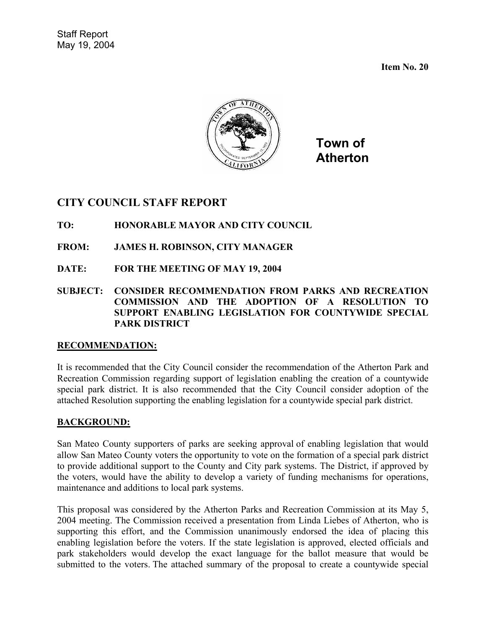**Item No. 20** 



**Town of Atherton**

# **CITY COUNCIL STAFF REPORT**

### **TO: HONORABLE MAYOR AND CITY COUNCIL**

- **FROM: JAMES H. ROBINSON, CITY MANAGER**
- **DATE: FOR THE MEETING OF MAY 19, 2004**
- **SUBJECT: CONSIDER RECOMMENDATION FROM PARKS AND RECREATION COMMISSION AND THE ADOPTION OF A RESOLUTION TO SUPPORT ENABLING LEGISLATION FOR COUNTYWIDE SPECIAL PARK DISTRICT**

### **RECOMMENDATION:**

It is recommended that the City Council consider the recommendation of the Atherton Park and Recreation Commission regarding support of legislation enabling the creation of a countywide special park district. It is also recommended that the City Council consider adoption of the attached Resolution supporting the enabling legislation for a countywide special park district.

### **BACKGROUND:**

San Mateo County supporters of parks are seeking approval of enabling legislation that would allow San Mateo County voters the opportunity to vote on the formation of a special park district to provide additional support to the County and City park systems. The District, if approved by the voters, would have the ability to develop a variety of funding mechanisms for operations, maintenance and additions to local park systems.

This proposal was considered by the Atherton Parks and Recreation Commission at its May 5, 2004 meeting. The Commission received a presentation from Linda Liebes of Atherton, who is supporting this effort, and the Commission unanimously endorsed the idea of placing this enabling legislation before the voters. If the state legislation is approved, elected officials and park stakeholders would develop the exact language for the ballot measure that would be submitted to the voters. The attached summary of the proposal to create a countywide special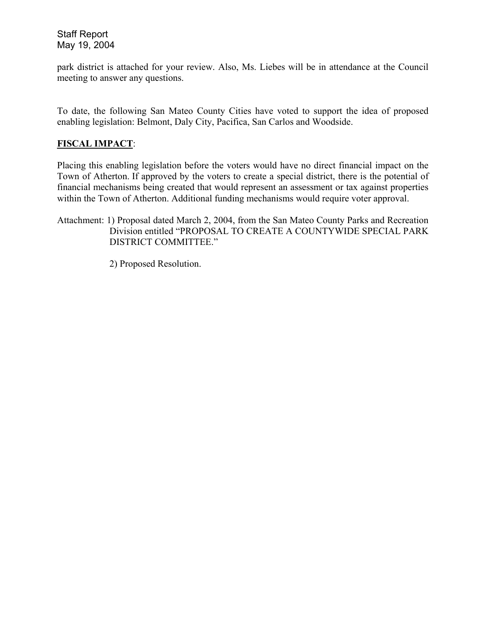park district is attached for your review. Also, Ms. Liebes will be in attendance at the Council meeting to answer any questions.

To date, the following San Mateo County Cities have voted to support the idea of proposed enabling legislation: Belmont, Daly City, Pacifica, San Carlos and Woodside.

### **FISCAL IMPACT**:

Placing this enabling legislation before the voters would have no direct financial impact on the Town of Atherton. If approved by the voters to create a special district, there is the potential of financial mechanisms being created that would represent an assessment or tax against properties within the Town of Atherton. Additional funding mechanisms would require voter approval.

Attachment: 1) Proposal dated March 2, 2004, from the San Mateo County Parks and Recreation Division entitled "PROPOSAL TO CREATE A COUNTYWIDE SPECIAL PARK DISTRICT COMMITTEE."

2) Proposed Resolution.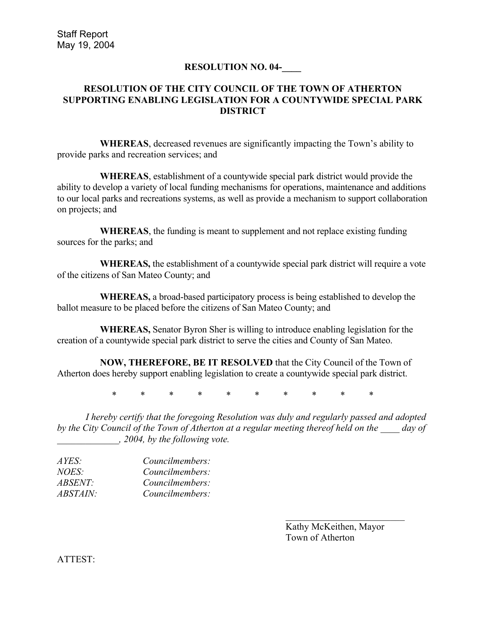### **RESOLUTION NO. 04-\_\_\_\_**

### **RESOLUTION OF THE CITY COUNCIL OF THE TOWN OF ATHERTON SUPPORTING ENABLING LEGISLATION FOR A COUNTYWIDE SPECIAL PARK DISTRICT**

**WHEREAS**, decreased revenues are significantly impacting the Town's ability to provide parks and recreation services; and

**WHEREAS**, establishment of a countywide special park district would provide the ability to develop a variety of local funding mechanisms for operations, maintenance and additions to our local parks and recreations systems, as well as provide a mechanism to support collaboration on projects; and

**WHEREAS**, the funding is meant to supplement and not replace existing funding sources for the parks; and

**WHEREAS,** the establishment of a countywide special park district will require a vote of the citizens of San Mateo County; and

**WHEREAS,** a broad-based participatory process is being established to develop the ballot measure to be placed before the citizens of San Mateo County; and

**WHEREAS,** Senator Byron Sher is willing to introduce enabling legislation for the creation of a countywide special park district to serve the cities and County of San Mateo.

**NOW, THEREFORE, BE IT RESOLVED** that the City Council of the Town of Atherton does hereby support enabling legislation to create a countywide special park district.

\* \* \* \* \* \* \* \* \* \*

*I hereby certify that the foregoing Resolution was duly and regularly passed and adopted by the City Council of the Town of Atherton at a regular meeting thereof held on the \_\_\_\_ day of \_\_\_\_\_\_\_\_\_\_\_\_\_, 2004, by the following vote.* 

| Councilmembers: |
|-----------------|
| Councilmembers: |
| Councilmembers: |
| Councilmembers: |
|                 |

 Kathy McKeithen, Mayor Town of Atherton

ATTEST: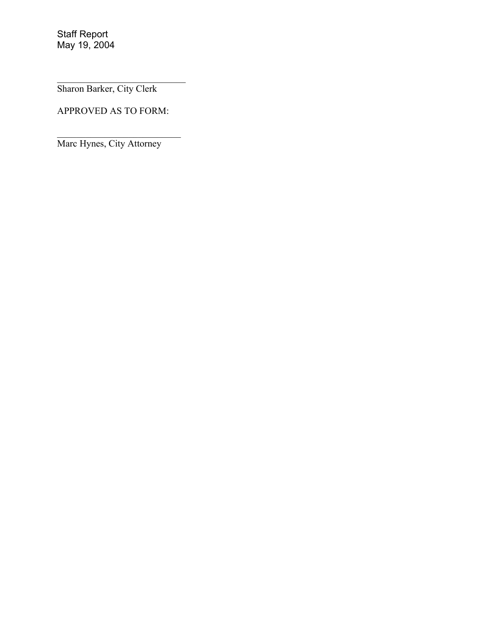Sharon Barker, City Clerk

APPROVED AS TO FORM:

*\_\_\_\_\_\_\_\_\_\_\_\_\_\_\_\_\_\_\_\_\_\_\_\_\_\_* 

 $\mathcal{L}_\text{max}$ 

Marc Hynes, City Attorney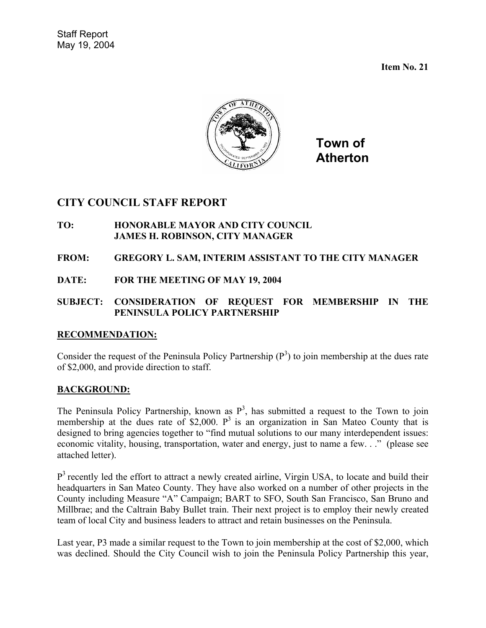**Item No. 21** 



**Town of Atherton**

# **CITY COUNCIL STAFF REPORT**

- **TO: HONORABLE MAYOR AND CITY COUNCIL JAMES H. ROBINSON, CITY MANAGER**
- **FROM: GREGORY L. SAM, INTERIM ASSISTANT TO THE CITY MANAGER**
- **DATE: FOR THE MEETING OF MAY 19, 2004**

### **SUBJECT: CONSIDERATION OF REQUEST FOR MEMBERSHIP IN THE PENINSULA POLICY PARTNERSHIP**

### **RECOMMENDATION:**

Consider the request of the Peninsula Policy Partnership  $(P^3)$  to join membership at the dues rate of \$2,000, and provide direction to staff.

### **BACKGROUND:**

The Peninsula Policy Partnership, known as  $P<sup>3</sup>$ , has submitted a request to the Town to join membership at the dues rate of \$2,000.  $P^3$  is an organization in San Mateo County that is designed to bring agencies together to "find mutual solutions to our many interdependent issues: economic vitality, housing, transportation, water and energy, just to name a few. . ." (please see attached letter).

 $P<sup>3</sup>$  recently led the effort to attract a newly created airline, Virgin USA, to locate and build their headquarters in San Mateo County. They have also worked on a number of other projects in the County including Measure "A" Campaign; BART to SFO, South San Francisco, San Bruno and Millbrae; and the Caltrain Baby Bullet train. Their next project is to employ their newly created team of local City and business leaders to attract and retain businesses on the Peninsula.

Last year, P3 made a similar request to the Town to join membership at the cost of \$2,000, which was declined. Should the City Council wish to join the Peninsula Policy Partnership this year,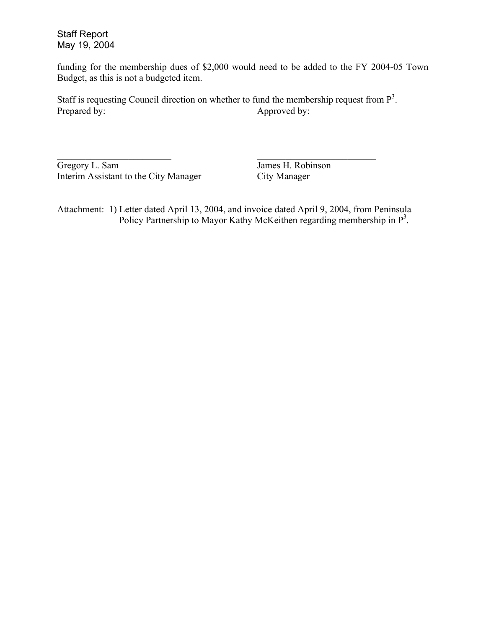funding for the membership dues of \$2,000 would need to be added to the FY 2004-05 Town Budget, as this is not a budgeted item.

Staff is requesting Council direction on whether to fund the membership request from  $P<sup>3</sup>$ . Prepared by: Approved by:

 $\mathcal{L}_\text{max}$  , and the contract of the contract of the contract of the contract of the contract of the contract of

Gregory L. Sam James H. Robinson Interim Assistant to the City Manager City Manager

Attachment: 1) Letter dated April 13, 2004, and invoice dated April 9, 2004, from Peninsula Policy Partnership to Mayor Kathy McKeithen regarding membership in P<sup>3</sup>.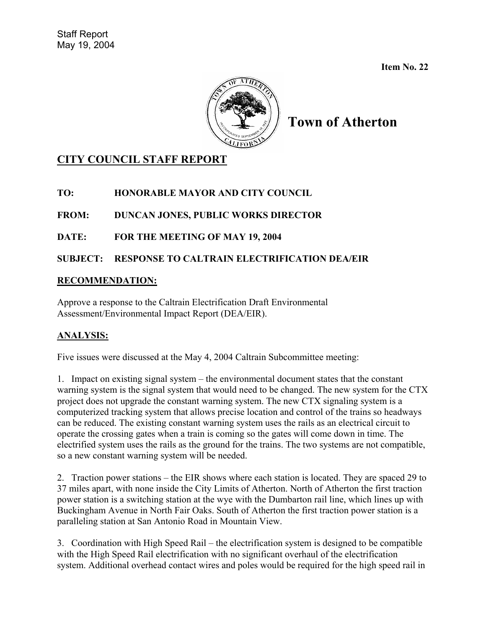**Item No. 22**



**Town of Atherton**

# **CITY COUNCIL STAFF REPORT**

**TO: HONORABLE MAYOR AND CITY COUNCIL** 

**FROM: DUNCAN JONES, PUBLIC WORKS DIRECTOR** 

**DATE: FOR THE MEETING OF MAY 19, 2004** 

**SUBJECT: RESPONSE TO CALTRAIN ELECTRIFICATION DEA/EIR** 

### **RECOMMENDATION:**

Approve a response to the Caltrain Electrification Draft Environmental Assessment/Environmental Impact Report (DEA/EIR).

# **ANALYSIS:**

Five issues were discussed at the May 4, 2004 Caltrain Subcommittee meeting:

1. Impact on existing signal system – the environmental document states that the constant warning system is the signal system that would need to be changed. The new system for the CTX project does not upgrade the constant warning system. The new CTX signaling system is a computerized tracking system that allows precise location and control of the trains so headways can be reduced. The existing constant warning system uses the rails as an electrical circuit to operate the crossing gates when a train is coming so the gates will come down in time. The electrified system uses the rails as the ground for the trains. The two systems are not compatible, so a new constant warning system will be needed.

2. Traction power stations – the EIR shows where each station is located. They are spaced 29 to 37 miles apart, with none inside the City Limits of Atherton. North of Atherton the first traction power station is a switching station at the wye with the Dumbarton rail line, which lines up with Buckingham Avenue in North Fair Oaks. South of Atherton the first traction power station is a paralleling station at San Antonio Road in Mountain View.

3. Coordination with High Speed Rail – the electrification system is designed to be compatible with the High Speed Rail electrification with no significant overhaul of the electrification system. Additional overhead contact wires and poles would be required for the high speed rail in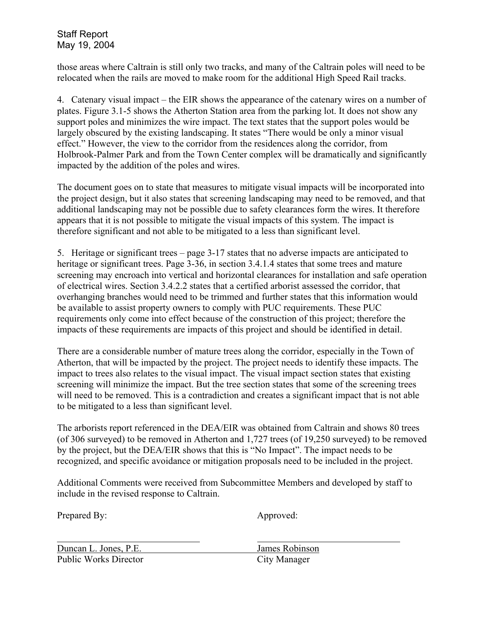those areas where Caltrain is still only two tracks, and many of the Caltrain poles will need to be relocated when the rails are moved to make room for the additional High Speed Rail tracks.

4. Catenary visual impact – the EIR shows the appearance of the catenary wires on a number of plates. Figure 3.1-5 shows the Atherton Station area from the parking lot. It does not show any support poles and minimizes the wire impact. The text states that the support poles would be largely obscured by the existing landscaping. It states "There would be only a minor visual effect." However, the view to the corridor from the residences along the corridor, from Holbrook-Palmer Park and from the Town Center complex will be dramatically and significantly impacted by the addition of the poles and wires.

The document goes on to state that measures to mitigate visual impacts will be incorporated into the project design, but it also states that screening landscaping may need to be removed, and that additional landscaping may not be possible due to safety clearances form the wires. It therefore appears that it is not possible to mitigate the visual impacts of this system. The impact is therefore significant and not able to be mitigated to a less than significant level.

5. Heritage or significant trees – page 3-17 states that no adverse impacts are anticipated to heritage or significant trees. Page 3-36, in section 3.4.1.4 states that some trees and mature screening may encroach into vertical and horizontal clearances for installation and safe operation of electrical wires. Section 3.4.2.2 states that a certified arborist assessed the corridor, that overhanging branches would need to be trimmed and further states that this information would be available to assist property owners to comply with PUC requirements. These PUC requirements only come into effect because of the construction of this project; therefore the impacts of these requirements are impacts of this project and should be identified in detail.

There are a considerable number of mature trees along the corridor, especially in the Town of Atherton, that will be impacted by the project. The project needs to identify these impacts. The impact to trees also relates to the visual impact. The visual impact section states that existing screening will minimize the impact. But the tree section states that some of the screening trees will need to be removed. This is a contradiction and creates a significant impact that is not able to be mitigated to a less than significant level.

The arborists report referenced in the DEA/EIR was obtained from Caltrain and shows 80 trees (of 306 surveyed) to be removed in Atherton and 1,727 trees (of 19,250 surveyed) to be removed by the project, but the DEA/EIR shows that this is "No Impact". The impact needs to be recognized, and specific avoidance or mitigation proposals need to be included in the project.

Additional Comments were received from Subcommittee Members and developed by staff to include in the revised response to Caltrain.

Prepared By: Approved:

 $\overline{a}$ Duncan L. Jones, P.E. James Robinson Public Works Director City Manager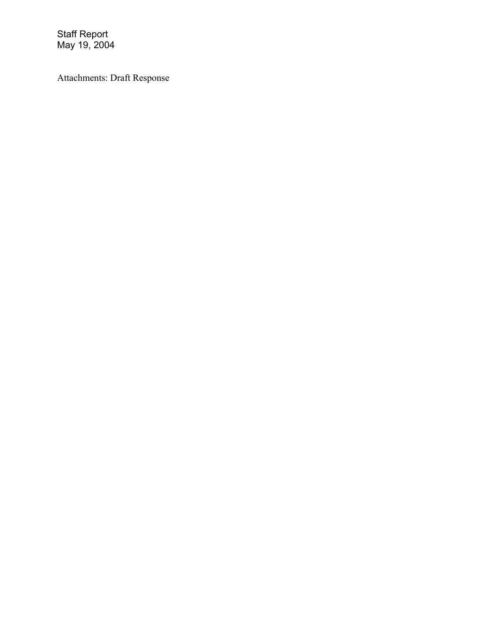Attachments: Draft Response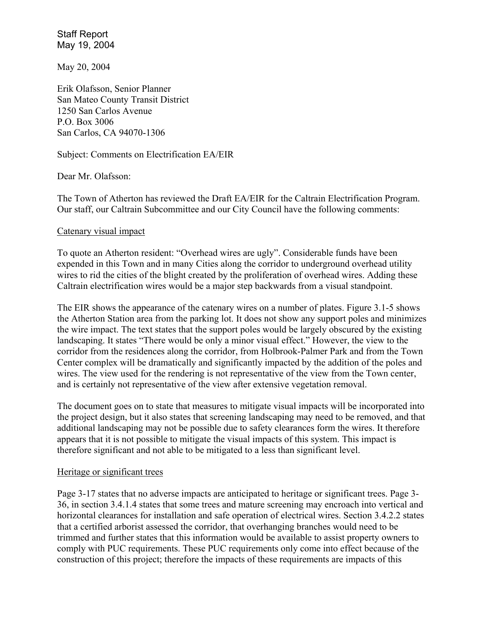May 20, 2004

Erik Olafsson, Senior Planner San Mateo County Transit District 1250 San Carlos Avenue P.O. Box 3006 San Carlos, CA 94070-1306

Subject: Comments on Electrification EA/EIR

Dear Mr. Olafsson:

The Town of Atherton has reviewed the Draft EA/EIR for the Caltrain Electrification Program. Our staff, our Caltrain Subcommittee and our City Council have the following comments:

#### Catenary visual impact

To quote an Atherton resident: "Overhead wires are ugly". Considerable funds have been expended in this Town and in many Cities along the corridor to underground overhead utility wires to rid the cities of the blight created by the proliferation of overhead wires. Adding these Caltrain electrification wires would be a major step backwards from a visual standpoint.

The EIR shows the appearance of the catenary wires on a number of plates. Figure 3.1-5 shows the Atherton Station area from the parking lot. It does not show any support poles and minimizes the wire impact. The text states that the support poles would be largely obscured by the existing landscaping. It states "There would be only a minor visual effect." However, the view to the corridor from the residences along the corridor, from Holbrook-Palmer Park and from the Town Center complex will be dramatically and significantly impacted by the addition of the poles and wires. The view used for the rendering is not representative of the view from the Town center, and is certainly not representative of the view after extensive vegetation removal.

The document goes on to state that measures to mitigate visual impacts will be incorporated into the project design, but it also states that screening landscaping may need to be removed, and that additional landscaping may not be possible due to safety clearances form the wires. It therefore appears that it is not possible to mitigate the visual impacts of this system. This impact is therefore significant and not able to be mitigated to a less than significant level.

#### Heritage or significant trees

Page 3-17 states that no adverse impacts are anticipated to heritage or significant trees. Page 3- 36, in section 3.4.1.4 states that some trees and mature screening may encroach into vertical and horizontal clearances for installation and safe operation of electrical wires. Section 3.4.2.2 states that a certified arborist assessed the corridor, that overhanging branches would need to be trimmed and further states that this information would be available to assist property owners to comply with PUC requirements. These PUC requirements only come into effect because of the construction of this project; therefore the impacts of these requirements are impacts of this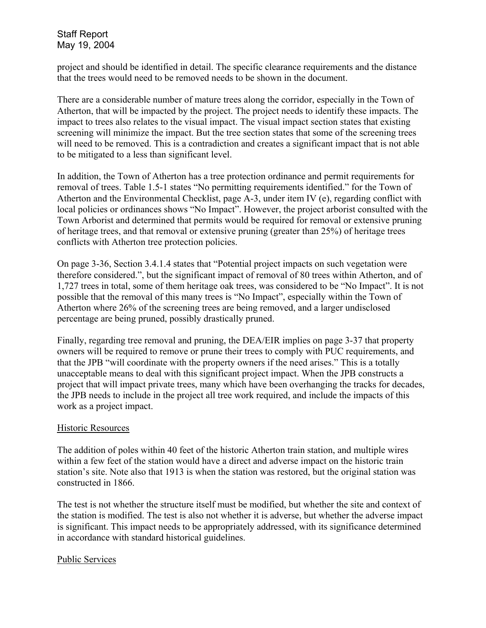project and should be identified in detail. The specific clearance requirements and the distance that the trees would need to be removed needs to be shown in the document.

There are a considerable number of mature trees along the corridor, especially in the Town of Atherton, that will be impacted by the project. The project needs to identify these impacts. The impact to trees also relates to the visual impact. The visual impact section states that existing screening will minimize the impact. But the tree section states that some of the screening trees will need to be removed. This is a contradiction and creates a significant impact that is not able to be mitigated to a less than significant level.

In addition, the Town of Atherton has a tree protection ordinance and permit requirements for removal of trees. Table 1.5-1 states "No permitting requirements identified." for the Town of Atherton and the Environmental Checklist, page A-3, under item IV (e), regarding conflict with local policies or ordinances shows "No Impact". However, the project arborist consulted with the Town Arborist and determined that permits would be required for removal or extensive pruning of heritage trees, and that removal or extensive pruning (greater than 25%) of heritage trees conflicts with Atherton tree protection policies.

On page 3-36, Section 3.4.1.4 states that "Potential project impacts on such vegetation were therefore considered.", but the significant impact of removal of 80 trees within Atherton, and of 1,727 trees in total, some of them heritage oak trees, was considered to be "No Impact". It is not possible that the removal of this many trees is "No Impact", especially within the Town of Atherton where 26% of the screening trees are being removed, and a larger undisclosed percentage are being pruned, possibly drastically pruned.

Finally, regarding tree removal and pruning, the DEA/EIR implies on page 3-37 that property owners will be required to remove or prune their trees to comply with PUC requirements, and that the JPB "will coordinate with the property owners if the need arises." This is a totally unacceptable means to deal with this significant project impact. When the JPB constructs a project that will impact private trees, many which have been overhanging the tracks for decades, the JPB needs to include in the project all tree work required, and include the impacts of this work as a project impact.

### Historic Resources

The addition of poles within 40 feet of the historic Atherton train station, and multiple wires within a few feet of the station would have a direct and adverse impact on the historic train station's site. Note also that 1913 is when the station was restored, but the original station was constructed in 1866.

The test is not whether the structure itself must be modified, but whether the site and context of the station is modified. The test is also not whether it is adverse, but whether the adverse impact is significant. This impact needs to be appropriately addressed, with its significance determined in accordance with standard historical guidelines.

#### Public Services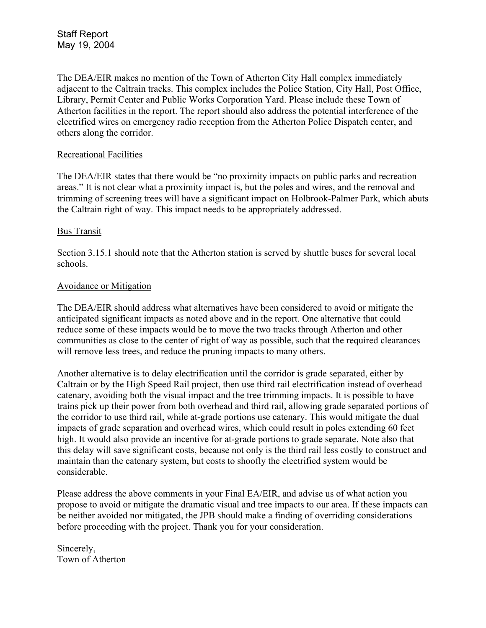The DEA/EIR makes no mention of the Town of Atherton City Hall complex immediately adjacent to the Caltrain tracks. This complex includes the Police Station, City Hall, Post Office, Library, Permit Center and Public Works Corporation Yard. Please include these Town of Atherton facilities in the report. The report should also address the potential interference of the electrified wires on emergency radio reception from the Atherton Police Dispatch center, and others along the corridor.

### Recreational Facilities

The DEA/EIR states that there would be "no proximity impacts on public parks and recreation areas." It is not clear what a proximity impact is, but the poles and wires, and the removal and trimming of screening trees will have a significant impact on Holbrook-Palmer Park, which abuts the Caltrain right of way. This impact needs to be appropriately addressed.

### Bus Transit

Section 3.15.1 should note that the Atherton station is served by shuttle buses for several local schools.

### Avoidance or Mitigation

The DEA/EIR should address what alternatives have been considered to avoid or mitigate the anticipated significant impacts as noted above and in the report. One alternative that could reduce some of these impacts would be to move the two tracks through Atherton and other communities as close to the center of right of way as possible, such that the required clearances will remove less trees, and reduce the pruning impacts to many others.

Another alternative is to delay electrification until the corridor is grade separated, either by Caltrain or by the High Speed Rail project, then use third rail electrification instead of overhead catenary, avoiding both the visual impact and the tree trimming impacts. It is possible to have trains pick up their power from both overhead and third rail, allowing grade separated portions of the corridor to use third rail, while at-grade portions use catenary. This would mitigate the dual impacts of grade separation and overhead wires, which could result in poles extending 60 feet high. It would also provide an incentive for at-grade portions to grade separate. Note also that this delay will save significant costs, because not only is the third rail less costly to construct and maintain than the catenary system, but costs to shoofly the electrified system would be considerable.

Please address the above comments in your Final EA/EIR, and advise us of what action you propose to avoid or mitigate the dramatic visual and tree impacts to our area. If these impacts can be neither avoided nor mitigated, the JPB should make a finding of overriding considerations before proceeding with the project. Thank you for your consideration.

Sincerely, Town of Atherton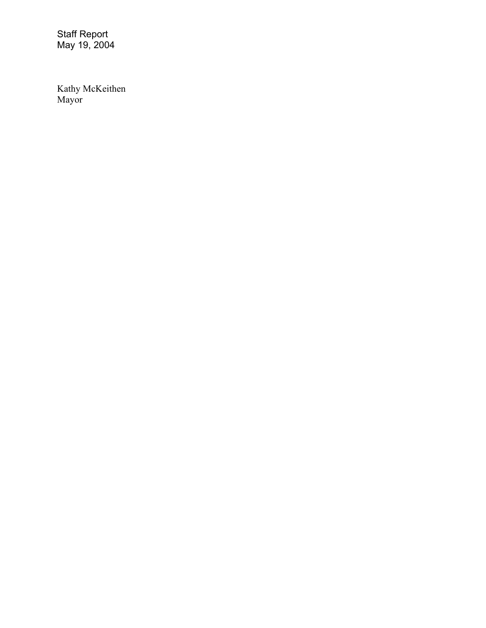Kathy McKeithen Mayor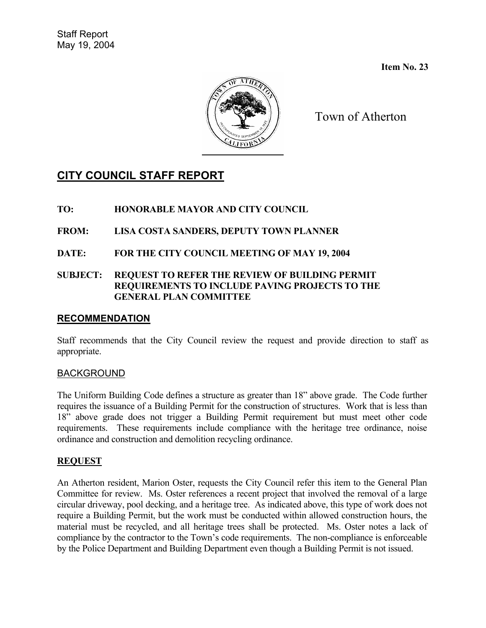**Item No. 23** 



Town of Atherton

# **CITY COUNCIL STAFF REPORT**

- **TO: HONORABLE MAYOR AND CITY COUNCIL**
- **FROM: LISA COSTA SANDERS, DEPUTY TOWN PLANNER**
- **DATE: FOR THE CITY COUNCIL MEETING OF MAY 19, 2004**

### **SUBJECT: REQUEST TO REFER THE REVIEW OF BUILDING PERMIT REQUIREMENTS TO INCLUDE PAVING PROJECTS TO THE GENERAL PLAN COMMITTEE**

### **RECOMMENDATION**

Staff recommends that the City Council review the request and provide direction to staff as appropriate.

# BACKGROUND

The Uniform Building Code defines a structure as greater than 18" above grade. The Code further requires the issuance of a Building Permit for the construction of structures. Work that is less than 18" above grade does not trigger a Building Permit requirement but must meet other code requirements. These requirements include compliance with the heritage tree ordinance, noise ordinance and construction and demolition recycling ordinance.

# **REQUEST**

An Atherton resident, Marion Oster, requests the City Council refer this item to the General Plan Committee for review. Ms. Oster references a recent project that involved the removal of a large circular driveway, pool decking, and a heritage tree. As indicated above, this type of work does not require a Building Permit, but the work must be conducted within allowed construction hours, the material must be recycled, and all heritage trees shall be protected. Ms. Oster notes a lack of compliance by the contractor to the Town's code requirements. The non-compliance is enforceable by the Police Department and Building Department even though a Building Permit is not issued.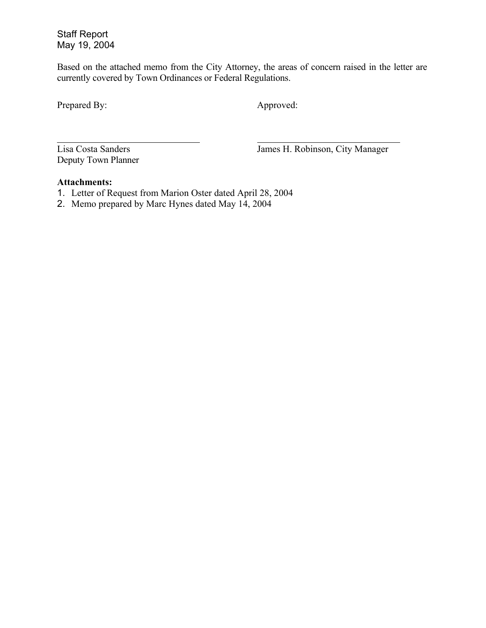Based on the attached memo from the City Attorney, the areas of concern raised in the letter are currently covered by Town Ordinances or Federal Regulations.

Prepared By: Approved:

 $\overline{a}$ 

Deputy Town Planner

Lisa Costa Sanders James H. Robinson, City Manager

#### **Attachments:**

- 1. Letter of Request from Marion Oster dated April 28, 2004
- 2. Memo prepared by Marc Hynes dated May 14, 2004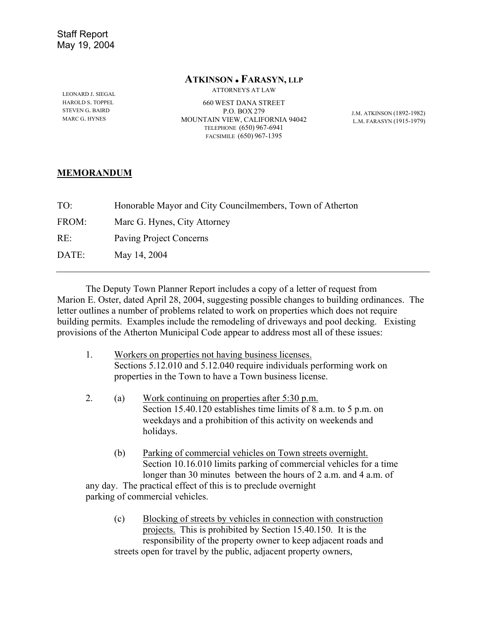#### **ATKINSON** <sup>z</sup> **FARASYN, LLP**

ATTORNEYS AT LAW

LEONARD J. SIEGAL HAROLD S. TOPPEL STEVEN G. BAIRD MARC G. HYNES

660 WEST DANA STREET P.O. BOX 279 MOUNTAIN VIEW, CALIFORNIA 94042 TELEPHONE (650) 967-6941 FACSIMILE (650) 967-1395

J.M. ATKINSON (1892-1982) L.M. FARASYN (1915-1979)

### **MEMORANDUM**

| TO:   | Honorable Mayor and City Councilmembers, Town of Atherton |
|-------|-----------------------------------------------------------|
| FROM: | Marc G. Hynes, City Attorney                              |
| RE:   | Paving Project Concerns                                   |
| DATE: | May 14, 2004                                              |
|       |                                                           |

The Deputy Town Planner Report includes a copy of a letter of request from Marion E. Oster, dated April 28, 2004, suggesting possible changes to building ordinances. The letter outlines a number of problems related to work on properties which does not require building permits. Examples include the remodeling of driveways and pool decking. Existing provisions of the Atherton Municipal Code appear to address most all of these issues:

- 1. Workers on properties not having business licenses. Sections 5.12.010 and 5.12.040 require individuals performing work on properties in the Town to have a Town business license.
- 2. (a) Work continuing on properties after 5:30 p.m. Section 15.40.120 establishes time limits of 8 a.m. to 5 p.m. on weekdays and a prohibition of this activity on weekends and holidays.
	- (b) Parking of commercial vehicles on Town streets overnight. Section 10.16.010 limits parking of commercial vehicles for a time longer than 30 minutes between the hours of 2 a.m. and 4 a.m. of

any day. The practical effect of this is to preclude overnight parking of commercial vehicles.

(c) Blocking of streets by vehicles in connection with construction projects. This is prohibited by Section 15.40.150. It is the responsibility of the property owner to keep adjacent roads and streets open for travel by the public, adjacent property owners,